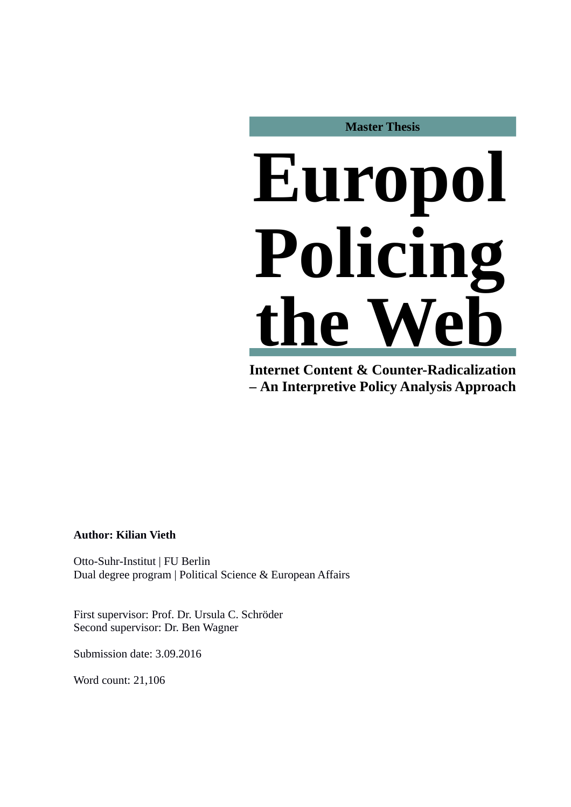**Master Thesis**

# **Europol Policing the W**

**Internet Content & Counter-Radicalization – An Interpretive Policy Analysis Approach**

# **Author: Kilian Vieth**

Otto-Suhr-Institut | FU Berlin Dual degree program | Political Science & European Affairs

First supervisor: Prof. Dr. Ursula C. Schröder Second supervisor: Dr. Ben Wagner

Submission date: 3.09.2016

Word count: 21,106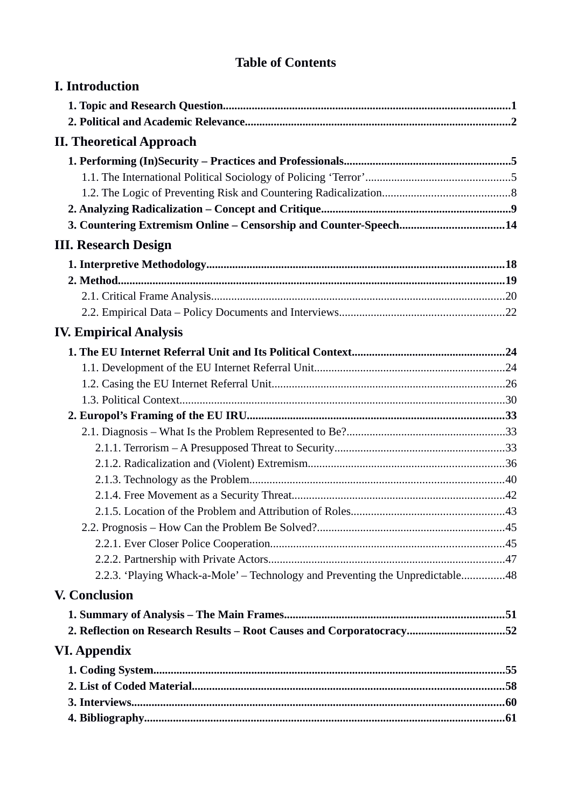# **Table of Contents**

| <b>I.</b> Introduction                                                        |  |
|-------------------------------------------------------------------------------|--|
|                                                                               |  |
|                                                                               |  |
| <b>II. Theoretical Approach</b>                                               |  |
|                                                                               |  |
|                                                                               |  |
|                                                                               |  |
|                                                                               |  |
| 3. Countering Extremism Online - Censorship and Counter-Speech14              |  |
| <b>III. Research Design</b>                                                   |  |
|                                                                               |  |
|                                                                               |  |
|                                                                               |  |
|                                                                               |  |
| <b>IV. Empirical Analysis</b>                                                 |  |
|                                                                               |  |
|                                                                               |  |
|                                                                               |  |
|                                                                               |  |
|                                                                               |  |
|                                                                               |  |
|                                                                               |  |
|                                                                               |  |
|                                                                               |  |
|                                                                               |  |
|                                                                               |  |
|                                                                               |  |
|                                                                               |  |
|                                                                               |  |
| 2.2.3. 'Playing Whack-a-Mole' – Technology and Preventing the Unpredictable48 |  |
| <b>V. Conclusion</b>                                                          |  |
|                                                                               |  |
| 2. Reflection on Research Results - Root Causes and Corporatocracy52          |  |
| <b>VI. Appendix</b>                                                           |  |
|                                                                               |  |
|                                                                               |  |
|                                                                               |  |
|                                                                               |  |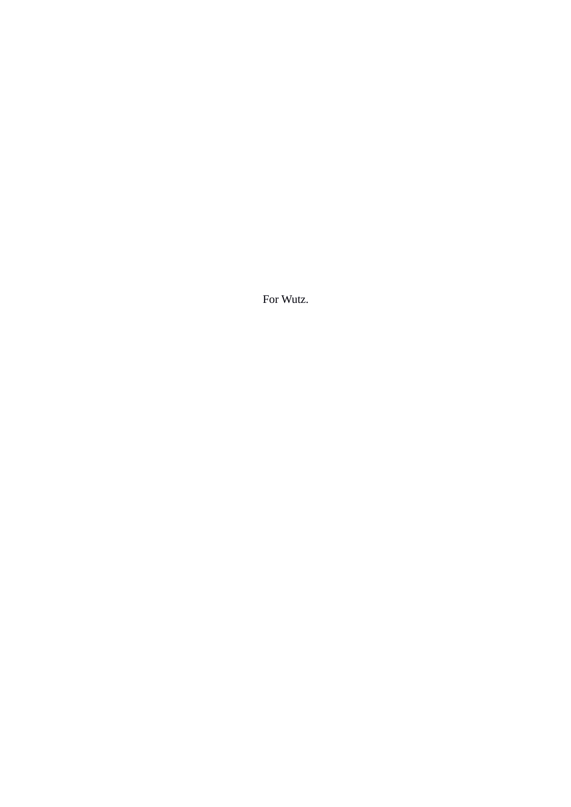For Wutz.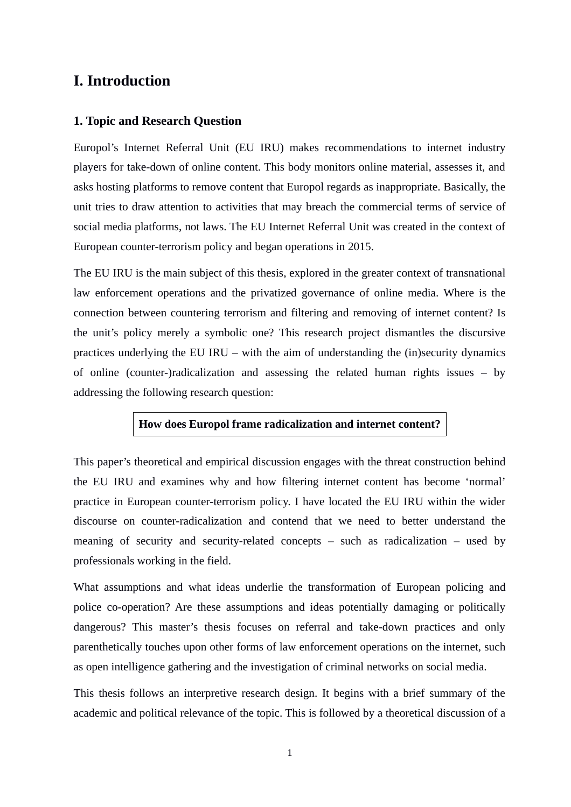# <span id="page-3-0"></span>**I. Introduction**

# <span id="page-3-1"></span>**1. Topic and Research Question**

Europol's Internet Referral Unit (EU IRU) makes recommendations to internet industry players for take-down of online content. This body monitors online material, assesses it, and asks hosting platforms to remove content that Europol regards as inappropriate. Basically, the unit tries to draw attention to activities that may breach the commercial terms of service of social media platforms, not laws. The EU Internet Referral Unit was created in the context of European counter-terrorism policy and began operations in 2015.

The EU IRU is the main subject of this thesis, explored in the greater context of transnational law enforcement operations and the privatized governance of online media. Where is the connection between countering terrorism and filtering and removing of internet content? Is the unit's policy merely a symbolic one? This research project dismantles the discursive practices underlying the EU IRU – with the aim of understanding the (in)security dynamics of online (counter-)radicalization and assessing the related human rights issues – by addressing the following research question:

# **How does Europol frame radicalization and internet content?**

This paper's theoretical and empirical discussion engages with the threat construction behind the EU IRU and examines why and how filtering internet content has become 'normal' practice in European counter-terrorism policy. I have located the EU IRU within the wider discourse on counter-radicalization and contend that we need to better understand the meaning of security and security-related concepts – such as radicalization – used by professionals working in the field.

What assumptions and what ideas underlie the transformation of European policing and police co-operation? Are these assumptions and ideas potentially damaging or politically dangerous? This master's thesis focuses on referral and take-down practices and only parenthetically touches upon other forms of law enforcement operations on the internet, such as open intelligence gathering and the investigation of criminal networks on social media.

This thesis follows an interpretive research design. It begins with a brief summary of the academic and political relevance of the topic. This is followed by a theoretical discussion of a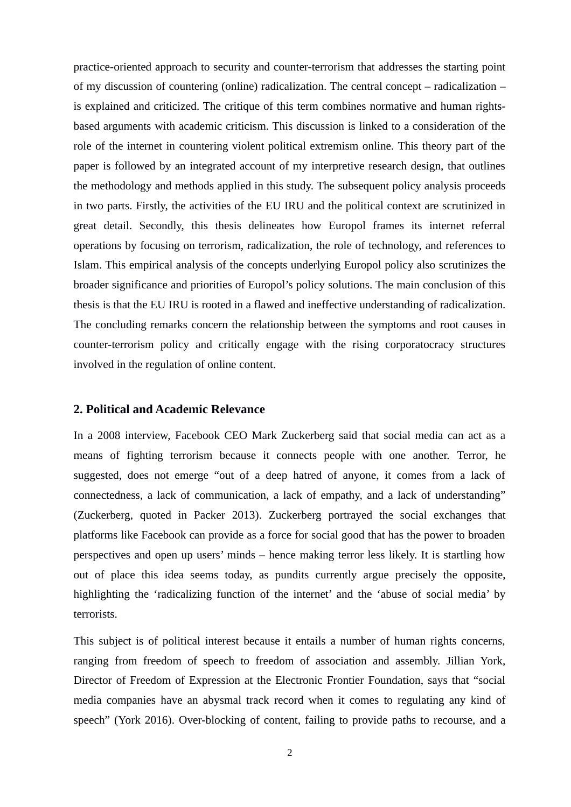practice-oriented approach to security and counter-terrorism that addresses the starting point of my discussion of countering (online) radicalization. The central concept – radicalization – is explained and criticized. The critique of this term combines normative and human rightsbased arguments with academic criticism. This discussion is linked to a consideration of the role of the internet in countering violent political extremism online. This theory part of the paper is followed by an integrated account of my interpretive research design, that outlines the methodology and methods applied in this study. The subsequent policy analysis proceeds in two parts. Firstly, the activities of the EU IRU and the political context are scrutinized in great detail. Secondly, this thesis delineates how Europol frames its internet referral operations by focusing on terrorism, radicalization, the role of technology, and references to Islam. This empirical analysis of the concepts underlying Europol policy also scrutinizes the broader significance and priorities of Europol's policy solutions. The main conclusion of this thesis is that the EU IRU is rooted in a flawed and ineffective understanding of radicalization. The concluding remarks concern the relationship between the symptoms and root causes in counter-terrorism policy and critically engage with the rising corporatocracy structures involved in the regulation of online content.

#### <span id="page-4-0"></span>**2. Political and Academic Relevance**

In a 2008 interview, Facebook CEO Mark Zuckerberg said that social media can act as a means of fighting terrorism because it connects people with one another. Terror, he suggested, does not emerge "out of a deep hatred of anyone, it comes from a lack of connectedness, a lack of communication, a lack of empathy, and a lack of understanding" (Zuckerberg, quoted in Packer 2013). Zuckerberg portrayed the social exchanges that platforms like Facebook can provide as a force for social good that has the power to broaden perspectives and open up users' minds – hence making terror less likely. It is startling how out of place this idea seems today, as pundits currently argue precisely the opposite, highlighting the 'radicalizing function of the internet' and the 'abuse of social media' by terrorists.

This subject is of political interest because it entails a number of human rights concerns, ranging from freedom of speech to freedom of association and assembly. Jillian York, Director of Freedom of Expression at the Electronic Frontier Foundation, says that "social media companies have an abysmal track record when it comes to regulating any kind of speech" (York 2016). Over-blocking of content, failing to provide paths to recourse, and a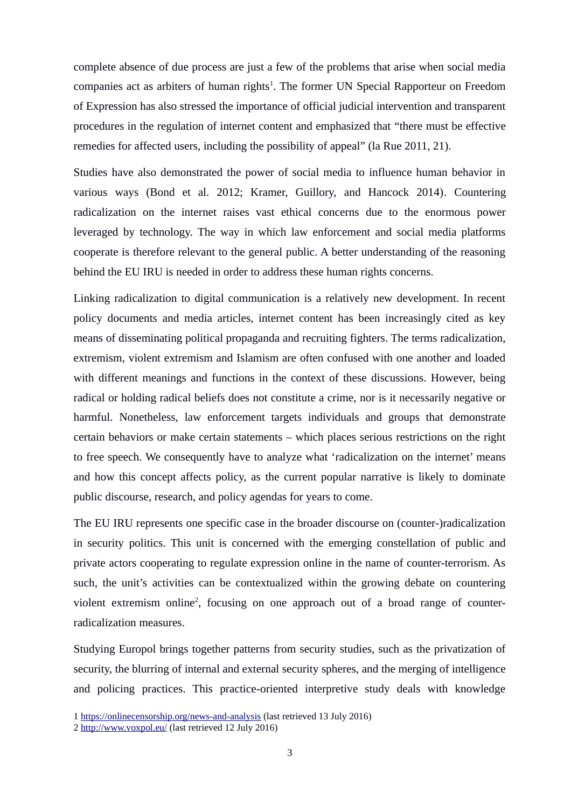complete absence of due process are just a few of the problems that arise when social media companies act as arbiters of human rights<sup>[1](#page-5-0)</sup>. The former UN Special Rapporteur on Freedom of Expression has also stressed the importance of official judicial intervention and transparent procedures in the regulation of internet content and emphasized that "there must be effective remedies for affected users, including the possibility of appeal" (la Rue 2011, 21).

Studies have also demonstrated the power of social media to influence human behavior in various ways (Bond et al. 2012; Kramer, Guillory, and Hancock 2014). Countering radicalization on the internet raises vast ethical concerns due to the enormous power leveraged by technology. The way in which law enforcement and social media platforms cooperate is therefore relevant to the general public. A better understanding of the reasoning behind the EU IRU is needed in order to address these human rights concerns.

Linking radicalization to digital communication is a relatively new development. In recent policy documents and media articles, internet content has been increasingly cited as key means of disseminating political propaganda and recruiting fighters. The terms radicalization, extremism, violent extremism and Islamism are often confused with one another and loaded with different meanings and functions in the context of these discussions. However, being radical or holding radical beliefs does not constitute a crime, nor is it necessarily negative or harmful. Nonetheless, law enforcement targets individuals and groups that demonstrate certain behaviors or make certain statements – which places serious restrictions on the right to free speech. We consequently have to analyze what 'radicalization on the internet' means and how this concept affects policy, as the current popular narrative is likely to dominate public discourse, research, and policy agendas for years to come.

The EU IRU represents one specific case in the broader discourse on (counter-)radicalization in security politics. This unit is concerned with the emerging constellation of public and private actors cooperating to regulate expression online in the name of counter-terrorism. As such, the unit's activities can be contextualized within the growing debate on countering violent extremism online<sup>[2](#page-5-1)</sup>, focusing on one approach out of a broad range of counterradicalization measures.

Studying Europol brings together patterns from security studies, such as the privatization of security, the blurring of internal and external security spheres, and the merging of intelligence and policing practices. This practice-oriented interpretive study deals with knowledge

<span id="page-5-0"></span><sup>1</sup> <https://onlinecensorship.org/news-and-analysis>(last retrieved 13 July 2016)

<span id="page-5-1"></span><sup>2</sup> <http://www.voxpol.eu/>(last retrieved 12 July 2016)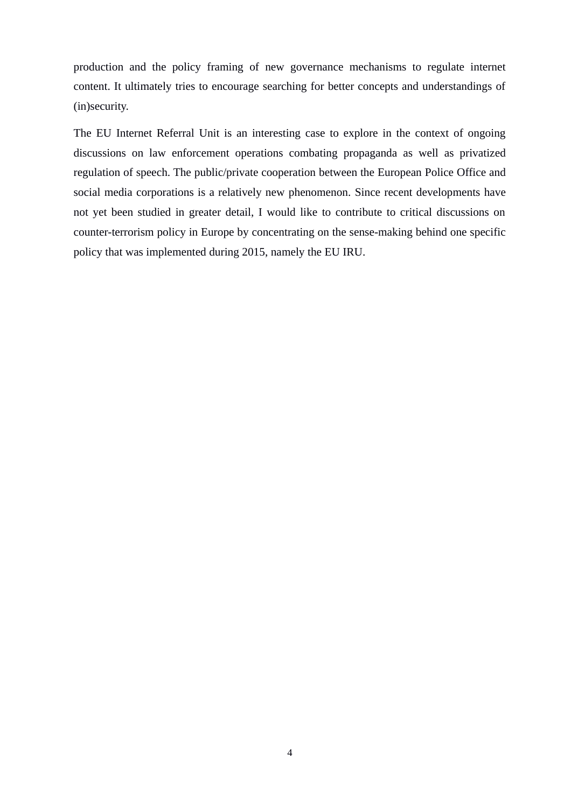production and the policy framing of new governance mechanisms to regulate internet content. It ultimately tries to encourage searching for better concepts and understandings of (in)security.

The EU Internet Referral Unit is an interesting case to explore in the context of ongoing discussions on law enforcement operations combating propaganda as well as privatized regulation of speech. The public/private cooperation between the European Police Office and social media corporations is a relatively new phenomenon. Since recent developments have not yet been studied in greater detail, I would like to contribute to critical discussions on counter-terrorism policy in Europe by concentrating on the sense-making behind one specific policy that was implemented during 2015, namely the EU IRU.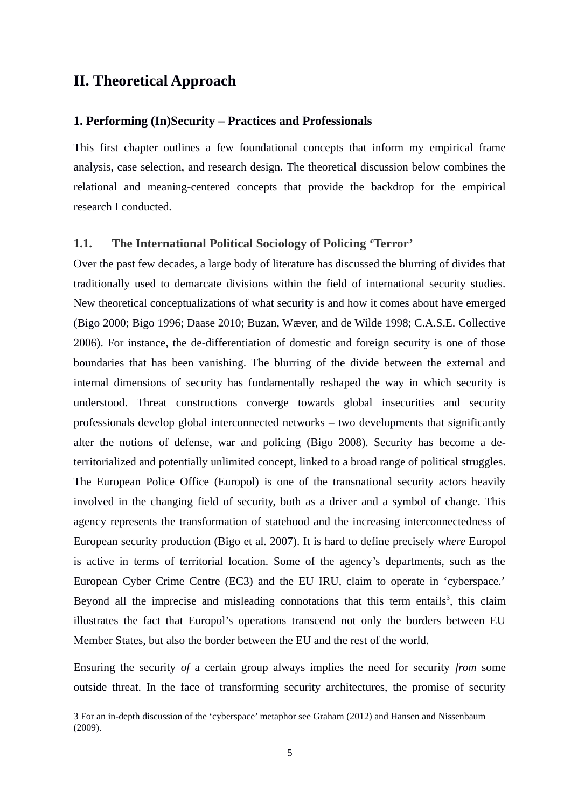# <span id="page-7-2"></span>**II. Theoretical Approach**

#### <span id="page-7-1"></span>**1. Performing (In)Security – Practices and Professionals**

This first chapter outlines a few foundational concepts that inform my empirical frame analysis, case selection, and research design. The theoretical discussion below combines the relational and meaning-centered concepts that provide the backdrop for the empirical research I conducted.

#### <span id="page-7-0"></span>**1.1. The International Political Sociology of Policing 'Terror'**

Over the past few decades, a large body of literature has discussed the blurring of divides that traditionally used to demarcate divisions within the field of international security studies. New theoretical conceptualizations of what security is and how it comes about have emerged (Bigo 2000; Bigo 1996; Daase 2010; Buzan, Wæver, and de Wilde 1998; C.A.S.E. Collective 2006). For instance, the de-differentiation of domestic and foreign security is one of those boundaries that has been vanishing. The blurring of the divide between the external and internal dimensions of security has fundamentally reshaped the way in which security is understood. Threat constructions converge towards global insecurities and security professionals develop global interconnected networks – two developments that significantly alter the notions of defense, war and policing (Bigo 2008). Security has become a deterritorialized and potentially unlimited concept, linked to a broad range of political struggles. The European Police Office (Europol) is one of the transnational security actors heavily involved in the changing field of security, both as a driver and a symbol of change. This agency represents the transformation of statehood and the increasing interconnectedness of European security production (Bigo et al. 2007). It is hard to define precisely *where* Europol is active in terms of territorial location. Some of the agency's departments, such as the European Cyber Crime Centre (EC3) and the EU IRU, claim to operate in 'cyberspace.' Beyond all the imprecise and misleading connotations that this term entails<sup>[3](#page-7-3)</sup>, this claim illustrates the fact that Europol's operations transcend not only the borders between EU Member States, but also the border between the EU and the rest of the world.

Ensuring the security *of* a certain group always implies the need for security *from* some outside threat. In the face of transforming security architectures, the promise of security

<span id="page-7-3"></span><sup>3</sup> For an in-depth discussion of the 'cyberspace' metaphor see Graham (2012) and Hansen and Nissenbaum (2009).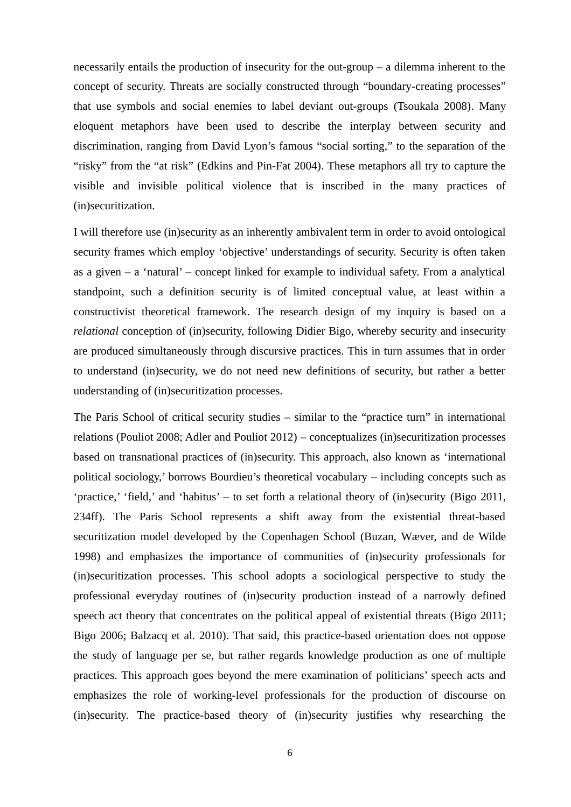necessarily entails the production of insecurity for the out-group – a dilemma inherent to the concept of security. Threats are socially constructed through "boundary-creating processes" that use symbols and social enemies to label deviant out-groups (Tsoukala 2008). Many eloquent metaphors have been used to describe the interplay between security and discrimination, ranging from David Lyon's famous "social sorting," to the separation of the "risky" from the "at risk" (Edkins and Pin-Fat 2004). These metaphors all try to capture the visible and invisible political violence that is inscribed in the many practices of (in)securitization.

I will therefore use (in)security as an inherently ambivalent term in order to avoid ontological security frames which employ 'objective' understandings of security. Security is often taken as a given – a 'natural' – concept linked for example to individual safety. From a analytical standpoint, such a definition security is of limited conceptual value, at least within a constructivist theoretical framework. The research design of my inquiry is based on a *relational* conception of (in)security, following Didier Bigo, whereby security and insecurity are produced simultaneously through discursive practices. This in turn assumes that in order to understand (in)security, we do not need new definitions of security, but rather a better understanding of (in)securitization processes.

The Paris School of critical security studies – similar to the "practice turn" in international relations (Pouliot 2008; Adler and Pouliot 2012) – conceptualizes (in)securitization processes based on transnational practices of (in)security. This approach, also known as 'international political sociology,' borrows Bourdieu's theoretical vocabulary – including concepts such as 'practice,' 'field,' and 'habitus' – to set forth a relational theory of (in)security (Bigo 2011, 234ff). The Paris School represents a shift away from the existential threat-based securitization model developed by the Copenhagen School (Buzan, Wæver, and de Wilde 1998) and emphasizes the importance of communities of (in)security professionals for (in)securitization processes. This school adopts a sociological perspective to study the professional everyday routines of (in)security production instead of a narrowly defined speech act theory that concentrates on the political appeal of existential threats (Bigo 2011; Bigo 2006; Balzacq et al. 2010). That said, this practice-based orientation does not oppose the study of language per se, but rather regards knowledge production as one of multiple practices. This approach goes beyond the mere examination of politicians' speech acts and emphasizes the role of working-level professionals for the production of discourse on (in)security. The practice-based theory of (in)security justifies why researching the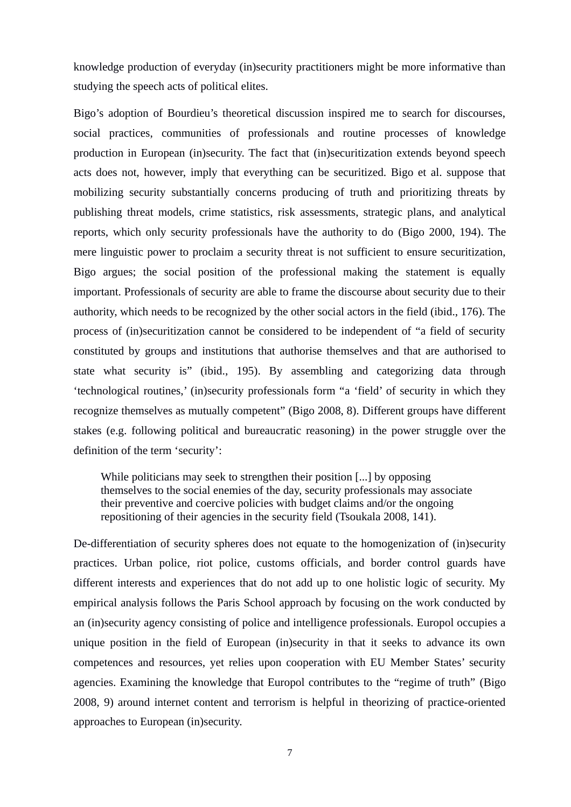knowledge production of everyday (in)security practitioners might be more informative than studying the speech acts of political elites.

Bigo's adoption of Bourdieu's theoretical discussion inspired me to search for discourses, social practices, communities of professionals and routine processes of knowledge production in European (in)security. The fact that (in)securitization extends beyond speech acts does not, however, imply that everything can be securitized. Bigo et al. suppose that mobilizing security substantially concerns producing of truth and prioritizing threats by publishing threat models, crime statistics, risk assessments, strategic plans, and analytical reports, which only security professionals have the authority to do (Bigo 2000, 194). The mere linguistic power to proclaim a security threat is not sufficient to ensure securitization, Bigo argues; the social position of the professional making the statement is equally important. Professionals of security are able to frame the discourse about security due to their authority, which needs to be recognized by the other social actors in the field (ibid., 176). The process of (in)securitization cannot be considered to be independent of "a field of security constituted by groups and institutions that authorise themselves and that are authorised to state what security is" (ibid., 195). By assembling and categorizing data through 'technological routines,' (in)security professionals form "a 'field' of security in which they recognize themselves as mutually competent" (Bigo 2008, 8). Different groups have different stakes (e.g. following political and bureaucratic reasoning) in the power struggle over the definition of the term 'security':

While politicians may seek to strengthen their position [...] by opposing themselves to the social enemies of the day, security professionals may associate their preventive and coercive policies with budget claims and/or the ongoing repositioning of their agencies in the security field (Tsoukala 2008, 141).

De-differentiation of security spheres does not equate to the homogenization of (in)security practices. Urban police, riot police, customs officials, and border control guards have different interests and experiences that do not add up to one holistic logic of security. My empirical analysis follows the Paris School approach by focusing on the work conducted by an (in)security agency consisting of police and intelligence professionals. Europol occupies a unique position in the field of European (in)security in that it seeks to advance its own competences and resources, yet relies upon cooperation with EU Member States' security agencies. Examining the knowledge that Europol contributes to the "regime of truth" (Bigo 2008, 9) around internet content and terrorism is helpful in theorizing of practice-oriented approaches to European (in)security.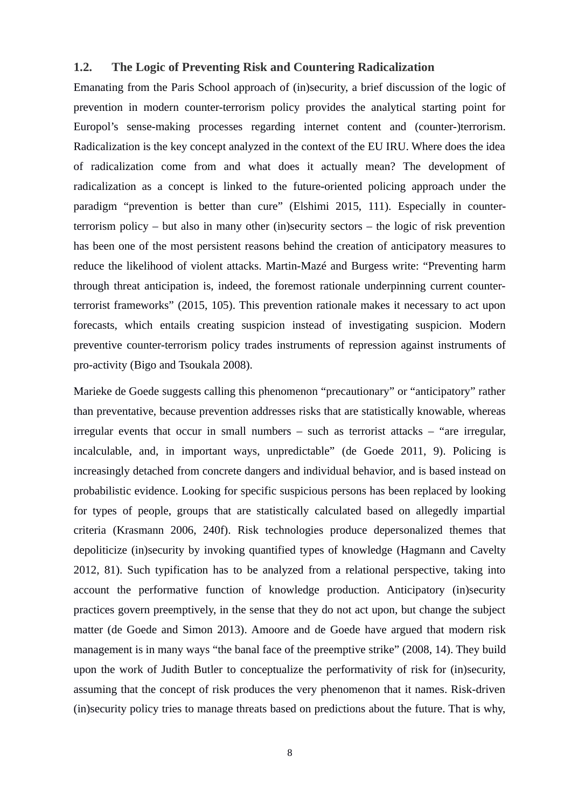### <span id="page-10-0"></span>**1.2. The Logic of Preventing Risk and Countering Radicalization**

Emanating from the Paris School approach of (in)security, a brief discussion of the logic of prevention in modern counter-terrorism policy provides the analytical starting point for Europol's sense-making processes regarding internet content and (counter-)terrorism. Radicalization is the key concept analyzed in the context of the EU IRU. Where does the idea of radicalization come from and what does it actually mean? The development of radicalization as a concept is linked to the future-oriented policing approach under the paradigm "prevention is better than cure" (Elshimi 2015, 111). Especially in counterterrorism policy – but also in many other (in)security sectors – the logic of risk prevention has been one of the most persistent reasons behind the creation of anticipatory measures to reduce the likelihood of violent attacks. Martin-Mazé and Burgess write: "Preventing harm through threat anticipation is, indeed, the foremost rationale underpinning current counterterrorist frameworks" (2015, 105). This prevention rationale makes it necessary to act upon forecasts, which entails creating suspicion instead of investigating suspicion. Modern preventive counter-terrorism policy trades instruments of repression against instruments of pro-activity (Bigo and Tsoukala 2008).

Marieke de Goede suggests calling this phenomenon "precautionary" or "anticipatory" rather than preventative, because prevention addresses risks that are statistically knowable, whereas irregular events that occur in small numbers – such as terrorist attacks – "are irregular, incalculable, and, in important ways, unpredictable" (de Goede 2011, 9). Policing is increasingly detached from concrete dangers and individual behavior, and is based instead on probabilistic evidence. Looking for specific suspicious persons has been replaced by looking for types of people, groups that are statistically calculated based on allegedly impartial criteria (Krasmann 2006, 240f). Risk technologies produce depersonalized themes that depoliticize (in)security by invoking quantified types of knowledge (Hagmann and Cavelty 2012, 81). Such typification has to be analyzed from a relational perspective, taking into account the performative function of knowledge production. Anticipatory (in)security practices govern preemptively, in the sense that they do not act upon, but change the subject matter (de Goede and Simon 2013). Amoore and de Goede have argued that modern risk management is in many ways "the banal face of the preemptive strike" (2008, 14). They build upon the work of Judith Butler to conceptualize the performativity of risk for (in)security, assuming that the concept of risk produces the very phenomenon that it names. Risk-driven (in)security policy tries to manage threats based on predictions about the future. That is why,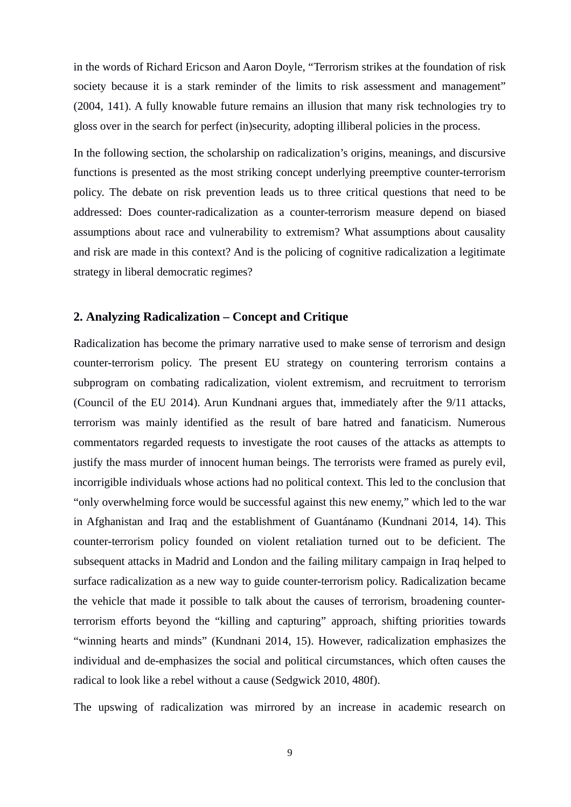in the words of Richard Ericson and Aaron Doyle, "Terrorism strikes at the foundation of risk society because it is a stark reminder of the limits to risk assessment and management" (2004, 141). A fully knowable future remains an illusion that many risk technologies try to gloss over in the search for perfect (in)security, adopting illiberal policies in the process.

In the following section, the scholarship on radicalization's origins, meanings, and discursive functions is presented as the most striking concept underlying preemptive counter-terrorism policy. The debate on risk prevention leads us to three critical questions that need to be addressed: Does counter-radicalization as a counter-terrorism measure depend on biased assumptions about race and vulnerability to extremism? What assumptions about causality and risk are made in this context? And is the policing of cognitive radicalization a legitimate strategy in liberal democratic regimes?

#### <span id="page-11-0"></span>**2. Analyzing Radicalization – Concept and Critique**

Radicalization has become the primary narrative used to make sense of terrorism and design counter-terrorism policy. The present EU strategy on countering terrorism contains a subprogram on combating radicalization, violent extremism, and recruitment to terrorism (Council of the EU 2014). Arun Kundnani argues that, immediately after the 9/11 attacks, terrorism was mainly identified as the result of bare hatred and fanaticism. Numerous commentators regarded requests to investigate the root causes of the attacks as attempts to justify the mass murder of innocent human beings. The terrorists were framed as purely evil, incorrigible individuals whose actions had no political context. This led to the conclusion that "only overwhelming force would be successful against this new enemy," which led to the war in Afghanistan and Iraq and the establishment of Guantánamo (Kundnani 2014, 14). This counter-terrorism policy founded on violent retaliation turned out to be deficient. The subsequent attacks in Madrid and London and the failing military campaign in Iraq helped to surface radicalization as a new way to guide counter-terrorism policy. Radicalization became the vehicle that made it possible to talk about the causes of terrorism, broadening counterterrorism efforts beyond the "killing and capturing" approach, shifting priorities towards "winning hearts and minds" (Kundnani 2014, 15). However, radicalization emphasizes the individual and de-emphasizes the social and political circumstances, which often causes the radical to look like a rebel without a cause (Sedgwick 2010, 480f).

The upswing of radicalization was mirrored by an increase in academic research on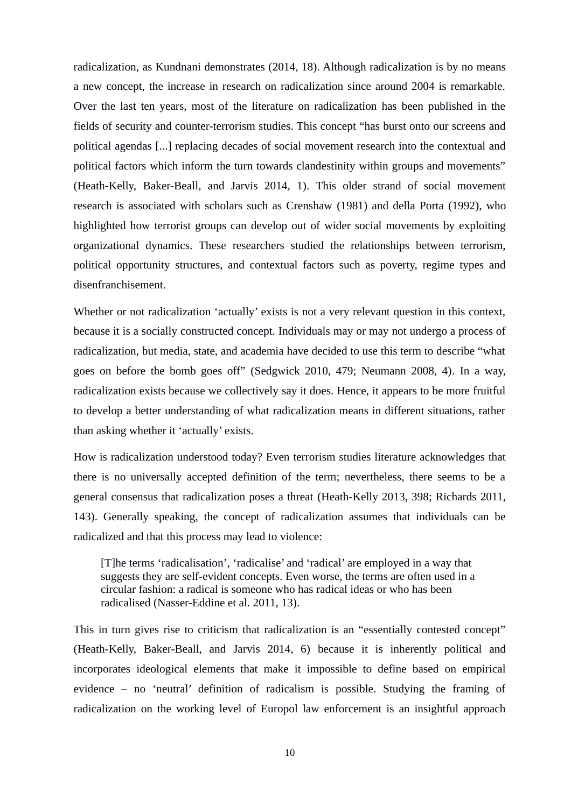radicalization, as Kundnani demonstrates (2014, 18). Although radicalization is by no means a new concept, the increase in research on radicalization since around 2004 is remarkable. Over the last ten years, most of the literature on radicalization has been published in the fields of security and counter-terrorism studies. This concept "has burst onto our screens and political agendas [...] replacing decades of social movement research into the contextual and political factors which inform the turn towards clandestinity within groups and movements" (Heath-Kelly, Baker-Beall, and Jarvis 2014, 1). This older strand of social movement research is associated with scholars such as Crenshaw (1981) and della Porta (1992), who highlighted how terrorist groups can develop out of wider social movements by exploiting organizational dynamics. These researchers studied the relationships between terrorism, political opportunity structures, and contextual factors such as poverty, regime types and disenfranchisement.

Whether or not radicalization 'actually' exists is not a very relevant question in this context, because it is a socially constructed concept. Individuals may or may not undergo a process of radicalization, but media, state, and academia have decided to use this term to describe "what goes on before the bomb goes off" (Sedgwick 2010, 479; Neumann 2008, 4). In a way, radicalization exists because we collectively say it does. Hence, it appears to be more fruitful to develop a better understanding of what radicalization means in different situations, rather than asking whether it 'actually' exists.

How is radicalization understood today? Even terrorism studies literature acknowledges that there is no universally accepted definition of the term; nevertheless, there seems to be a general consensus that radicalization poses a threat (Heath-Kelly 2013, 398; Richards 2011, 143). Generally speaking, the concept of radicalization assumes that individuals can be radicalized and that this process may lead to violence:

[T]he terms 'radicalisation', 'radicalise' and 'radical' are employed in a way that suggests they are self-evident concepts. Even worse, the terms are often used in a circular fashion: a radical is someone who has radical ideas or who has been radicalised (Nasser-Eddine et al. 2011, 13).

This in turn gives rise to criticism that radicalization is an "essentially contested concept" (Heath-Kelly, Baker-Beall, and Jarvis 2014, 6) because it is inherently political and incorporates ideological elements that make it impossible to define based on empirical evidence – no 'neutral' definition of radicalism is possible. Studying the framing of radicalization on the working level of Europol law enforcement is an insightful approach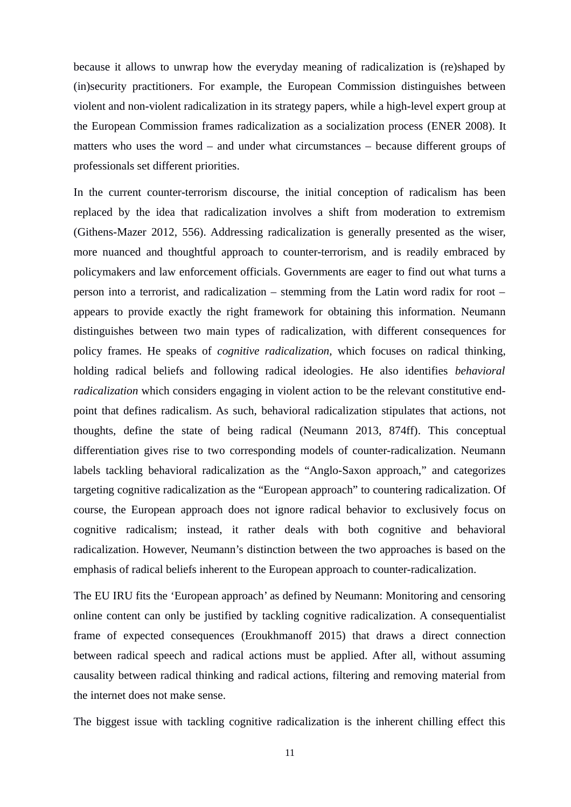because it allows to unwrap how the everyday meaning of radicalization is (re)shaped by (in)security practitioners. For example, the European Commission distinguishes between violent and non-violent radicalization in its strategy papers, while a high-level expert group at the European Commission frames radicalization as a socialization process (ENER 2008). It matters who uses the word – and under what circumstances – because different groups of professionals set different priorities.

In the current counter-terrorism discourse, the initial conception of radicalism has been replaced by the idea that radicalization involves a shift from moderation to extremism (Githens-Mazer 2012, 556). Addressing radicalization is generally presented as the wiser, more nuanced and thoughtful approach to counter-terrorism, and is readily embraced by policymakers and law enforcement officials. Governments are eager to find out what turns a person into a terrorist, and radicalization – stemming from the Latin word radix for root – appears to provide exactly the right framework for obtaining this information. Neumann distinguishes between two main types of radicalization, with different consequences for policy frames. He speaks of *cognitive radicalization,* which focuses on radical thinking, holding radical beliefs and following radical ideologies. He also identifies *behavioral radicalization* which considers engaging in violent action to be the relevant constitutive endpoint that defines radicalism. As such, behavioral radicalization stipulates that actions, not thoughts, define the state of being radical (Neumann 2013, 874ff). This conceptual differentiation gives rise to two corresponding models of counter-radicalization. Neumann labels tackling behavioral radicalization as the "Anglo-Saxon approach," and categorizes targeting cognitive radicalization as the "European approach" to countering radicalization. Of course, the European approach does not ignore radical behavior to exclusively focus on cognitive radicalism; instead, it rather deals with both cognitive and behavioral radicalization. However, Neumann's distinction between the two approaches is based on the emphasis of radical beliefs inherent to the European approach to counter-radicalization.

The EU IRU fits the 'European approach' as defined by Neumann: Monitoring and censoring online content can only be justified by tackling cognitive radicalization. A consequentialist frame of expected consequences (Eroukhmanoff 2015) that draws a direct connection between radical speech and radical actions must be applied. After all, without assuming causality between radical thinking and radical actions, filtering and removing material from the internet does not make sense.

The biggest issue with tackling cognitive radicalization is the inherent chilling effect this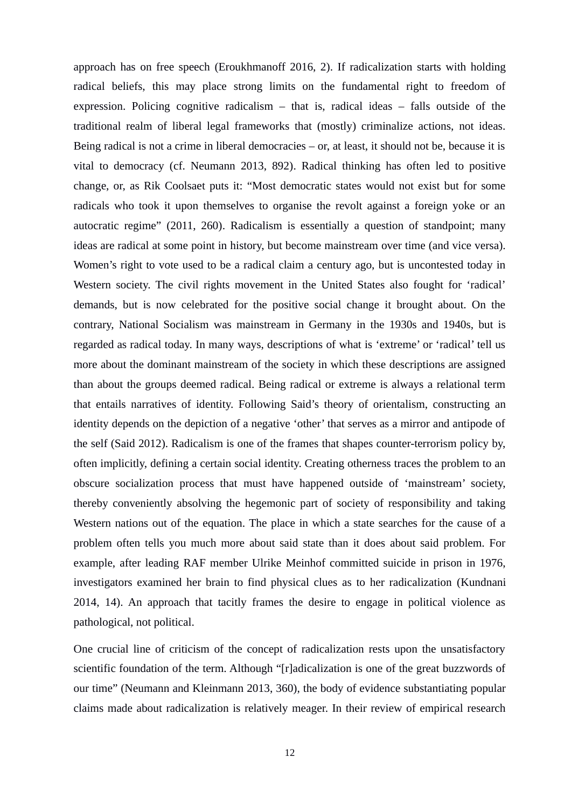approach has on free speech (Eroukhmanoff 2016, 2). If radicalization starts with holding radical beliefs, this may place strong limits on the fundamental right to freedom of expression. Policing cognitive radicalism  $-$  that is, radical ideas  $-$  falls outside of the traditional realm of liberal legal frameworks that (mostly) criminalize actions, not ideas. Being radical is not a crime in liberal democracies – or, at least, it should not be, because it is vital to democracy (cf. Neumann 2013, 892). Radical thinking has often led to positive change, or, as Rik Coolsaet puts it: "Most democratic states would not exist but for some radicals who took it upon themselves to organise the revolt against a foreign yoke or an autocratic regime" (2011, 260). Radicalism is essentially a question of standpoint; many ideas are radical at some point in history, but become mainstream over time (and vice versa). Women's right to vote used to be a radical claim a century ago, but is uncontested today in Western society. The civil rights movement in the United States also fought for 'radical' demands, but is now celebrated for the positive social change it brought about. On the contrary, National Socialism was mainstream in Germany in the 1930s and 1940s, but is regarded as radical today. In many ways, descriptions of what is 'extreme' or 'radical' tell us more about the dominant mainstream of the society in which these descriptions are assigned than about the groups deemed radical. Being radical or extreme is always a relational term that entails narratives of identity. Following Said's theory of orientalism, constructing an identity depends on the depiction of a negative 'other' that serves as a mirror and antipode of the self (Said 2012). Radicalism is one of the frames that shapes counter-terrorism policy by, often implicitly, defining a certain social identity. Creating otherness traces the problem to an obscure socialization process that must have happened outside of 'mainstream' society, thereby conveniently absolving the hegemonic part of society of responsibility and taking Western nations out of the equation. The place in which a state searches for the cause of a problem often tells you much more about said state than it does about said problem. For example, after leading RAF member Ulrike Meinhof committed suicide in prison in 1976, investigators examined her brain to find physical clues as to her radicalization (Kundnani 2014, 14). An approach that tacitly frames the desire to engage in political violence as pathological, not political.

One crucial line of criticism of the concept of radicalization rests upon the unsatisfactory scientific foundation of the term. Although "[r]adicalization is one of the great buzzwords of our time" (Neumann and Kleinmann 2013, 360), the body of evidence substantiating popular claims made about radicalization is relatively meager. In their review of empirical research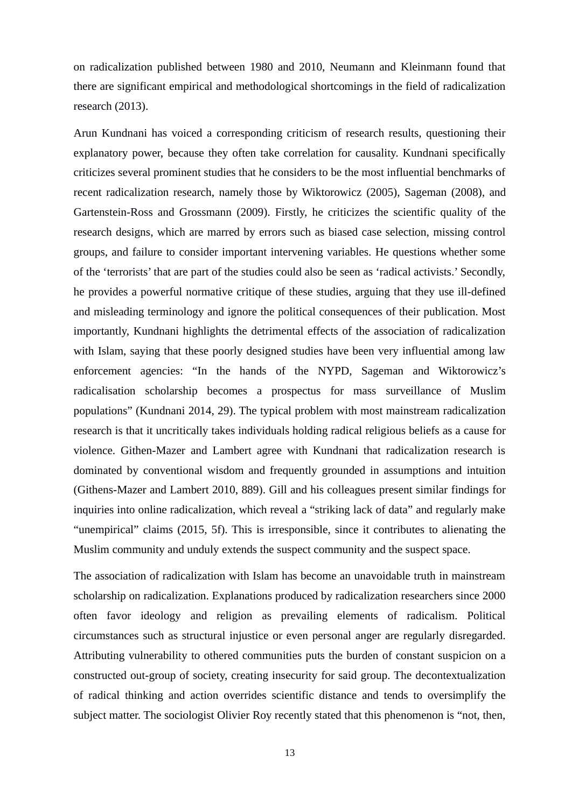on radicalization published between 1980 and 2010, Neumann and Kleinmann found that there are significant empirical and methodological shortcomings in the field of radicalization research (2013).

Arun Kundnani has voiced a corresponding criticism of research results, questioning their explanatory power, because they often take correlation for causality. Kundnani specifically criticizes several prominent studies that he considers to be the most influential benchmarks of recent radicalization research, namely those by Wiktorowicz (2005), Sageman (2008), and Gartenstein-Ross and Grossmann (2009). Firstly, he criticizes the scientific quality of the research designs, which are marred by errors such as biased case selection, missing control groups, and failure to consider important intervening variables. He questions whether some of the 'terrorists' that are part of the studies could also be seen as 'radical activists.' Secondly, he provides a powerful normative critique of these studies, arguing that they use ill-defined and misleading terminology and ignore the political consequences of their publication. Most importantly, Kundnani highlights the detrimental effects of the association of radicalization with Islam, saying that these poorly designed studies have been very influential among law enforcement agencies: "In the hands of the NYPD, Sageman and Wiktorowicz's radicalisation scholarship becomes a prospectus for mass surveillance of Muslim populations" (Kundnani 2014, 29). The typical problem with most mainstream radicalization research is that it uncritically takes individuals holding radical religious beliefs as a cause for violence. Githen-Mazer and Lambert agree with Kundnani that radicalization research is dominated by conventional wisdom and frequently grounded in assumptions and intuition (Githens-Mazer and Lambert 2010, 889). Gill and his colleagues present similar findings for inquiries into online radicalization, which reveal a "striking lack of data" and regularly make "unempirical" claims (2015, 5f). This is irresponsible, since it contributes to alienating the Muslim community and unduly extends the suspect community and the suspect space.

The association of radicalization with Islam has become an unavoidable truth in mainstream scholarship on radicalization. Explanations produced by radicalization researchers since 2000 often favor ideology and religion as prevailing elements of radicalism. Political circumstances such as structural injustice or even personal anger are regularly disregarded. Attributing vulnerability to othered communities puts the burden of constant suspicion on a constructed out-group of society, creating insecurity for said group. The decontextualization of radical thinking and action overrides scientific distance and tends to oversimplify the subject matter. The sociologist Olivier Roy recently stated that this phenomenon is "not, then,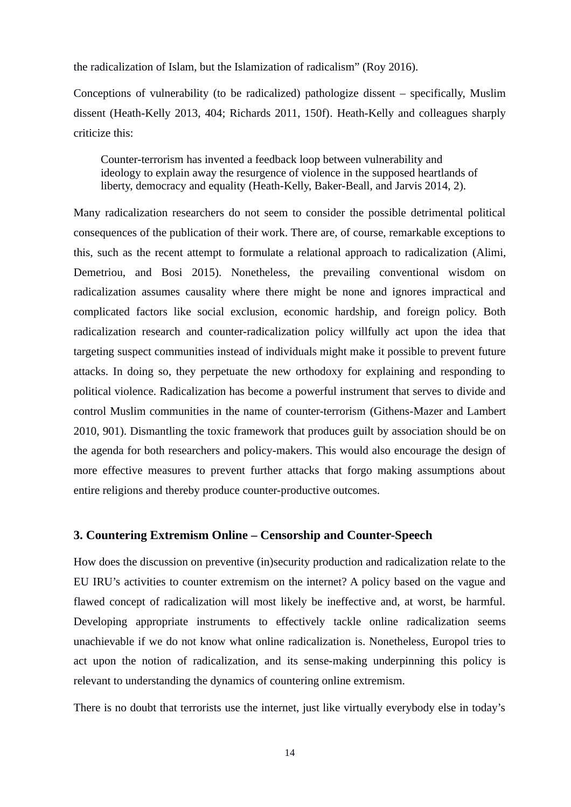the radicalization of Islam, but the Islamization of radicalism" (Roy 2016).

Conceptions of vulnerability (to be radicalized) pathologize dissent – specifically, Muslim dissent (Heath-Kelly 2013, 404; Richards 2011, 150f). Heath-Kelly and colleagues sharply criticize this:

Counter-terrorism has invented a feedback loop between vulnerability and ideology to explain away the resurgence of violence in the supposed heartlands of liberty, democracy and equality (Heath-Kelly, Baker-Beall, and Jarvis 2014, 2).

Many radicalization researchers do not seem to consider the possible detrimental political consequences of the publication of their work. There are, of course, remarkable exceptions to this, such as the recent attempt to formulate a relational approach to radicalization (Alimi, Demetriou, and Bosi 2015). Nonetheless, the prevailing conventional wisdom on radicalization assumes causality where there might be none and ignores impractical and complicated factors like social exclusion, economic hardship, and foreign policy. Both radicalization research and counter-radicalization policy willfully act upon the idea that targeting suspect communities instead of individuals might make it possible to prevent future attacks. In doing so, they perpetuate the new orthodoxy for explaining and responding to political violence. Radicalization has become a powerful instrument that serves to divide and control Muslim communities in the name of counter-terrorism (Githens-Mazer and Lambert 2010, 901). Dismantling the toxic framework that produces guilt by association should be on the agenda for both researchers and policy-makers. This would also encourage the design of more effective measures to prevent further attacks that forgo making assumptions about entire religions and thereby produce counter-productive outcomes.

#### <span id="page-16-0"></span>**3. Countering Extremism Online – Censorship and Counter-Speech**

How does the discussion on preventive (in)security production and radicalization relate to the EU IRU's activities to counter extremism on the internet? A policy based on the vague and flawed concept of radicalization will most likely be ineffective and, at worst, be harmful. Developing appropriate instruments to effectively tackle online radicalization seems unachievable if we do not know what online radicalization is. Nonetheless, Europol tries to act upon the notion of radicalization, and its sense-making underpinning this policy is relevant to understanding the dynamics of countering online extremism.

There is no doubt that terrorists use the internet, just like virtually everybody else in today's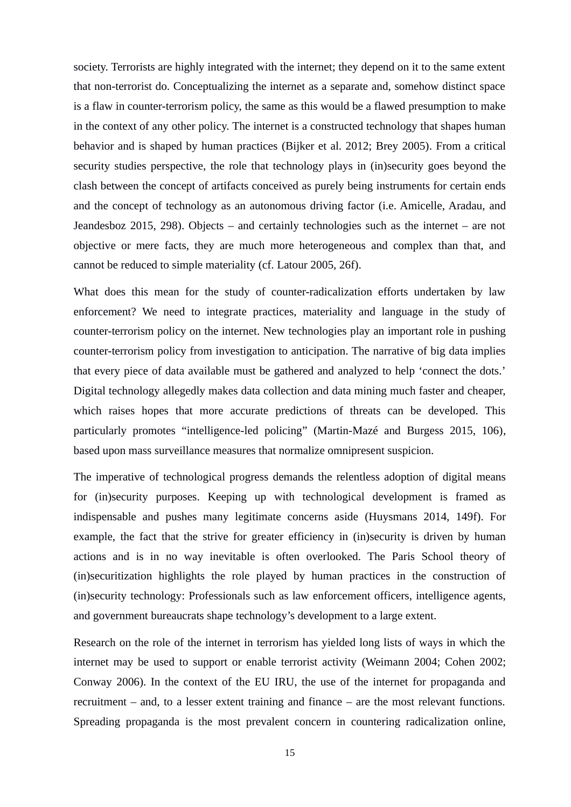society. Terrorists are highly integrated with the internet; they depend on it to the same extent that non-terrorist do. Conceptualizing the internet as a separate and, somehow distinct space is a flaw in counter-terrorism policy, the same as this would be a flawed presumption to make in the context of any other policy. The internet is a constructed technology that shapes human behavior and is shaped by human practices (Bijker et al. 2012; Brey 2005). From a critical security studies perspective, the role that technology plays in (in)security goes beyond the clash between the concept of artifacts conceived as purely being instruments for certain ends and the concept of technology as an autonomous driving factor (i.e. Amicelle, Aradau, and Jeandesboz 2015, 298). Objects – and certainly technologies such as the internet – are not objective or mere facts, they are much more heterogeneous and complex than that, and cannot be reduced to simple materiality (cf. Latour 2005, 26f).

What does this mean for the study of counter-radicalization efforts undertaken by law enforcement? We need to integrate practices, materiality and language in the study of counter-terrorism policy on the internet. New technologies play an important role in pushing counter-terrorism policy from investigation to anticipation. The narrative of big data implies that every piece of data available must be gathered and analyzed to help 'connect the dots.' Digital technology allegedly makes data collection and data mining much faster and cheaper, which raises hopes that more accurate predictions of threats can be developed. This particularly promotes "intelligence-led policing" (Martin-Mazé and Burgess 2015, 106), based upon mass surveillance measures that normalize omnipresent suspicion.

The imperative of technological progress demands the relentless adoption of digital means for (in)security purposes. Keeping up with technological development is framed as indispensable and pushes many legitimate concerns aside (Huysmans 2014, 149f). For example, the fact that the strive for greater efficiency in (in)security is driven by human actions and is in no way inevitable is often overlooked. The Paris School theory of (in)securitization highlights the role played by human practices in the construction of (in)security technology: Professionals such as law enforcement officers, intelligence agents, and government bureaucrats shape technology's development to a large extent.

Research on the role of the internet in terrorism has yielded long lists of ways in which the internet may be used to support or enable terrorist activity (Weimann 2004; Cohen 2002; Conway 2006). In the context of the EU IRU, the use of the internet for propaganda and recruitment – and, to a lesser extent training and finance – are the most relevant functions. Spreading propaganda is the most prevalent concern in countering radicalization online,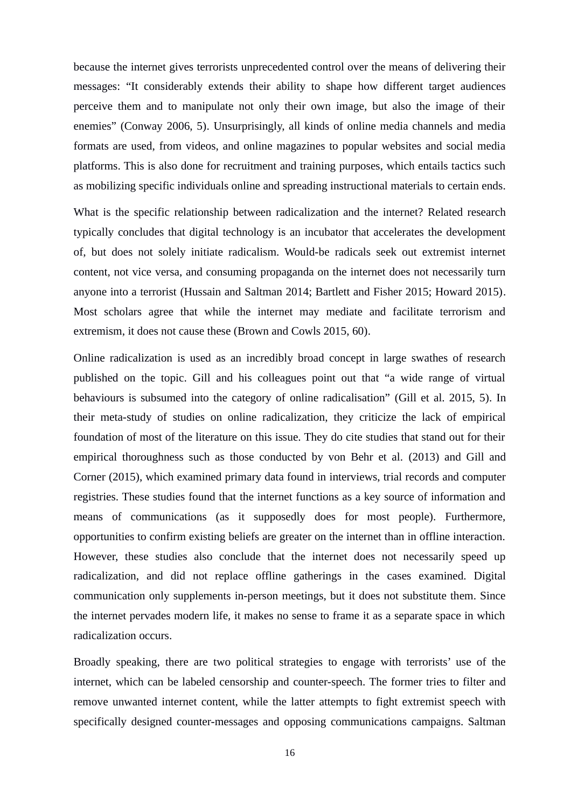because the internet gives terrorists unprecedented control over the means of delivering their messages: "It considerably extends their ability to shape how different target audiences perceive them and to manipulate not only their own image, but also the image of their enemies" (Conway 2006, 5). Unsurprisingly, all kinds of online media channels and media formats are used, from videos, and online magazines to popular websites and social media platforms. This is also done for recruitment and training purposes, which entails tactics such as mobilizing specific individuals online and spreading instructional materials to certain ends.

What is the specific relationship between radicalization and the internet? Related research typically concludes that digital technology is an incubator that accelerates the development of, but does not solely initiate radicalism. Would-be radicals seek out extremist internet content, not vice versa, and consuming propaganda on the internet does not necessarily turn anyone into a terrorist (Hussain and Saltman 2014; Bartlett and Fisher 2015; Howard 2015). Most scholars agree that while the internet may mediate and facilitate terrorism and extremism, it does not cause these (Brown and Cowls 2015, 60).

Online radicalization is used as an incredibly broad concept in large swathes of research published on the topic. Gill and his colleagues point out that "a wide range of virtual behaviours is subsumed into the category of online radicalisation" (Gill et al. 2015, 5). In their meta-study of studies on online radicalization, they criticize the lack of empirical foundation of most of the literature on this issue. They do cite studies that stand out for their empirical thoroughness such as those conducted by von Behr et al. (2013) and Gill and Corner (2015), which examined primary data found in interviews, trial records and computer registries. These studies found that the internet functions as a key source of information and means of communications (as it supposedly does for most people). Furthermore, opportunities to confirm existing beliefs are greater on the internet than in offline interaction. However, these studies also conclude that the internet does not necessarily speed up radicalization, and did not replace offline gatherings in the cases examined. Digital communication only supplements in-person meetings, but it does not substitute them. Since the internet pervades modern life, it makes no sense to frame it as a separate space in which radicalization occurs.

Broadly speaking, there are two political strategies to engage with terrorists' use of the internet, which can be labeled censorship and counter-speech. The former tries to filter and remove unwanted internet content, while the latter attempts to fight extremist speech with specifically designed counter-messages and opposing communications campaigns. Saltman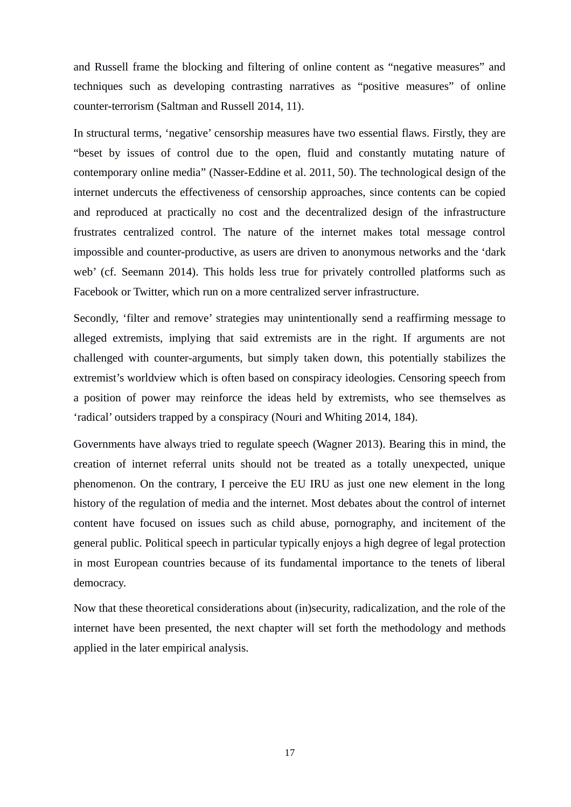and Russell frame the blocking and filtering of online content as "negative measures" and techniques such as developing contrasting narratives as "positive measures" of online counter-terrorism (Saltman and Russell 2014, 11).

In structural terms, 'negative' censorship measures have two essential flaws. Firstly, they are "beset by issues of control due to the open, fluid and constantly mutating nature of contemporary online media" (Nasser-Eddine et al. 2011, 50). The technological design of the internet undercuts the effectiveness of censorship approaches, since contents can be copied and reproduced at practically no cost and the decentralized design of the infrastructure frustrates centralized control. The nature of the internet makes total message control impossible and counter-productive, as users are driven to anonymous networks and the 'dark web' (cf. Seemann 2014). This holds less true for privately controlled platforms such as Facebook or Twitter, which run on a more centralized server infrastructure.

Secondly, 'filter and remove' strategies may unintentionally send a reaffirming message to alleged extremists, implying that said extremists are in the right. If arguments are not challenged with counter-arguments, but simply taken down, this potentially stabilizes the extremist's worldview which is often based on conspiracy ideologies. Censoring speech from a position of power may reinforce the ideas held by extremists, who see themselves as 'radical' outsiders trapped by a conspiracy (Nouri and Whiting 2014, 184).

Governments have always tried to regulate speech (Wagner 2013). Bearing this in mind, the creation of internet referral units should not be treated as a totally unexpected, unique phenomenon. On the contrary, I perceive the EU IRU as just one new element in the long history of the regulation of media and the internet. Most debates about the control of internet content have focused on issues such as child abuse, pornography, and incitement of the general public. Political speech in particular typically enjoys a high degree of legal protection in most European countries because of its fundamental importance to the tenets of liberal democracy.

Now that these theoretical considerations about (in)security, radicalization, and the role of the internet have been presented, the next chapter will set forth the methodology and methods applied in the later empirical analysis.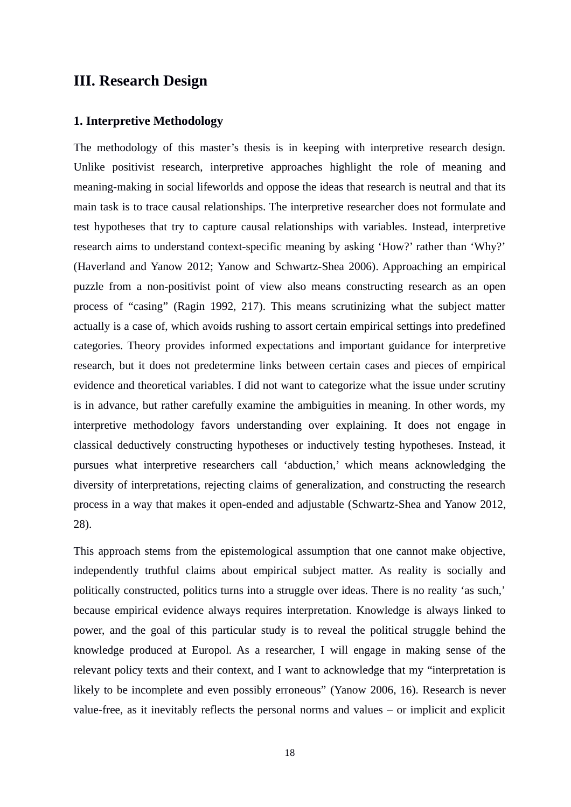# <span id="page-20-1"></span>**III. Research Design**

#### <span id="page-20-0"></span>**1. Interpretive Methodology**

The methodology of this master's thesis is in keeping with interpretive research design. Unlike positivist research, interpretive approaches highlight the role of meaning and meaning-making in social lifeworlds and oppose the ideas that research is neutral and that its main task is to trace causal relationships. The interpretive researcher does not formulate and test hypotheses that try to capture causal relationships with variables. Instead, interpretive research aims to understand context-specific meaning by asking 'How?' rather than 'Why?' (Haverland and Yanow 2012; Yanow and Schwartz-Shea 2006). Approaching an empirical puzzle from a non-positivist point of view also means constructing research as an open process of "casing" (Ragin 1992, 217). This means scrutinizing what the subject matter actually is a case of, which avoids rushing to assort certain empirical settings into predefined categories. Theory provides informed expectations and important guidance for interpretive research, but it does not predetermine links between certain cases and pieces of empirical evidence and theoretical variables. I did not want to categorize what the issue under scrutiny is in advance, but rather carefully examine the ambiguities in meaning. In other words, my interpretive methodology favors understanding over explaining. It does not engage in classical deductively constructing hypotheses or inductively testing hypotheses. Instead, it pursues what interpretive researchers call 'abduction,' which means acknowledging the diversity of interpretations, rejecting claims of generalization, and constructing the research process in a way that makes it open-ended and adjustable (Schwartz-Shea and Yanow 2012, 28).

This approach stems from the epistemological assumption that one cannot make objective, independently truthful claims about empirical subject matter. As reality is socially and politically constructed, politics turns into a struggle over ideas. There is no reality 'as such,' because empirical evidence always requires interpretation. Knowledge is always linked to power, and the goal of this particular study is to reveal the political struggle behind the knowledge produced at Europol. As a researcher, I will engage in making sense of the relevant policy texts and their context, and I want to acknowledge that my "interpretation is likely to be incomplete and even possibly erroneous" (Yanow 2006, 16). Research is never value-free, as it inevitably reflects the personal norms and values – or implicit and explicit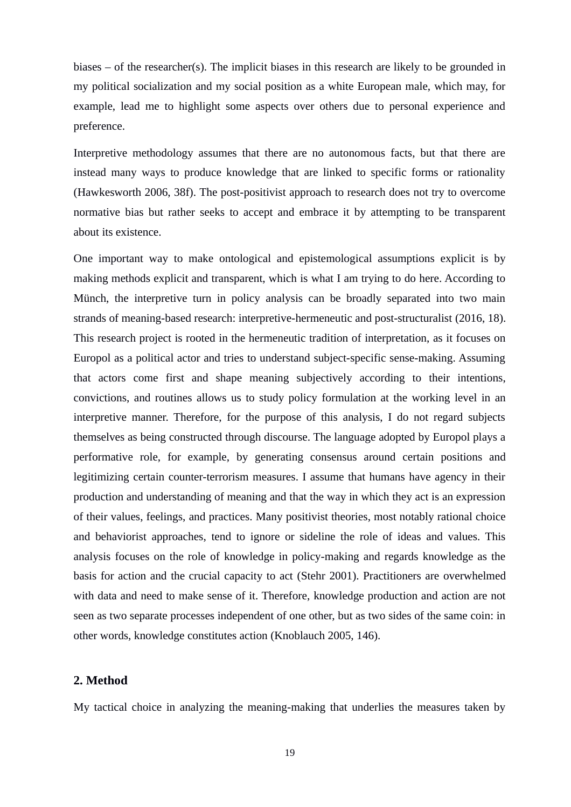biases – of the researcher(s). The implicit biases in this research are likely to be grounded in my political socialization and my social position as a white European male, which may, for example, lead me to highlight some aspects over others due to personal experience and preference.

Interpretive methodology assumes that there are no autonomous facts, but that there are instead many ways to produce knowledge that are linked to specific forms or rationality (Hawkesworth 2006, 38f). The post-positivist approach to research does not try to overcome normative bias but rather seeks to accept and embrace it by attempting to be transparent about its existence.

One important way to make ontological and epistemological assumptions explicit is by making methods explicit and transparent, which is what I am trying to do here. According to Münch, the interpretive turn in policy analysis can be broadly separated into two main strands of meaning-based research: interpretive-hermeneutic and post-structuralist (2016, 18). This research project is rooted in the hermeneutic tradition of interpretation, as it focuses on Europol as a political actor and tries to understand subject-specific sense-making. Assuming that actors come first and shape meaning subjectively according to their intentions, convictions, and routines allows us to study policy formulation at the working level in an interpretive manner. Therefore, for the purpose of this analysis, I do not regard subjects themselves as being constructed through discourse. The language adopted by Europol plays a performative role, for example, by generating consensus around certain positions and legitimizing certain counter-terrorism measures. I assume that humans have agency in their production and understanding of meaning and that the way in which they act is an expression of their values, feelings, and practices. Many positivist theories, most notably rational choice and behaviorist approaches, tend to ignore or sideline the role of ideas and values. This analysis focuses on the role of knowledge in policy-making and regards knowledge as the basis for action and the crucial capacity to act (Stehr 2001). Practitioners are overwhelmed with data and need to make sense of it. Therefore, knowledge production and action are not seen as two separate processes independent of one other, but as two sides of the same coin: in other words, knowledge constitutes action (Knoblauch 2005, 146).

## <span id="page-21-0"></span>**2. Method**

My tactical choice in analyzing the meaning-making that underlies the measures taken by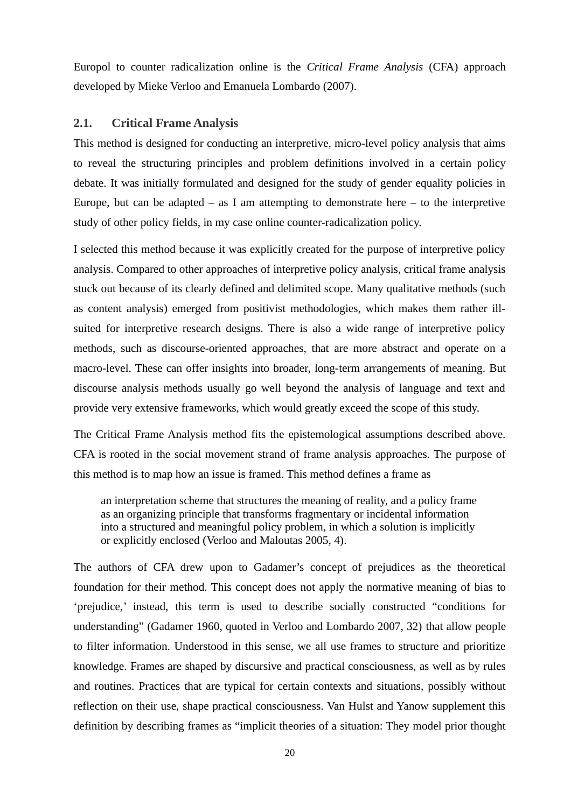Europol to counter radicalization online is the *Critical Frame Analysis* (CFA) approach developed by Mieke Verloo and Emanuela Lombardo (2007).

## <span id="page-22-0"></span>**2.1. Critical Frame Analysis**

This method is designed for conducting an interpretive, micro-level policy analysis that aims to reveal the structuring principles and problem definitions involved in a certain policy debate. It was initially formulated and designed for the study of gender equality policies in Europe, but can be adapted  $-$  as I am attempting to demonstrate here  $-$  to the interpretive study of other policy fields, in my case online counter-radicalization policy.

I selected this method because it was explicitly created for the purpose of interpretive policy analysis. Compared to other approaches of interpretive policy analysis, critical frame analysis stuck out because of its clearly defined and delimited scope. Many qualitative methods (such as content analysis) emerged from positivist methodologies, which makes them rather illsuited for interpretive research designs. There is also a wide range of interpretive policy methods, such as discourse-oriented approaches, that are more abstract and operate on a macro-level. These can offer insights into broader, long-term arrangements of meaning. But discourse analysis methods usually go well beyond the analysis of language and text and provide very extensive frameworks, which would greatly exceed the scope of this study.

The Critical Frame Analysis method fits the epistemological assumptions described above. CFA is rooted in the social movement strand of frame analysis approaches. The purpose of this method is to map how an issue is framed. This method defines a frame as

an interpretation scheme that structures the meaning of reality, and a policy frame as an organizing principle that transforms fragmentary or incidental information into a structured and meaningful policy problem, in which a solution is implicitly or explicitly enclosed (Verloo and Maloutas 2005, 4).

The authors of CFA drew upon to Gadamer's concept of prejudices as the theoretical foundation for their method. This concept does not apply the normative meaning of bias to 'prejudice,' instead, this term is used to describe socially constructed "conditions for understanding" (Gadamer 1960, quoted in Verloo and Lombardo 2007, 32) that allow people to filter information. Understood in this sense, we all use frames to structure and prioritize knowledge. Frames are shaped by discursive and practical consciousness, as well as by rules and routines. Practices that are typical for certain contexts and situations, possibly without reflection on their use, shape practical consciousness. Van Hulst and Yanow supplement this definition by describing frames as "implicit theories of a situation: They model prior thought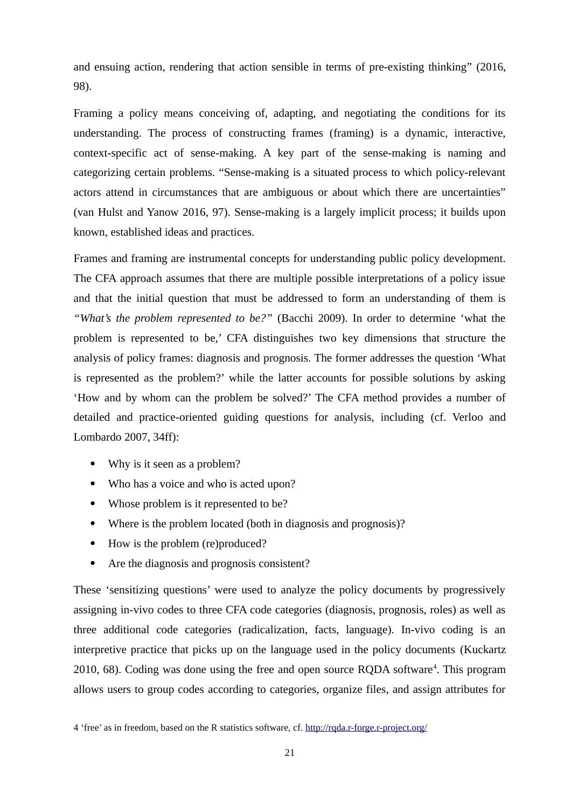and ensuing action, rendering that action sensible in terms of pre-existing thinking" (2016, 98).

Framing a policy means conceiving of, adapting, and negotiating the conditions for its understanding. The process of constructing frames (framing) is a dynamic, interactive, context-specific act of sense-making. A key part of the sense-making is naming and categorizing certain problems. "Sense-making is a situated process to which policy-relevant actors attend in circumstances that are ambiguous or about which there are uncertainties" (van Hulst and Yanow 2016, 97). Sense-making is a largely implicit process; it builds upon known, established ideas and practices.

Frames and framing are instrumental concepts for understanding public policy development. The CFA approach assumes that there are multiple possible interpretations of a policy issue and that the initial question that must be addressed to form an understanding of them is *"What's the problem represented to be?"* (Bacchi 2009). In order to determine 'what the problem is represented to be,' CFA distinguishes two key dimensions that structure the analysis of policy frames: diagnosis and prognosis. The former addresses the question 'What is represented as the problem?' while the latter accounts for possible solutions by asking 'How and by whom can the problem be solved?' The CFA method provides a number of detailed and practice-oriented guiding questions for analysis, including (cf. Verloo and Lombardo 2007, 34ff):

- Why is it seen as a problem?
- Who has a voice and who is acted upon?
- Whose problem is it represented to be?
- Where is the problem located (both in diagnosis and prognosis)?
- How is the problem (re)produced?
- Are the diagnosis and prognosis consistent?

These 'sensitizing questions' were used to analyze the policy documents by progressively assigning in-vivo codes to three CFA code categories (diagnosis, prognosis, roles) as well as three additional code categories (radicalization, facts, language). In-vivo coding is an interpretive practice that picks up on the language used in the policy documents (Kuckartz 2010, 68). Coding was done using the free and open source RQDA software<sup>[4](#page-23-0)</sup>. This program allows users to group codes according to categories, organize files, and assign attributes for

<span id="page-23-0"></span><sup>4 &#</sup>x27;free' as in freedom, based on the R statistics software, cf.<http://rqda.r-forge.r-project.org/>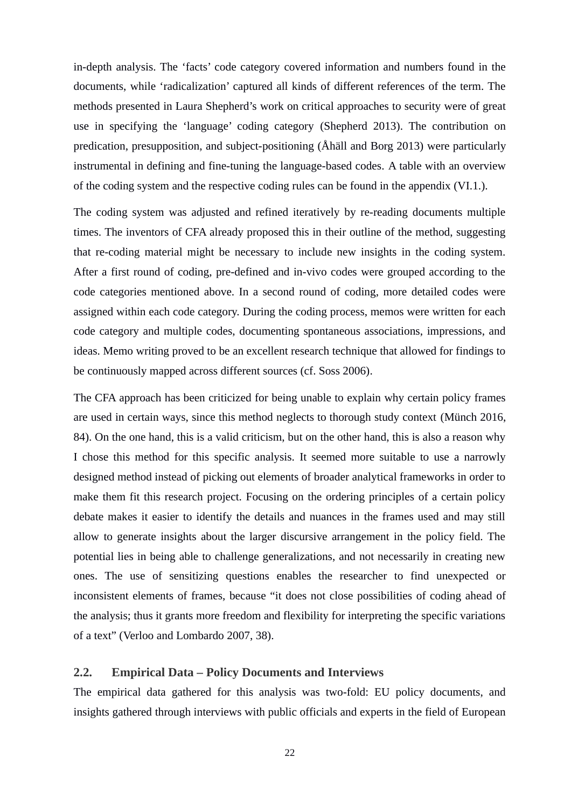in-depth analysis. The 'facts' code category covered information and numbers found in the documents, while 'radicalization' captured all kinds of different references of the term. The methods presented in Laura Shepherd's work on critical approaches to security were of great use in specifying the 'language' coding category (Shepherd 2013). The contribution on predication, presupposition, and subject-positioning (Åhäll and Borg 2013) were particularly instrumental in defining and fine-tuning the language-based codes. A table with an overview of the coding system and the respective coding rules can be found in the appendix (VI.1.).

The coding system was adjusted and refined iteratively by re-reading documents multiple times. The inventors of CFA already proposed this in their outline of the method, suggesting that re-coding material might be necessary to include new insights in the coding system. After a first round of coding, pre-defined and in-vivo codes were grouped according to the code categories mentioned above. In a second round of coding, more detailed codes were assigned within each code category. During the coding process, memos were written for each code category and multiple codes, documenting spontaneous associations, impressions, and ideas. Memo writing proved to be an excellent research technique that allowed for findings to be continuously mapped across different sources (cf. Soss 2006).

The CFA approach has been criticized for being unable to explain why certain policy frames are used in certain ways, since this method neglects to thorough study context (Münch 2016, 84). On the one hand, this is a valid criticism, but on the other hand, this is also a reason why I chose this method for this specific analysis. It seemed more suitable to use a narrowly designed method instead of picking out elements of broader analytical frameworks in order to make them fit this research project. Focusing on the ordering principles of a certain policy debate makes it easier to identify the details and nuances in the frames used and may still allow to generate insights about the larger discursive arrangement in the policy field. The potential lies in being able to challenge generalizations, and not necessarily in creating new ones. The use of sensitizing questions enables the researcher to find unexpected or inconsistent elements of frames, because "it does not close possibilities of coding ahead of the analysis; thus it grants more freedom and flexibility for interpreting the specific variations of a text" (Verloo and Lombardo 2007, 38).

# <span id="page-24-0"></span>**2.2. Empirical Data – Policy Documents and Interviews**

The empirical data gathered for this analysis was two-fold: EU policy documents, and insights gathered through interviews with public officials and experts in the field of European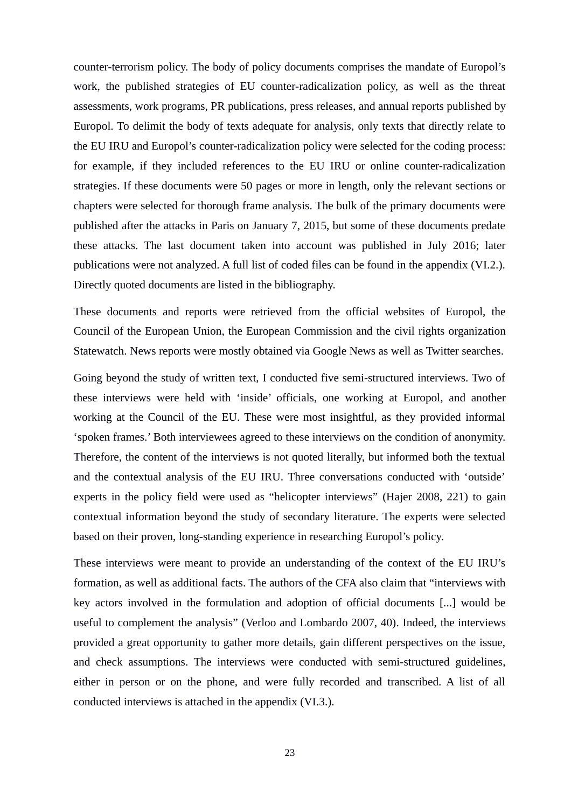counter-terrorism policy. The body of policy documents comprises the mandate of Europol's work, the published strategies of EU counter-radicalization policy, as well as the threat assessments, work programs, PR publications, press releases, and annual reports published by Europol. To delimit the body of texts adequate for analysis, only texts that directly relate to the EU IRU and Europol's counter-radicalization policy were selected for the coding process: for example, if they included references to the EU IRU or online counter-radicalization strategies. If these documents were 50 pages or more in length, only the relevant sections or chapters were selected for thorough frame analysis. The bulk of the primary documents were published after the attacks in Paris on January 7, 2015, but some of these documents predate these attacks. The last document taken into account was published in July 2016; later publications were not analyzed. A full list of coded files can be found in the appendix (VI.2.). Directly quoted documents are listed in the bibliography.

These documents and reports were retrieved from the official websites of Europol, the Council of the European Union, the European Commission and the civil rights organization Statewatch. News reports were mostly obtained via Google News as well as Twitter searches.

Going beyond the study of written text, I conducted five semi-structured interviews. Two of these interviews were held with 'inside' officials, one working at Europol, and another working at the Council of the EU. These were most insightful, as they provided informal 'spoken frames.' Both interviewees agreed to these interviews on the condition of anonymity. Therefore, the content of the interviews is not quoted literally, but informed both the textual and the contextual analysis of the EU IRU. Three conversations conducted with 'outside' experts in the policy field were used as "helicopter interviews" (Hajer 2008, 221) to gain contextual information beyond the study of secondary literature. The experts were selected based on their proven, long-standing experience in researching Europol's policy.

These interviews were meant to provide an understanding of the context of the EU IRU's formation, as well as additional facts. The authors of the CFA also claim that "interviews with key actors involved in the formulation and adoption of official documents [...] would be useful to complement the analysis" (Verloo and Lombardo 2007, 40). Indeed, the interviews provided a great opportunity to gather more details, gain different perspectives on the issue, and check assumptions. The interviews were conducted with semi-structured guidelines, either in person or on the phone, and were fully recorded and transcribed. A list of all conducted interviews is attached in the appendix (VI.3.).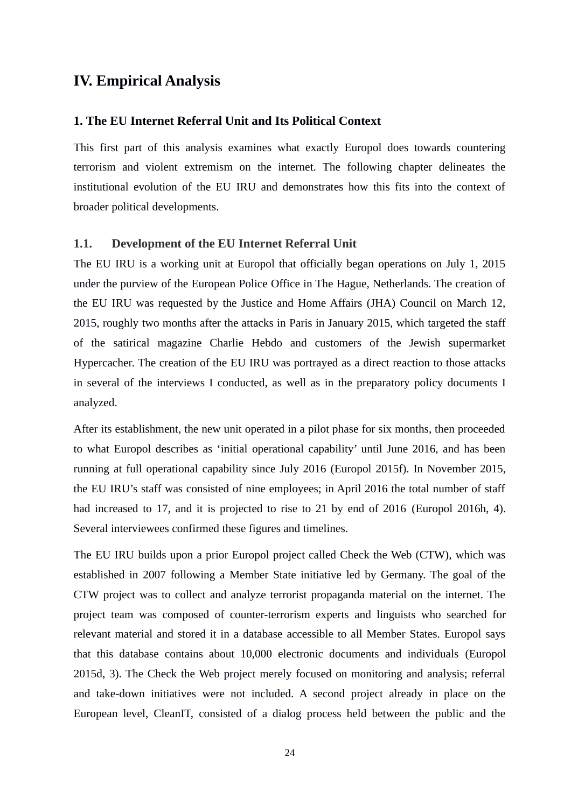# <span id="page-26-2"></span>**IV. Empirical Analysis**

#### <span id="page-26-1"></span>**1. The EU Internet Referral Unit and Its Political Context**

This first part of this analysis examines what exactly Europol does towards countering terrorism and violent extremism on the internet. The following chapter delineates the institutional evolution of the EU IRU and demonstrates how this fits into the context of broader political developments.

#### <span id="page-26-0"></span>**1.1. Development of the EU Internet Referral Unit**

The EU IRU is a working unit at Europol that officially began operations on July 1, 2015 under the purview of the European Police Office in The Hague, Netherlands. The creation of the EU IRU was requested by the Justice and Home Affairs (JHA) Council on March 12, 2015, roughly two months after the attacks in Paris in January 2015, which targeted the staff of the satirical magazine Charlie Hebdo and customers of the Jewish supermarket Hypercacher. The creation of the EU IRU was portrayed as a direct reaction to those attacks in several of the interviews I conducted, as well as in the preparatory policy documents I analyzed.

After its establishment, the new unit operated in a pilot phase for six months, then proceeded to what Europol describes as 'initial operational capability' until June 2016, and has been running at full operational capability since July 2016 (Europol 2015f). In November 2015, the EU IRU's staff was consisted of nine employees; in April 2016 the total number of staff had increased to 17, and it is projected to rise to 21 by end of 2016 (Europol 2016h, 4). Several interviewees confirmed these figures and timelines.

The EU IRU builds upon a prior Europol project called Check the Web (CTW), which was established in 2007 following a Member State initiative led by Germany. The goal of the CTW project was to collect and analyze terrorist propaganda material on the internet. The project team was composed of counter-terrorism experts and linguists who searched for relevant material and stored it in a database accessible to all Member States. Europol says that this database contains about 10,000 electronic documents and individuals (Europol 2015d, 3). The Check the Web project merely focused on monitoring and analysis; referral and take-down initiatives were not included. A second project already in place on the European level, CleanIT, consisted of a dialog process held between the public and the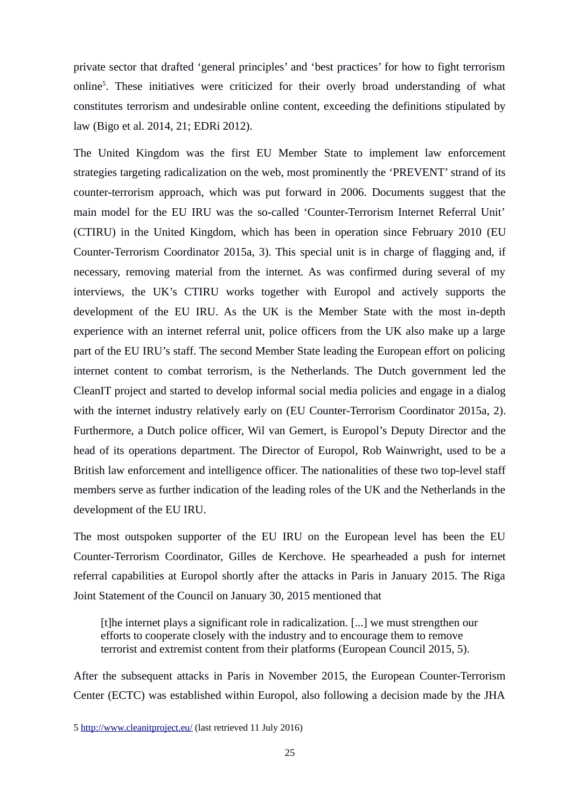private sector that drafted 'general principles' and 'best practices' for how to fight terrorism online<sup>[5](#page-27-0)</sup>. These initiatives were criticized for their overly broad understanding of what constitutes terrorism and undesirable online content, exceeding the definitions stipulated by law (Bigo et al. 2014, 21; EDRi 2012).

The United Kingdom was the first EU Member State to implement law enforcement strategies targeting radicalization on the web, most prominently the 'PREVENT' strand of its counter-terrorism approach, which was put forward in 2006. Documents suggest that the main model for the EU IRU was the so-called 'Counter-Terrorism Internet Referral Unit' (CTIRU) in the United Kingdom, which has been in operation since February 2010 (EU Counter-Terrorism Coordinator 2015a, 3). This special unit is in charge of flagging and, if necessary, removing material from the internet. As was confirmed during several of my interviews, the UK's CTIRU works together with Europol and actively supports the development of the EU IRU. As the UK is the Member State with the most in-depth experience with an internet referral unit, police officers from the UK also make up a large part of the EU IRU's staff. The second Member State leading the European effort on policing internet content to combat terrorism, is the Netherlands. The Dutch government led the CleanIT project and started to develop informal social media policies and engage in a dialog with the internet industry relatively early on (EU Counter-Terrorism Coordinator 2015a, 2). Furthermore, a Dutch police officer, Wil van Gemert, is Europol's Deputy Director and the head of its operations department. The Director of Europol, Rob Wainwright, used to be a British law enforcement and intelligence officer. The nationalities of these two top-level staff members serve as further indication of the leading roles of the UK and the Netherlands in the development of the EU IRU.

The most outspoken supporter of the EU IRU on the European level has been the EU Counter-Terrorism Coordinator, Gilles de Kerchove. He spearheaded a push for internet referral capabilities at Europol shortly after the attacks in Paris in January 2015. The Riga Joint Statement of the Council on January 30, 2015 mentioned that

[t]he internet plays a significant role in radicalization. [...] we must strengthen our efforts to cooperate closely with the industry and to encourage them to remove terrorist and extremist content from their platforms (European Council 2015, 5).

After the subsequent attacks in Paris in November 2015, the European Counter-Terrorism Center (ECTC) was established within Europol, also following a decision made by the JHA

<span id="page-27-0"></span><sup>5</sup> <http://www.cleanitproject.eu/>(last retrieved 11 July 2016)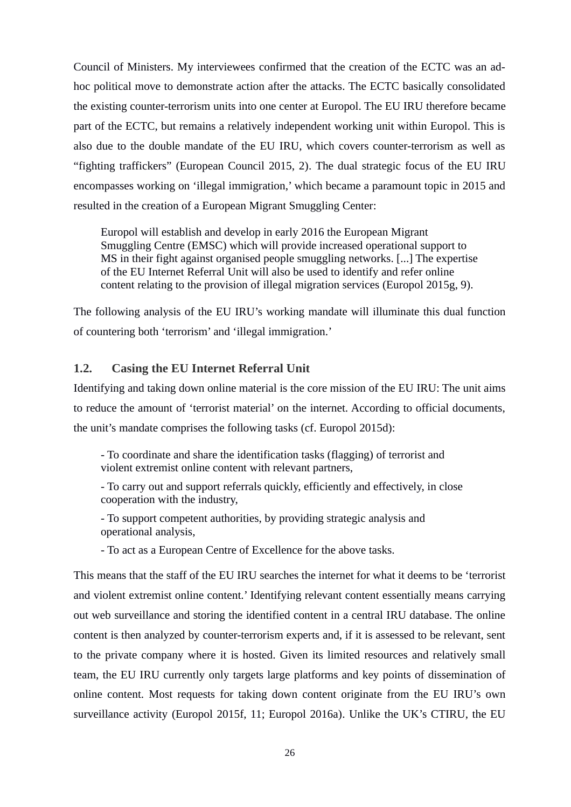Council of Ministers. My interviewees confirmed that the creation of the ECTC was an adhoc political move to demonstrate action after the attacks. The ECTC basically consolidated the existing counter-terrorism units into one center at Europol. The EU IRU therefore became part of the ECTC, but remains a relatively independent working unit within Europol. This is also due to the double mandate of the EU IRU, which covers counter-terrorism as well as "fighting traffickers" (European Council 2015, 2). The dual strategic focus of the EU IRU encompasses working on 'illegal immigration,' which became a paramount topic in 2015 and resulted in the creation of a European Migrant Smuggling Center:

Europol will establish and develop in early 2016 the European Migrant Smuggling Centre (EMSC) which will provide increased operational support to MS in their fight against organised people smuggling networks. [...] The expertise of the EU Internet Referral Unit will also be used to identify and refer online content relating to the provision of illegal migration services (Europol 2015g, 9).

The following analysis of the EU IRU's working mandate will illuminate this dual function of countering both 'terrorism' and 'illegal immigration.'

# <span id="page-28-0"></span>**1.2. Casing the EU Internet Referral Unit**

Identifying and taking down online material is the core mission of the EU IRU: The unit aims to reduce the amount of 'terrorist material' on the internet. According to official documents, the unit's mandate comprises the following tasks (cf. Europol 2015d):

- To coordinate and share the identification tasks (flagging) of terrorist and violent extremist online content with relevant partners,

- To carry out and support referrals quickly, efficiently and effectively, in close cooperation with the industry,

- To support competent authorities, by providing strategic analysis and operational analysis,

- To act as a European Centre of Excellence for the above tasks.

This means that the staff of the EU IRU searches the internet for what it deems to be 'terrorist and violent extremist online content.' Identifying relevant content essentially means carrying out web surveillance and storing the identified content in a central IRU database. The online content is then analyzed by counter-terrorism experts and, if it is assessed to be relevant, sent to the private company where it is hosted. Given its limited resources and relatively small team, the EU IRU currently only targets large platforms and key points of dissemination of online content. Most requests for taking down content originate from the EU IRU's own surveillance activity (Europol 2015f, 11; Europol 2016a). Unlike the UK's CTIRU, the EU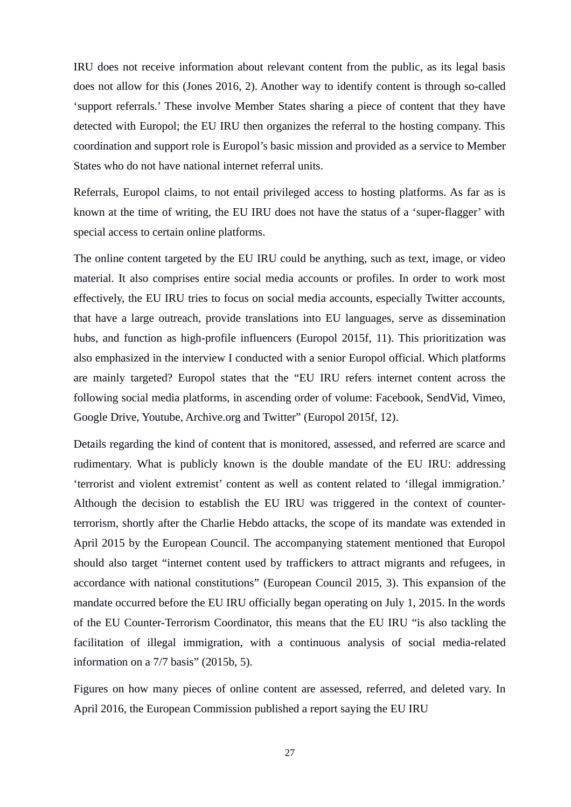IRU does not receive information about relevant content from the public, as its legal basis does not allow for this (Jones 2016, 2). Another way to identify content is through so-called 'support referrals.' These involve Member States sharing a piece of content that they have detected with Europol; the EU IRU then organizes the referral to the hosting company. This coordination and support role is Europol's basic mission and provided as a service to Member States who do not have national internet referral units.

Referrals, Europol claims, to not entail privileged access to hosting platforms. As far as is known at the time of writing, the EU IRU does not have the status of a 'super-flagger' with special access to certain online platforms.

The online content targeted by the EU IRU could be anything, such as text, image, or video material. It also comprises entire social media accounts or profiles. In order to work most effectively, the EU IRU tries to focus on social media accounts, especially Twitter accounts, that have a large outreach, provide translations into EU languages, serve as dissemination hubs, and function as high-profile influencers (Europol 2015f, 11). This prioritization was also emphasized in the interview I conducted with a senior Europol official. Which platforms are mainly targeted? Europol states that the "EU IRU refers internet content across the following social media platforms, in ascending order of volume: Facebook, SendVid, Vimeo, Google Drive, Youtube, Archive.org and Twitter" (Europol 2015f, 12).

Details regarding the kind of content that is monitored, assessed, and referred are scarce and rudimentary. What is publicly known is the double mandate of the EU IRU: addressing 'terrorist and violent extremist' content as well as content related to 'illegal immigration.' Although the decision to establish the EU IRU was triggered in the context of counterterrorism, shortly after the Charlie Hebdo attacks, the scope of its mandate was extended in April 2015 by the European Council. The accompanying statement mentioned that Europol should also target "internet content used by traffickers to attract migrants and refugees, in accordance with national constitutions" (European Council 2015, 3). This expansion of the mandate occurred before the EU IRU officially began operating on July 1, 2015. In the words of the EU Counter-Terrorism Coordinator, this means that the EU IRU "is also tackling the facilitation of illegal immigration, with a continuous analysis of social media-related information on a 7/7 basis" (2015b, 5).

Figures on how many pieces of online content are assessed, referred, and deleted vary. In April 2016, the European Commission published a report saying the EU IRU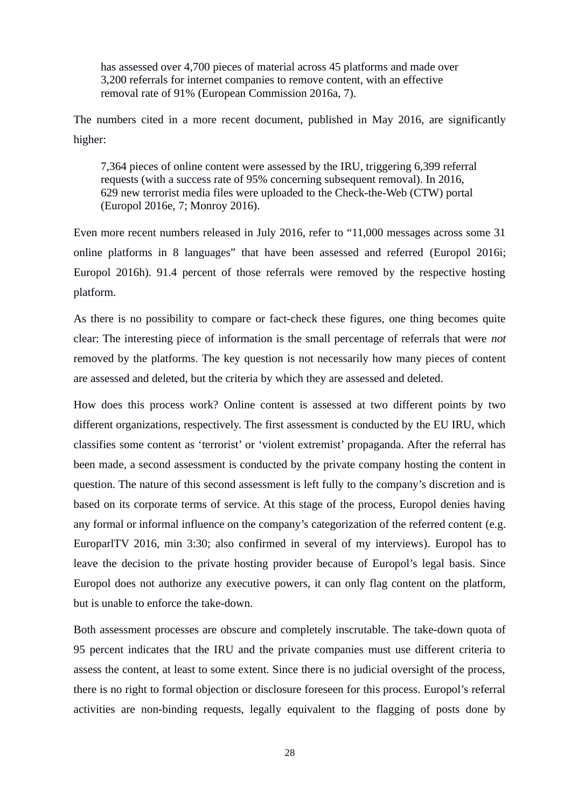has assessed over 4,700 pieces of material across 45 platforms and made over 3,200 referrals for internet companies to remove content, with an effective removal rate of 91% (European Commission 2016a, 7).

The numbers cited in a more recent document, published in May 2016, are significantly higher:

7,364 pieces of online content were assessed by the IRU, triggering 6,399 referral requests (with a success rate of 95% concerning subsequent removal). In 2016, 629 new terrorist media files were uploaded to the Check-the-Web (CTW) portal (Europol 2016e, 7; Monroy 2016).

Even more recent numbers released in July 2016, refer to "11,000 messages across some 31 online platforms in 8 languages" that have been assessed and referred (Europol 2016i; Europol 2016h). 91.4 percent of those referrals were removed by the respective hosting platform.

As there is no possibility to compare or fact-check these figures, one thing becomes quite clear: The interesting piece of information is the small percentage of referrals that were *not* removed by the platforms. The key question is not necessarily how many pieces of content are assessed and deleted, but the criteria by which they are assessed and deleted.

How does this process work? Online content is assessed at two different points by two different organizations, respectively. The first assessment is conducted by the EU IRU, which classifies some content as 'terrorist' or 'violent extremist' propaganda. After the referral has been made, a second assessment is conducted by the private company hosting the content in question. The nature of this second assessment is left fully to the company's discretion and is based on its corporate terms of service. At this stage of the process, Europol denies having any formal or informal influence on the company's categorization of the referred content (e.g. EuroparlTV 2016, min 3:30; also confirmed in several of my interviews). Europol has to leave the decision to the private hosting provider because of Europol's legal basis. Since Europol does not authorize any executive powers, it can only flag content on the platform, but is unable to enforce the take-down.

Both assessment processes are obscure and completely inscrutable. The take-down quota of 95 percent indicates that the IRU and the private companies must use different criteria to assess the content, at least to some extent. Since there is no judicial oversight of the process, there is no right to formal objection or disclosure foreseen for this process. Europol's referral activities are non-binding requests, legally equivalent to the flagging of posts done by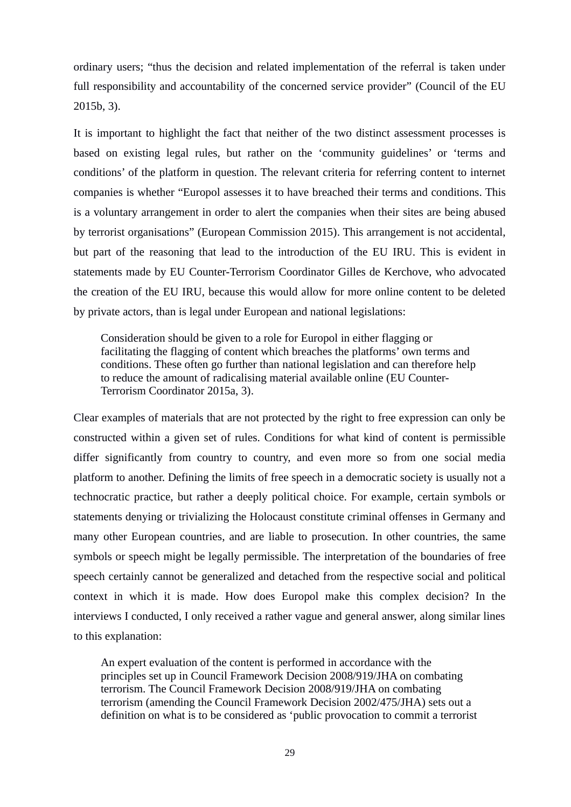ordinary users; "thus the decision and related implementation of the referral is taken under full responsibility and accountability of the concerned service provider" (Council of the EU 2015b, 3).

It is important to highlight the fact that neither of the two distinct assessment processes is based on existing legal rules, but rather on the 'community guidelines' or 'terms and conditions' of the platform in question. The relevant criteria for referring content to internet companies is whether "Europol assesses it to have breached their terms and conditions. This is a voluntary arrangement in order to alert the companies when their sites are being abused by terrorist organisations" (European Commission 2015). This arrangement is not accidental, but part of the reasoning that lead to the introduction of the EU IRU. This is evident in statements made by EU Counter-Terrorism Coordinator Gilles de Kerchove, who advocated the creation of the EU IRU, because this would allow for more online content to be deleted by private actors, than is legal under European and national legislations:

Consideration should be given to a role for Europol in either flagging or facilitating the flagging of content which breaches the platforms' own terms and conditions. These often go further than national legislation and can therefore help to reduce the amount of radicalising material available online (EU Counter-Terrorism Coordinator 2015a, 3).

Clear examples of materials that are not protected by the right to free expression can only be constructed within a given set of rules. Conditions for what kind of content is permissible differ significantly from country to country, and even more so from one social media platform to another. Defining the limits of free speech in a democratic society is usually not a technocratic practice, but rather a deeply political choice. For example, certain symbols or statements denying or trivializing the Holocaust constitute criminal offenses in Germany and many other European countries, and are liable to prosecution. In other countries, the same symbols or speech might be legally permissible. The interpretation of the boundaries of free speech certainly cannot be generalized and detached from the respective social and political context in which it is made. How does Europol make this complex decision? In the interviews I conducted, I only received a rather vague and general answer, along similar lines to this explanation:

An expert evaluation of the content is performed in accordance with the principles set up in Council Framework Decision 2008/919/JHA on combating terrorism. The Council Framework Decision 2008/919/JHA on combating terrorism (amending the Council Framework Decision 2002/475/JHA) sets out a definition on what is to be considered as 'public provocation to commit a terrorist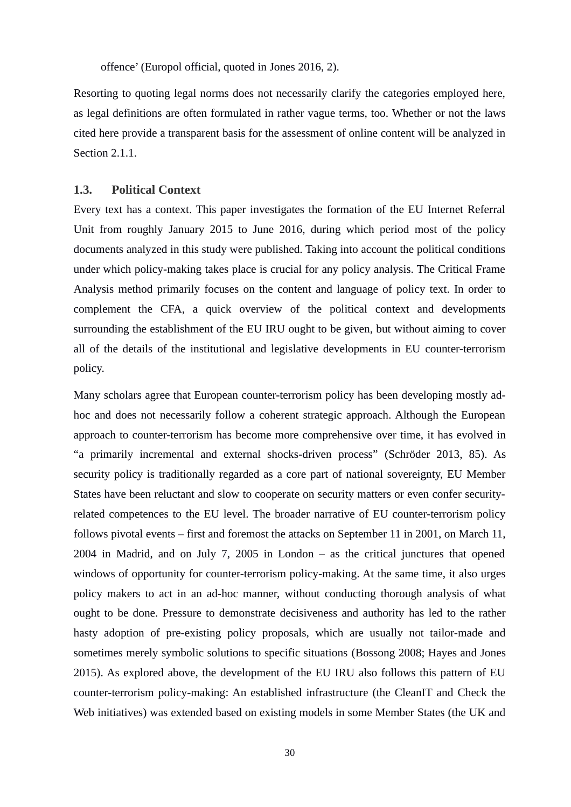offence' (Europol official, quoted in Jones 2016, 2).

Resorting to quoting legal norms does not necessarily clarify the categories employed here, as legal definitions are often formulated in rather vague terms, too. Whether or not the laws cited here provide a transparent basis for the assessment of online content will be analyzed in Section 2.1.1.

#### <span id="page-32-0"></span>**1.3. Political Context**

Every text has a context. This paper investigates the formation of the EU Internet Referral Unit from roughly January 2015 to June 2016, during which period most of the policy documents analyzed in this study were published. Taking into account the political conditions under which policy-making takes place is crucial for any policy analysis. The Critical Frame Analysis method primarily focuses on the content and language of policy text. In order to complement the CFA, a quick overview of the political context and developments surrounding the establishment of the EU IRU ought to be given, but without aiming to cover all of the details of the institutional and legislative developments in EU counter-terrorism policy.

Many scholars agree that European counter-terrorism policy has been developing mostly adhoc and does not necessarily follow a coherent strategic approach. Although the European approach to counter-terrorism has become more comprehensive over time, it has evolved in "a primarily incremental and external shocks-driven process" (Schröder 2013, 85). As security policy is traditionally regarded as a core part of national sovereignty, EU Member States have been reluctant and slow to cooperate on security matters or even confer securityrelated competences to the EU level. The broader narrative of EU counter-terrorism policy follows pivotal events – first and foremost the attacks on September 11 in 2001, on March 11, 2004 in Madrid, and on July 7, 2005 in London – as the critical junctures that opened windows of opportunity for counter-terrorism policy-making. At the same time, it also urges policy makers to act in an ad-hoc manner, without conducting thorough analysis of what ought to be done. Pressure to demonstrate decisiveness and authority has led to the rather hasty adoption of pre-existing policy proposals, which are usually not tailor-made and sometimes merely symbolic solutions to specific situations (Bossong 2008; Hayes and Jones 2015). As explored above, the development of the EU IRU also follows this pattern of EU counter-terrorism policy-making: An established infrastructure (the CleanIT and Check the Web initiatives) was extended based on existing models in some Member States (the UK and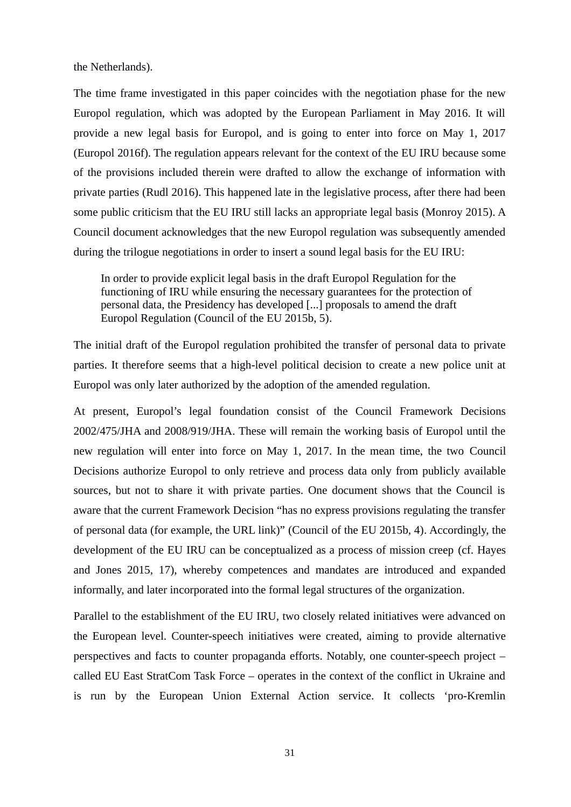the Netherlands).

The time frame investigated in this paper coincides with the negotiation phase for the new Europol regulation, which was adopted by the European Parliament in May 2016. It will provide a new legal basis for Europol, and is going to enter into force on May 1, 2017 (Europol 2016f). The regulation appears relevant for the context of the EU IRU because some of the provisions included therein were drafted to allow the exchange of information with private parties (Rudl 2016). This happened late in the legislative process, after there had been some public criticism that the EU IRU still lacks an appropriate legal basis (Monroy 2015). A Council document acknowledges that the new Europol regulation was subsequently amended during the trilogue negotiations in order to insert a sound legal basis for the EU IRU:

In order to provide explicit legal basis in the draft Europol Regulation for the functioning of IRU while ensuring the necessary guarantees for the protection of personal data, the Presidency has developed [...] proposals to amend the draft Europol Regulation (Council of the EU 2015b, 5).

The initial draft of the Europol regulation prohibited the transfer of personal data to private parties. It therefore seems that a high-level political decision to create a new police unit at Europol was only later authorized by the adoption of the amended regulation.

At present, Europol's legal foundation consist of the Council Framework Decisions 2002/475/JHA and 2008/919/JHA. These will remain the working basis of Europol until the new regulation will enter into force on May 1, 2017. In the mean time, the two Council Decisions authorize Europol to only retrieve and process data only from publicly available sources, but not to share it with private parties. One document shows that the Council is aware that the current Framework Decision "has no express provisions regulating the transfer of personal data (for example, the URL link)" (Council of the EU 2015b, 4). Accordingly, the development of the EU IRU can be conceptualized as a process of mission creep (cf. Hayes and Jones 2015, 17), whereby competences and mandates are introduced and expanded informally, and later incorporated into the formal legal structures of the organization.

Parallel to the establishment of the EU IRU, two closely related initiatives were advanced on the European level. Counter-speech initiatives were created, aiming to provide alternative perspectives and facts to counter propaganda efforts. Notably, one counter-speech project – called EU East StratCom Task Force – operates in the context of the conflict in Ukraine and is run by the European Union External Action service. It collects 'pro-Kremlin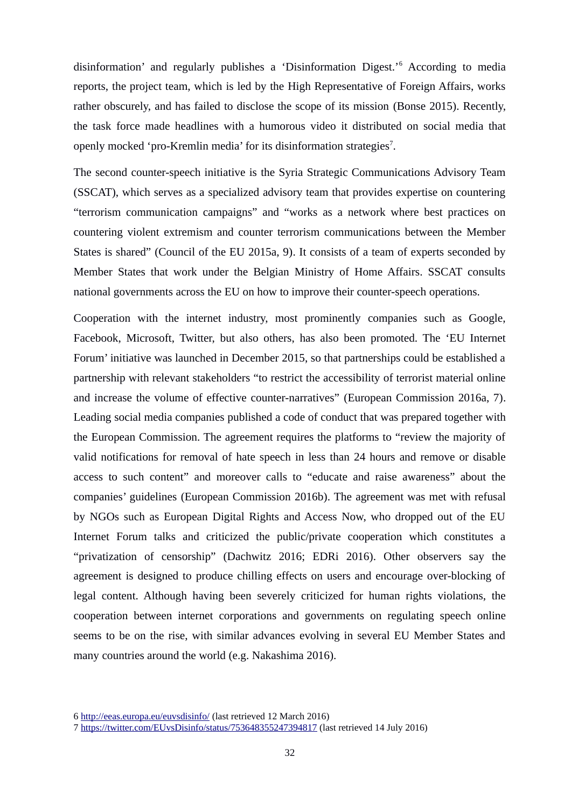disinformation' and regularly publishes a 'Disinformation Digest.'[6](#page-34-0) According to media reports, the project team, which is led by the High Representative of Foreign Affairs, works rather obscurely, and has failed to disclose the scope of its mission (Bonse 2015). Recently, the task force made headlines with a humorous video it distributed on social media that openly mocked 'pro-Kremlin media' for its disinformation strategies<sup>[7](#page-34-1)</sup>.

The second counter-speech initiative is the Syria Strategic Communications Advisory Team (SSCAT), which serves as a specialized advisory team that provides expertise on countering "terrorism communication campaigns" and "works as a network where best practices on countering violent extremism and counter terrorism communications between the Member States is shared" (Council of the EU 2015a, 9). It consists of a team of experts seconded by Member States that work under the Belgian Ministry of Home Affairs. SSCAT consults national governments across the EU on how to improve their counter-speech operations.

Cooperation with the internet industry, most prominently companies such as Google, Facebook, Microsoft, Twitter, but also others, has also been promoted. The 'EU Internet Forum' initiative was launched in December 2015, so that partnerships could be established a partnership with relevant stakeholders "to restrict the accessibility of terrorist material online and increase the volume of effective counter-narratives" (European Commission 2016a, 7). Leading social media companies published a code of conduct that was prepared together with the European Commission. The agreement requires the platforms to "review the majority of valid notifications for removal of hate speech in less than 24 hours and remove or disable access to such content" and moreover calls to "educate and raise awareness" about the companies' guidelines (European Commission 2016b). The agreement was met with refusal by NGOs such as European Digital Rights and Access Now, who dropped out of the EU Internet Forum talks and criticized the public/private cooperation which constitutes a "privatization of censorship" (Dachwitz 2016; EDRi 2016). Other observers say the agreement is designed to produce chilling effects on users and encourage over-blocking of legal content. Although having been severely criticized for human rights violations, the cooperation between internet corporations and governments on regulating speech online seems to be on the rise, with similar advances evolving in several EU Member States and many countries around the world (e.g. Nakashima 2016).

<span id="page-34-0"></span>6 <http://eeas.europa.eu/euvsdisinfo/>(last retrieved 12 March 2016)

<span id="page-34-1"></span><sup>7</sup> <https://twitter.com/EUvsDisinfo/status/753648355247394817>(last retrieved 14 July 2016)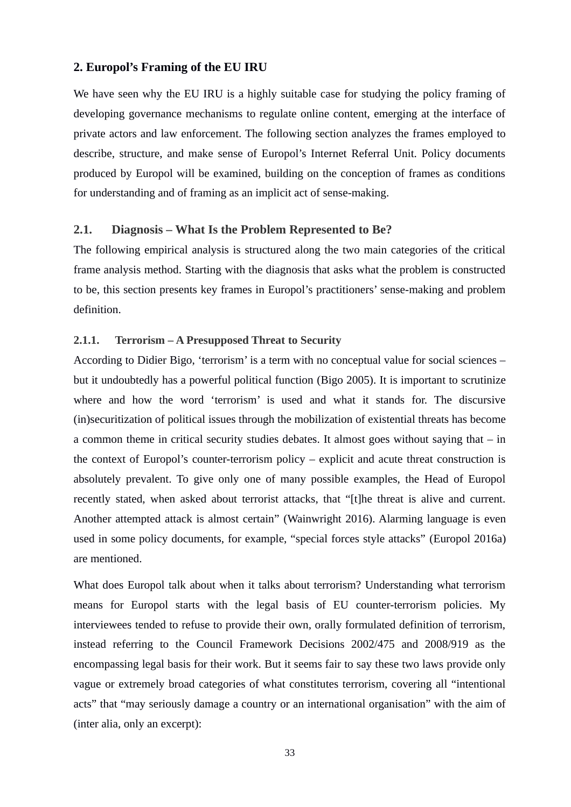## <span id="page-35-2"></span>**2. Europol's Framing of the EU IRU**

We have seen why the EU IRU is a highly suitable case for studying the policy framing of developing governance mechanisms to regulate online content, emerging at the interface of private actors and law enforcement. The following section analyzes the frames employed to describe, structure, and make sense of Europol's Internet Referral Unit. Policy documents produced by Europol will be examined, building on the conception of frames as conditions for understanding and of framing as an implicit act of sense-making.

#### <span id="page-35-1"></span>**2.1. Diagnosis – What Is the Problem Represented to Be?**

The following empirical analysis is structured along the two main categories of the critical frame analysis method. Starting with the diagnosis that asks what the problem is constructed to be, this section presents key frames in Europol's practitioners' sense-making and problem definition.

#### <span id="page-35-0"></span>**2.1.1. Terrorism – A Presupposed Threat to Security**

According to Didier Bigo, 'terrorism' is a term with no conceptual value for social sciences – but it undoubtedly has a powerful political function (Bigo 2005). It is important to scrutinize where and how the word 'terrorism' is used and what it stands for. The discursive (in)securitization of political issues through the mobilization of existential threats has become a common theme in critical security studies debates. It almost goes without saying that  $-$  in the context of Europol's counter-terrorism policy – explicit and acute threat construction is absolutely prevalent. To give only one of many possible examples, the Head of Europol recently stated, when asked about terrorist attacks, that "[t]he threat is alive and current. Another attempted attack is almost certain" (Wainwright 2016). Alarming language is even used in some policy documents, for example, "special forces style attacks" (Europol 2016a) are mentioned.

What does Europol talk about when it talks about terrorism? Understanding what terrorism means for Europol starts with the legal basis of EU counter-terrorism policies. My interviewees tended to refuse to provide their own, orally formulated definition of terrorism, instead referring to the Council Framework Decisions 2002/475 and 2008/919 as the encompassing legal basis for their work. But it seems fair to say these two laws provide only vague or extremely broad categories of what constitutes terrorism, covering all "intentional acts" that "may seriously damage a country or an international organisation" with the aim of (inter alia, only an excerpt):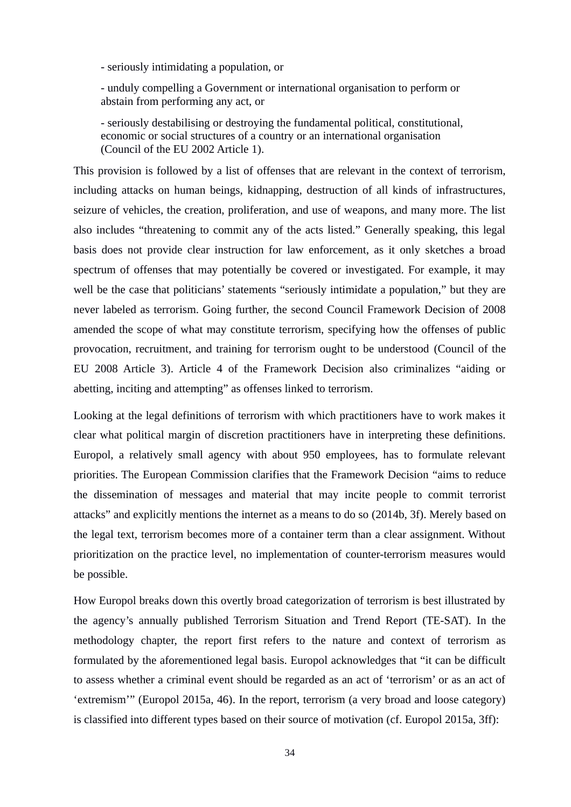- seriously intimidating a population, or

- unduly compelling a Government or international organisation to perform or abstain from performing any act, or

- seriously destabilising or destroying the fundamental political, constitutional, economic or social structures of a country or an international organisation (Council of the EU 2002 Article 1).

This provision is followed by a list of offenses that are relevant in the context of terrorism, including attacks on human beings, kidnapping, destruction of all kinds of infrastructures, seizure of vehicles, the creation, proliferation, and use of weapons, and many more. The list also includes "threatening to commit any of the acts listed." Generally speaking, this legal basis does not provide clear instruction for law enforcement, as it only sketches a broad spectrum of offenses that may potentially be covered or investigated. For example, it may well be the case that politicians' statements "seriously intimidate a population," but they are never labeled as terrorism. Going further, the second Council Framework Decision of 2008 amended the scope of what may constitute terrorism, specifying how the offenses of public provocation, recruitment, and training for terrorism ought to be understood (Council of the EU 2008 Article 3). Article 4 of the Framework Decision also criminalizes "aiding or abetting, inciting and attempting" as offenses linked to terrorism.

Looking at the legal definitions of terrorism with which practitioners have to work makes it clear what political margin of discretion practitioners have in interpreting these definitions. Europol, a relatively small agency with about 950 employees, has to formulate relevant priorities. The European Commission clarifies that the Framework Decision "aims to reduce the dissemination of messages and material that may incite people to commit terrorist attacks" and explicitly mentions the internet as a means to do so (2014b, 3f). Merely based on the legal text, terrorism becomes more of a container term than a clear assignment. Without prioritization on the practice level, no implementation of counter-terrorism measures would be possible.

How Europol breaks down this overtly broad categorization of terrorism is best illustrated by the agency's annually published Terrorism Situation and Trend Report (TE-SAT). In the methodology chapter, the report first refers to the nature and context of terrorism as formulated by the aforementioned legal basis. Europol acknowledges that "it can be difficult to assess whether a criminal event should be regarded as an act of 'terrorism' or as an act of 'extremism'" (Europol 2015a, 46). In the report, terrorism (a very broad and loose category) is classified into different types based on their source of motivation (cf. Europol 2015a, 3ff):

34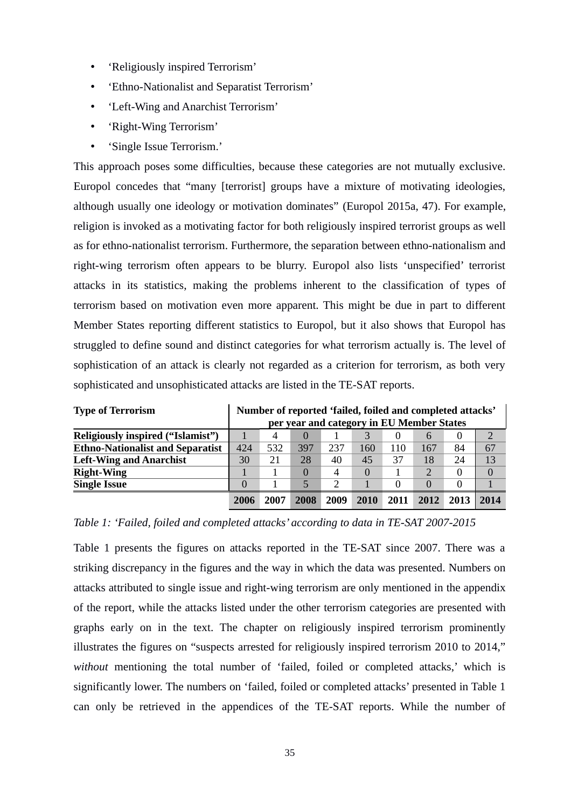- 'Religiously inspired Terrorism'
- 'Ethno-Nationalist and Separatist Terrorism'
- 'Left-Wing and Anarchist Terrorism'
- 'Right-Wing Terrorism'
- 'Single Issue Terrorism.'

This approach poses some difficulties, because these categories are not mutually exclusive. Europol concedes that "many [terrorist] groups have a mixture of motivating ideologies, although usually one ideology or motivation dominates" (Europol 2015a, 47). For example, religion is invoked as a motivating factor for both religiously inspired terrorist groups as well as for ethno-nationalist terrorism. Furthermore, the separation between ethno-nationalism and right-wing terrorism often appears to be blurry. Europol also lists 'unspecified' terrorist attacks in its statistics, making the problems inherent to the classification of types of terrorism based on motivation even more apparent. This might be due in part to different Member States reporting different statistics to Europol, but it also shows that Europol has struggled to define sound and distinct categories for what terrorism actually is. The level of sophistication of an attack is clearly not regarded as a criterion for terrorism, as both very sophisticated and unsophisticated attacks are listed in the TE-SAT reports.

| <b>Type of Terrorism</b>                 | Number of reported 'failed, foiled and completed attacks' |      |              |      |          |      |                                           |      |               |
|------------------------------------------|-----------------------------------------------------------|------|--------------|------|----------|------|-------------------------------------------|------|---------------|
|                                          |                                                           |      |              |      |          |      | per year and category in EU Member States |      |               |
| <b>Religiously inspired ("Islamist")</b> |                                                           |      | $\mathbf{0}$ |      |          |      | 6                                         |      | $\mathcal{D}$ |
| <b>Ethno-Nationalist and Separatist</b>  | 424                                                       | 532  | 397          | 237  | 160      | 110  | 167                                       | 84   | 67            |
| <b>Left-Wing and Anarchist</b>           | 30                                                        | 21   | 28           | 40   | 45       | 37   | 18                                        | 24   | 13            |
| <b>Right-Wing</b>                        |                                                           |      | 0            | 4    | $\Omega$ |      | 2                                         |      | $\Omega$      |
| <b>Single Issue</b>                      | 0                                                         |      | 5            |      |          | 0    | 0                                         |      |               |
|                                          | 2006                                                      | 2007 | 2008         | 2009 | 2010     | 2011 | 2012                                      | 2013 | 2014          |

*Table 1: 'Failed, foiled and completed attacks' according to data in TE-SAT 2007-2015*

Table 1 presents the figures on attacks reported in the TE-SAT since 2007. There was a striking discrepancy in the figures and the way in which the data was presented. Numbers on attacks attributed to single issue and right-wing terrorism are only mentioned in the appendix of the report, while the attacks listed under the other terrorism categories are presented with graphs early on in the text. The chapter on religiously inspired terrorism prominently illustrates the figures on "suspects arrested for religiously inspired terrorism 2010 to 2014," *without* mentioning the total number of 'failed, foiled or completed attacks,' which is significantly lower. The numbers on 'failed, foiled or completed attacks' presented in Table 1 can only be retrieved in the appendices of the TE-SAT reports. While the number of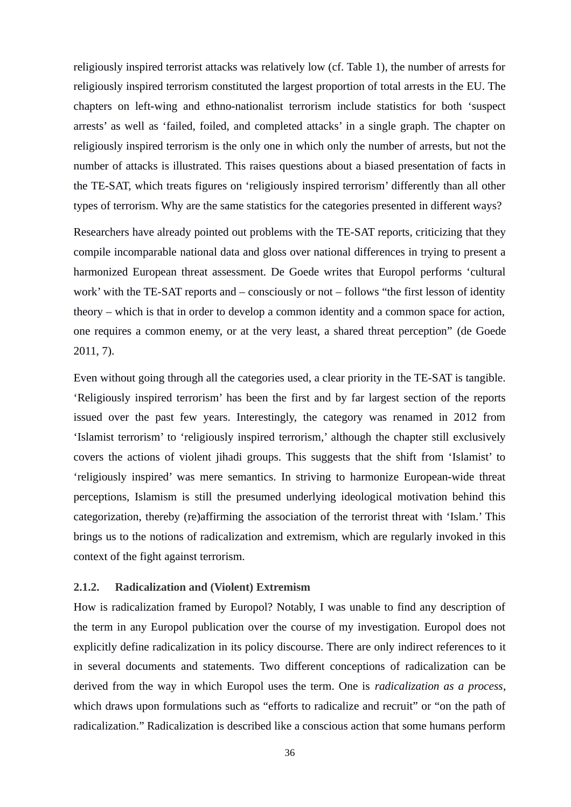religiously inspired terrorist attacks was relatively low (cf. Table 1), the number of arrests for religiously inspired terrorism constituted the largest proportion of total arrests in the EU. The chapters on left-wing and ethno-nationalist terrorism include statistics for both 'suspect arrests' as well as 'failed, foiled, and completed attacks' in a single graph. The chapter on religiously inspired terrorism is the only one in which only the number of arrests, but not the number of attacks is illustrated. This raises questions about a biased presentation of facts in the TE-SAT, which treats figures on 'religiously inspired terrorism' differently than all other types of terrorism. Why are the same statistics for the categories presented in different ways?

Researchers have already pointed out problems with the TE-SAT reports, criticizing that they compile incomparable national data and gloss over national differences in trying to present a harmonized European threat assessment. De Goede writes that Europol performs 'cultural work' with the TE-SAT reports and – consciously or not – follows "the first lesson of identity theory – which is that in order to develop a common identity and a common space for action, one requires a common enemy, or at the very least, a shared threat perception" (de Goede 2011, 7).

Even without going through all the categories used, a clear priority in the TE-SAT is tangible. 'Religiously inspired terrorism' has been the first and by far largest section of the reports issued over the past few years. Interestingly, the category was renamed in 2012 from 'Islamist terrorism' to 'religiously inspired terrorism,' although the chapter still exclusively covers the actions of violent jihadi groups. This suggests that the shift from 'Islamist' to 'religiously inspired' was mere semantics. In striving to harmonize European-wide threat perceptions, Islamism is still the presumed underlying ideological motivation behind this categorization, thereby (re)affirming the association of the terrorist threat with 'Islam.' This brings us to the notions of radicalization and extremism, which are regularly invoked in this context of the fight against terrorism.

#### **2.1.2. Radicalization and (Violent) Extremism**

How is radicalization framed by Europol? Notably, I was unable to find any description of the term in any Europol publication over the course of my investigation. Europol does not explicitly define radicalization in its policy discourse. There are only indirect references to it in several documents and statements. Two different conceptions of radicalization can be derived from the way in which Europol uses the term. One is *radicalization as a process*, which draws upon formulations such as "efforts to radicalize and recruit" or "on the path of radicalization." Radicalization is described like a conscious action that some humans perform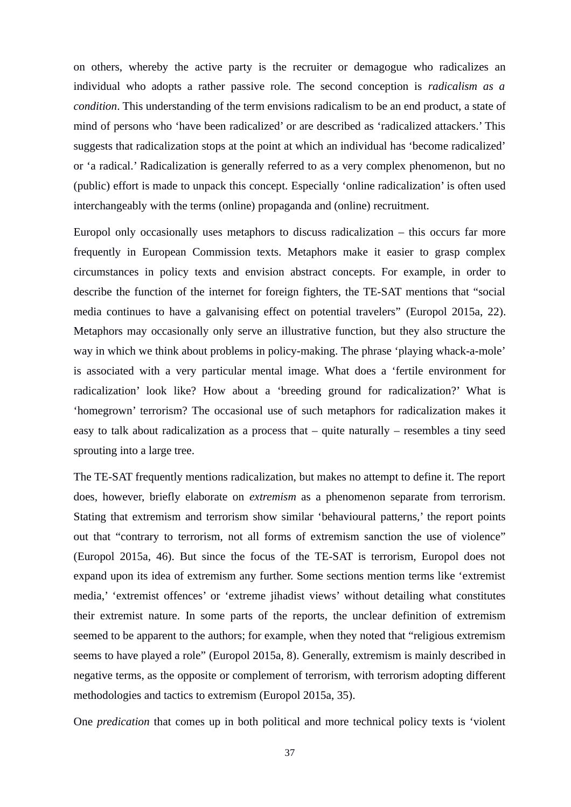on others, whereby the active party is the recruiter or demagogue who radicalizes an individual who adopts a rather passive role. The second conception is *radicalism as a condition*. This understanding of the term envisions radicalism to be an end product, a state of mind of persons who 'have been radicalized' or are described as 'radicalized attackers.' This suggests that radicalization stops at the point at which an individual has 'become radicalized' or 'a radical.' Radicalization is generally referred to as a very complex phenomenon, but no (public) effort is made to unpack this concept. Especially 'online radicalization' is often used interchangeably with the terms (online) propaganda and (online) recruitment.

Europol only occasionally uses metaphors to discuss radicalization  $-$  this occurs far more frequently in European Commission texts. Metaphors make it easier to grasp complex circumstances in policy texts and envision abstract concepts. For example, in order to describe the function of the internet for foreign fighters, the TE-SAT mentions that "social media continues to have a galvanising effect on potential travelers" (Europol 2015a, 22). Metaphors may occasionally only serve an illustrative function, but they also structure the way in which we think about problems in policy-making. The phrase 'playing whack-a-mole' is associated with a very particular mental image. What does a 'fertile environment for radicalization' look like? How about a 'breeding ground for radicalization?' What is 'homegrown' terrorism? The occasional use of such metaphors for radicalization makes it easy to talk about radicalization as a process that  $-$  quite naturally  $-$  resembles a tiny seed sprouting into a large tree.

The TE-SAT frequently mentions radicalization, but makes no attempt to define it. The report does, however, briefly elaborate on *extremism* as a phenomenon separate from terrorism. Stating that extremism and terrorism show similar 'behavioural patterns,' the report points out that "contrary to terrorism, not all forms of extremism sanction the use of violence" (Europol 2015a, 46). But since the focus of the TE-SAT is terrorism, Europol does not expand upon its idea of extremism any further. Some sections mention terms like 'extremist media,' 'extremist offences' or 'extreme jihadist views' without detailing what constitutes their extremist nature. In some parts of the reports, the unclear definition of extremism seemed to be apparent to the authors; for example, when they noted that "religious extremism seems to have played a role" (Europol 2015a, 8). Generally, extremism is mainly described in negative terms, as the opposite or complement of terrorism, with terrorism adopting different methodologies and tactics to extremism (Europol 2015a, 35).

One *predication* that comes up in both political and more technical policy texts is 'violent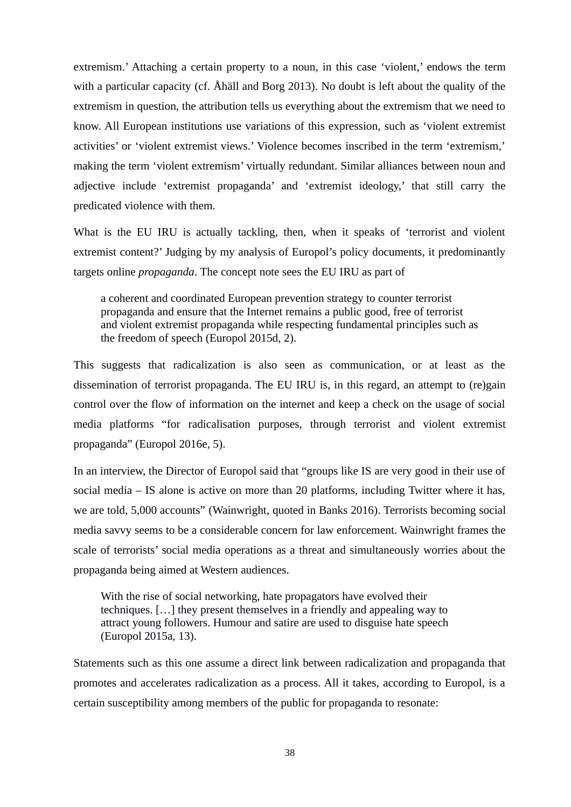extremism.' Attaching a certain property to a noun, in this case 'violent,' endows the term with a particular capacity (cf. Åhäll and Borg 2013). No doubt is left about the quality of the extremism in question, the attribution tells us everything about the extremism that we need to know. All European institutions use variations of this expression, such as 'violent extremist activities' or 'violent extremist views.' Violence becomes inscribed in the term 'extremism,' making the term 'violent extremism' virtually redundant. Similar alliances between noun and adjective include 'extremist propaganda' and 'extremist ideology,' that still carry the predicated violence with them.

What is the EU IRU is actually tackling, then, when it speaks of 'terrorist and violent extremist content?' Judging by my analysis of Europol's policy documents, it predominantly targets online *propaganda*. The concept note sees the EU IRU as part of

a coherent and coordinated European prevention strategy to counter terrorist propaganda and ensure that the Internet remains a public good, free of terrorist and violent extremist propaganda while respecting fundamental principles such as the freedom of speech (Europol 2015d, 2).

This suggests that radicalization is also seen as communication, or at least as the dissemination of terrorist propaganda. The EU IRU is, in this regard, an attempt to (re)gain control over the flow of information on the internet and keep a check on the usage of social media platforms "for radicalisation purposes, through terrorist and violent extremist propaganda" (Europol 2016e, 5).

In an interview, the Director of Europol said that "groups like IS are very good in their use of social media – IS alone is active on more than 20 platforms, including Twitter where it has, we are told, 5,000 accounts" (Wainwright, quoted in Banks 2016). Terrorists becoming social media savvy seems to be a considerable concern for law enforcement. Wainwright frames the scale of terrorists' social media operations as a threat and simultaneously worries about the propaganda being aimed at Western audiences.

With the rise of social networking, hate propagators have evolved their techniques. […] they present themselves in a friendly and appealing way to attract young followers. Humour and satire are used to disguise hate speech (Europol 2015a, 13).

Statements such as this one assume a direct link between radicalization and propaganda that promotes and accelerates radicalization as a process. All it takes, according to Europol, is a certain susceptibility among members of the public for propaganda to resonate: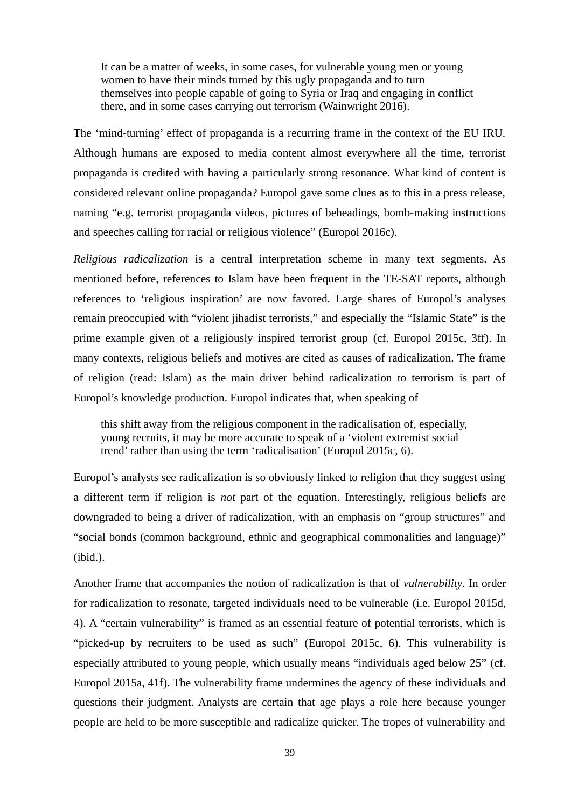It can be a matter of weeks, in some cases, for vulnerable young men or young women to have their minds turned by this ugly propaganda and to turn themselves into people capable of going to Syria or Iraq and engaging in conflict there, and in some cases carrying out terrorism (Wainwright 2016).

The 'mind-turning' effect of propaganda is a recurring frame in the context of the EU IRU. Although humans are exposed to media content almost everywhere all the time, terrorist propaganda is credited with having a particularly strong resonance. What kind of content is considered relevant online propaganda? Europol gave some clues as to this in a press release, naming "e.g. terrorist propaganda videos, pictures of beheadings, bomb-making instructions and speeches calling for racial or religious violence" (Europol 2016c).

*Religious radicalization* is a central interpretation scheme in many text segments. As mentioned before, references to Islam have been frequent in the TE-SAT reports, although references to 'religious inspiration' are now favored. Large shares of Europol's analyses remain preoccupied with "violent jihadist terrorists," and especially the "Islamic State" is the prime example given of a religiously inspired terrorist group (cf. Europol 2015c, 3ff). In many contexts, religious beliefs and motives are cited as causes of radicalization. The frame of religion (read: Islam) as the main driver behind radicalization to terrorism is part of Europol's knowledge production. Europol indicates that, when speaking of

this shift away from the religious component in the radicalisation of, especially, young recruits, it may be more accurate to speak of a 'violent extremist social trend' rather than using the term 'radicalisation' (Europol 2015c, 6).

Europol's analysts see radicalization is so obviously linked to religion that they suggest using a different term if religion is *not* part of the equation. Interestingly, religious beliefs are downgraded to being a driver of radicalization, with an emphasis on "group structures" and "social bonds (common background, ethnic and geographical commonalities and language)" (ibid.).

Another frame that accompanies the notion of radicalization is that of *vulnerability*. In order for radicalization to resonate, targeted individuals need to be vulnerable (i.e. Europol 2015d, 4). A "certain vulnerability" is framed as an essential feature of potential terrorists, which is "picked-up by recruiters to be used as such" (Europol 2015c, 6). This vulnerability is especially attributed to young people, which usually means "individuals aged below 25" (cf. Europol 2015a, 41f). The vulnerability frame undermines the agency of these individuals and questions their judgment. Analysts are certain that age plays a role here because younger people are held to be more susceptible and radicalize quicker. The tropes of vulnerability and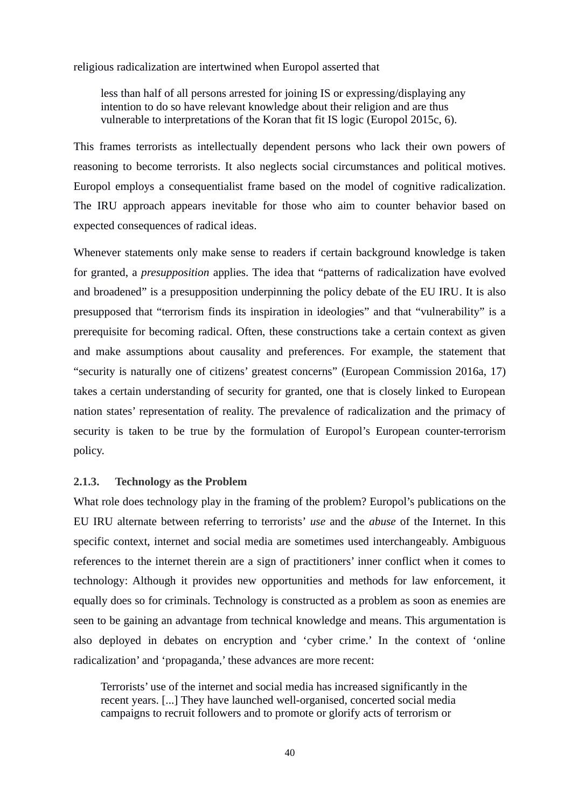religious radicalization are intertwined when Europol asserted that

less than half of all persons arrested for joining IS or expressing/displaying any intention to do so have relevant knowledge about their religion and are thus vulnerable to interpretations of the Koran that fit IS logic (Europol 2015c, 6).

This frames terrorists as intellectually dependent persons who lack their own powers of reasoning to become terrorists. It also neglects social circumstances and political motives. Europol employs a consequentialist frame based on the model of cognitive radicalization. The IRU approach appears inevitable for those who aim to counter behavior based on expected consequences of radical ideas.

Whenever statements only make sense to readers if certain background knowledge is taken for granted, a *presupposition* applies. The idea that "patterns of radicalization have evolved and broadened" is a presupposition underpinning the policy debate of the EU IRU. It is also presupposed that "terrorism finds its inspiration in ideologies" and that "vulnerability" is a prerequisite for becoming radical. Often, these constructions take a certain context as given and make assumptions about causality and preferences. For example, the statement that "security is naturally one of citizens' greatest concerns" (European Commission 2016a, 17) takes a certain understanding of security for granted, one that is closely linked to European nation states' representation of reality. The prevalence of radicalization and the primacy of security is taken to be true by the formulation of Europol's European counter-terrorism policy.

#### **2.1.3. Technology as the Problem**

What role does technology play in the framing of the problem? Europol's publications on the EU IRU alternate between referring to terrorists' *use* and the *abuse* of the Internet. In this specific context, internet and social media are sometimes used interchangeably. Ambiguous references to the internet therein are a sign of practitioners' inner conflict when it comes to technology: Although it provides new opportunities and methods for law enforcement, it equally does so for criminals. Technology is constructed as a problem as soon as enemies are seen to be gaining an advantage from technical knowledge and means. This argumentation is also deployed in debates on encryption and 'cyber crime.' In the context of 'online radicalization' and 'propaganda,' these advances are more recent:

Terrorists' use of the internet and social media has increased significantly in the recent years. [...] They have launched well-organised, concerted social media campaigns to recruit followers and to promote or glorify acts of terrorism or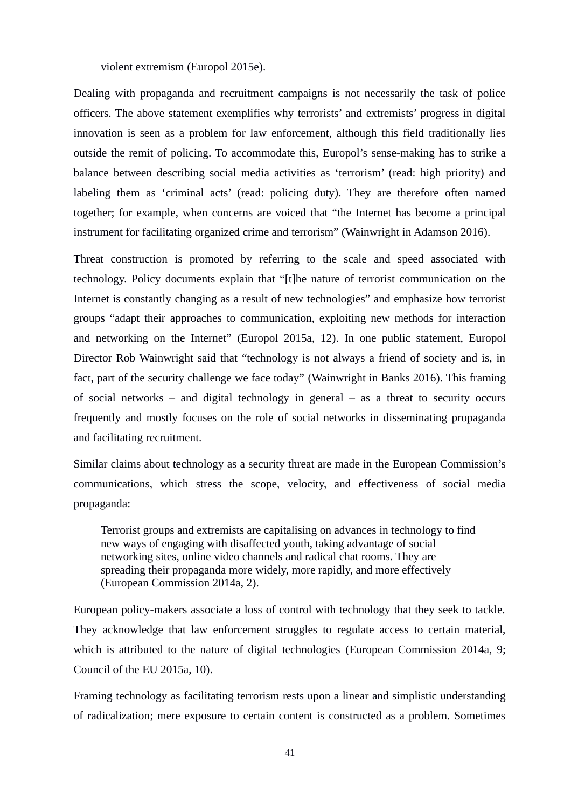violent extremism (Europol 2015e).

Dealing with propaganda and recruitment campaigns is not necessarily the task of police officers. The above statement exemplifies why terrorists' and extremists' progress in digital innovation is seen as a problem for law enforcement, although this field traditionally lies outside the remit of policing. To accommodate this, Europol's sense-making has to strike a balance between describing social media activities as 'terrorism' (read: high priority) and labeling them as 'criminal acts' (read: policing duty). They are therefore often named together; for example, when concerns are voiced that "the Internet has become a principal instrument for facilitating organized crime and terrorism" (Wainwright in Adamson 2016).

Threat construction is promoted by referring to the scale and speed associated with technology. Policy documents explain that "[t]he nature of terrorist communication on the Internet is constantly changing as a result of new technologies" and emphasize how terrorist groups "adapt their approaches to communication, exploiting new methods for interaction and networking on the Internet" (Europol 2015a, 12). In one public statement, Europol Director Rob Wainwright said that "technology is not always a friend of society and is, in fact, part of the security challenge we face today" (Wainwright in Banks 2016). This framing of social networks – and digital technology in general – as a threat to security occurs frequently and mostly focuses on the role of social networks in disseminating propaganda and facilitating recruitment.

Similar claims about technology as a security threat are made in the European Commission's communications, which stress the scope, velocity, and effectiveness of social media propaganda:

Terrorist groups and extremists are capitalising on advances in technology to find new ways of engaging with disaffected youth, taking advantage of social networking sites, online video channels and radical chat rooms. They are spreading their propaganda more widely, more rapidly, and more effectively (European Commission 2014a, 2).

European policy-makers associate a loss of control with technology that they seek to tackle. They acknowledge that law enforcement struggles to regulate access to certain material, which is attributed to the nature of digital technologies (European Commission 2014a, 9; Council of the EU 2015a, 10).

Framing technology as facilitating terrorism rests upon a linear and simplistic understanding of radicalization; mere exposure to certain content is constructed as a problem. Sometimes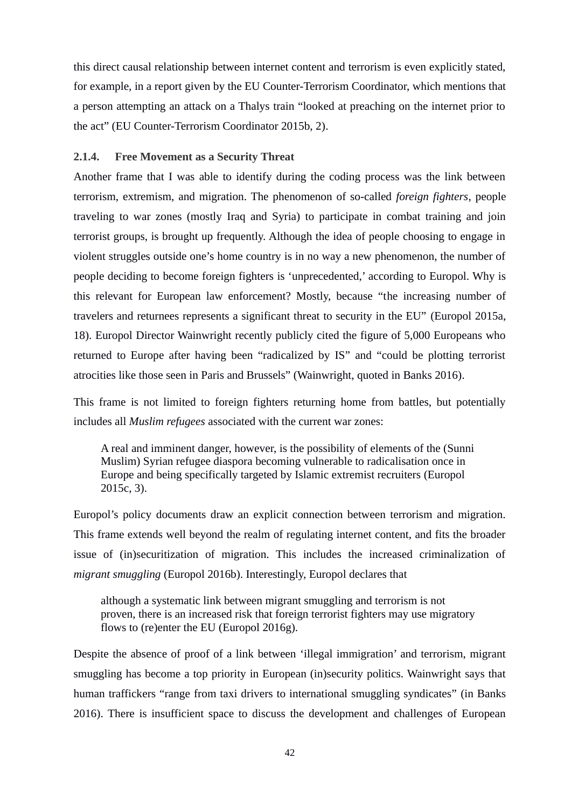this direct causal relationship between internet content and terrorism is even explicitly stated, for example, in a report given by the EU Counter-Terrorism Coordinator, which mentions that a person attempting an attack on a Thalys train "looked at preaching on the internet prior to the act" (EU Counter-Terrorism Coordinator 2015b, 2).

#### **2.1.4. Free Movement as a Security Threat**

Another frame that I was able to identify during the coding process was the link between terrorism, extremism, and migration. The phenomenon of so-called *foreign fighters*, people traveling to war zones (mostly Iraq and Syria) to participate in combat training and join terrorist groups, is brought up frequently. Although the idea of people choosing to engage in violent struggles outside one's home country is in no way a new phenomenon, the number of people deciding to become foreign fighters is 'unprecedented,' according to Europol. Why is this relevant for European law enforcement? Mostly, because "the increasing number of travelers and returnees represents a significant threat to security in the EU" (Europol 2015a, 18). Europol Director Wainwright recently publicly cited the figure of 5,000 Europeans who returned to Europe after having been "radicalized by IS" and "could be plotting terrorist atrocities like those seen in Paris and Brussels" (Wainwright, quoted in Banks 2016).

This frame is not limited to foreign fighters returning home from battles, but potentially includes all *Muslim refugees* associated with the current war zones:

A real and imminent danger, however, is the possibility of elements of the (Sunni Muslim) Syrian refugee diaspora becoming vulnerable to radicalisation once in Europe and being specifically targeted by Islamic extremist recruiters (Europol 2015c, 3).

Europol's policy documents draw an explicit connection between terrorism and migration. This frame extends well beyond the realm of regulating internet content, and fits the broader issue of (in)securitization of migration. This includes the increased criminalization of *migrant smuggling* (Europol 2016b). Interestingly, Europol declares that

although a systematic link between migrant smuggling and terrorism is not proven, there is an increased risk that foreign terrorist fighters may use migratory flows to (re)enter the EU (Europol 2016g).

Despite the absence of proof of a link between 'illegal immigration' and terrorism, migrant smuggling has become a top priority in European (in)security politics. Wainwright says that human traffickers "range from taxi drivers to international smuggling syndicates" (in Banks 2016). There is insufficient space to discuss the development and challenges of European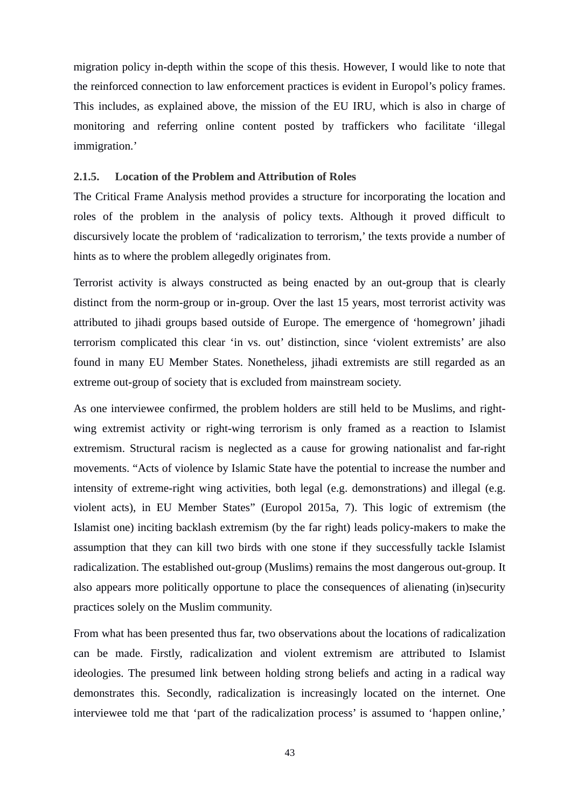migration policy in-depth within the scope of this thesis. However, I would like to note that the reinforced connection to law enforcement practices is evident in Europol's policy frames. This includes, as explained above, the mission of the EU IRU, which is also in charge of monitoring and referring online content posted by traffickers who facilitate 'illegal immigration.'

#### **2.1.5. Location of the Problem and Attribution of Roles**

The Critical Frame Analysis method provides a structure for incorporating the location and roles of the problem in the analysis of policy texts. Although it proved difficult to discursively locate the problem of 'radicalization to terrorism,' the texts provide a number of hints as to where the problem allegedly originates from.

Terrorist activity is always constructed as being enacted by an out-group that is clearly distinct from the norm-group or in-group. Over the last 15 years, most terrorist activity was attributed to jihadi groups based outside of Europe. The emergence of 'homegrown' jihadi terrorism complicated this clear 'in vs. out' distinction, since 'violent extremists' are also found in many EU Member States. Nonetheless, jihadi extremists are still regarded as an extreme out-group of society that is excluded from mainstream society.

As one interviewee confirmed, the problem holders are still held to be Muslims, and rightwing extremist activity or right-wing terrorism is only framed as a reaction to Islamist extremism. Structural racism is neglected as a cause for growing nationalist and far-right movements. "Acts of violence by Islamic State have the potential to increase the number and intensity of extreme-right wing activities, both legal (e.g. demonstrations) and illegal (e.g. violent acts), in EU Member States" (Europol 2015a, 7). This logic of extremism (the Islamist one) inciting backlash extremism (by the far right) leads policy-makers to make the assumption that they can kill two birds with one stone if they successfully tackle Islamist radicalization. The established out-group (Muslims) remains the most dangerous out-group. It also appears more politically opportune to place the consequences of alienating (in)security practices solely on the Muslim community.

From what has been presented thus far, two observations about the locations of radicalization can be made. Firstly, radicalization and violent extremism are attributed to Islamist ideologies. The presumed link between holding strong beliefs and acting in a radical way demonstrates this. Secondly, radicalization is increasingly located on the internet. One interviewee told me that 'part of the radicalization process' is assumed to 'happen online,'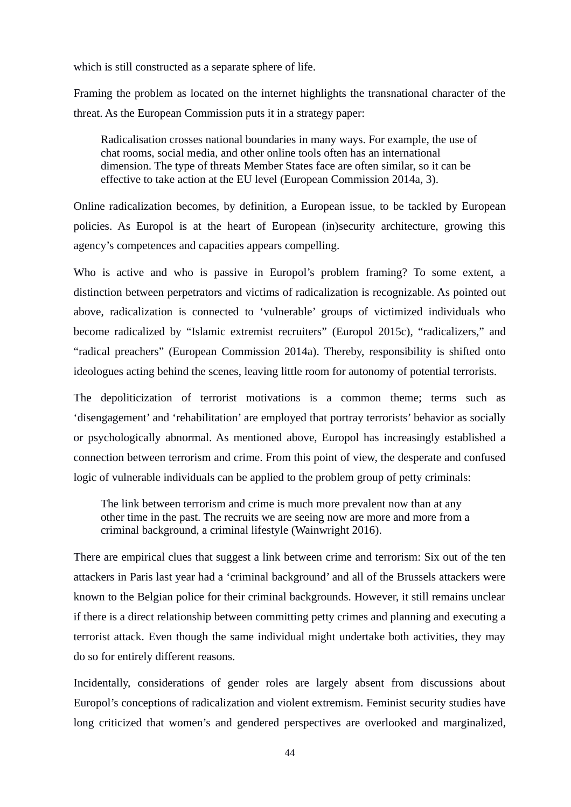which is still constructed as a separate sphere of life.

Framing the problem as located on the internet highlights the transnational character of the threat. As the European Commission puts it in a strategy paper:

Radicalisation crosses national boundaries in many ways. For example, the use of chat rooms, social media, and other online tools often has an international dimension. The type of threats Member States face are often similar, so it can be effective to take action at the EU level (European Commission 2014a, 3).

Online radicalization becomes, by definition, a European issue, to be tackled by European policies. As Europol is at the heart of European (in)security architecture, growing this agency's competences and capacities appears compelling.

Who is active and who is passive in Europol's problem framing? To some extent, a distinction between perpetrators and victims of radicalization is recognizable. As pointed out above, radicalization is connected to 'vulnerable' groups of victimized individuals who become radicalized by "Islamic extremist recruiters" (Europol 2015c), "radicalizers," and "radical preachers" (European Commission 2014a). Thereby, responsibility is shifted onto ideologues acting behind the scenes, leaving little room for autonomy of potential terrorists.

The depoliticization of terrorist motivations is a common theme; terms such as 'disengagement' and 'rehabilitation' are employed that portray terrorists' behavior as socially or psychologically abnormal. As mentioned above, Europol has increasingly established a connection between terrorism and crime. From this point of view, the desperate and confused logic of vulnerable individuals can be applied to the problem group of petty criminals:

The link between terrorism and crime is much more prevalent now than at any other time in the past. The recruits we are seeing now are more and more from a criminal background, a criminal lifestyle (Wainwright 2016).

There are empirical clues that suggest a link between crime and terrorism: Six out of the ten attackers in Paris last year had a 'criminal background' and all of the Brussels attackers were known to the Belgian police for their criminal backgrounds. However, it still remains unclear if there is a direct relationship between committing petty crimes and planning and executing a terrorist attack. Even though the same individual might undertake both activities, they may do so for entirely different reasons.

Incidentally, considerations of gender roles are largely absent from discussions about Europol's conceptions of radicalization and violent extremism. Feminist security studies have long criticized that women's and gendered perspectives are overlooked and marginalized,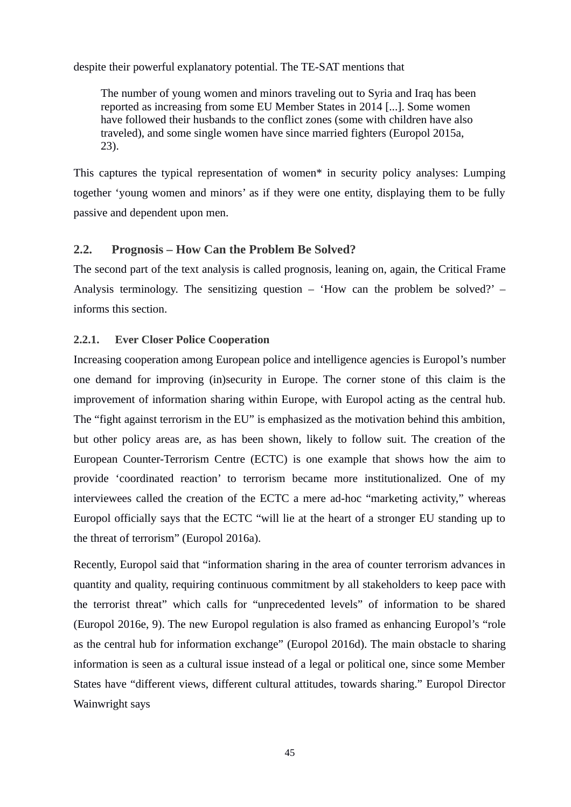despite their powerful explanatory potential. The TE-SAT mentions that

The number of young women and minors traveling out to Syria and Iraq has been reported as increasing from some EU Member States in 2014 [...]. Some women have followed their husbands to the conflict zones (some with children have also traveled), and some single women have since married fighters (Europol 2015a, 23).

This captures the typical representation of women\* in security policy analyses: Lumping together 'young women and minors' as if they were one entity, displaying them to be fully passive and dependent upon men.

# **2.2. Prognosis – How Can the Problem Be Solved?**

The second part of the text analysis is called prognosis, leaning on, again, the Critical Frame Analysis terminology. The sensitizing question  $-$  'How can the problem be solved?'  $$ informs this section.

### **2.2.1. Ever Closer Police Cooperation**

Increasing cooperation among European police and intelligence agencies is Europol's number one demand for improving (in)security in Europe. The corner stone of this claim is the improvement of information sharing within Europe, with Europol acting as the central hub. The "fight against terrorism in the EU" is emphasized as the motivation behind this ambition, but other policy areas are, as has been shown, likely to follow suit. The creation of the European Counter-Terrorism Centre (ECTC) is one example that shows how the aim to provide 'coordinated reaction' to terrorism became more institutionalized. One of my interviewees called the creation of the ECTC a mere ad-hoc "marketing activity," whereas Europol officially says that the ECTC "will lie at the heart of a stronger EU standing up to the threat of terrorism" (Europol 2016a).

Recently, Europol said that "information sharing in the area of counter terrorism advances in quantity and quality, requiring continuous commitment by all stakeholders to keep pace with the terrorist threat" which calls for "unprecedented levels" of information to be shared (Europol 2016e, 9). The new Europol regulation is also framed as enhancing Europol's "role as the central hub for information exchange" (Europol 2016d). The main obstacle to sharing information is seen as a cultural issue instead of a legal or political one, since some Member States have "different views, different cultural attitudes, towards sharing." Europol Director Wainwright says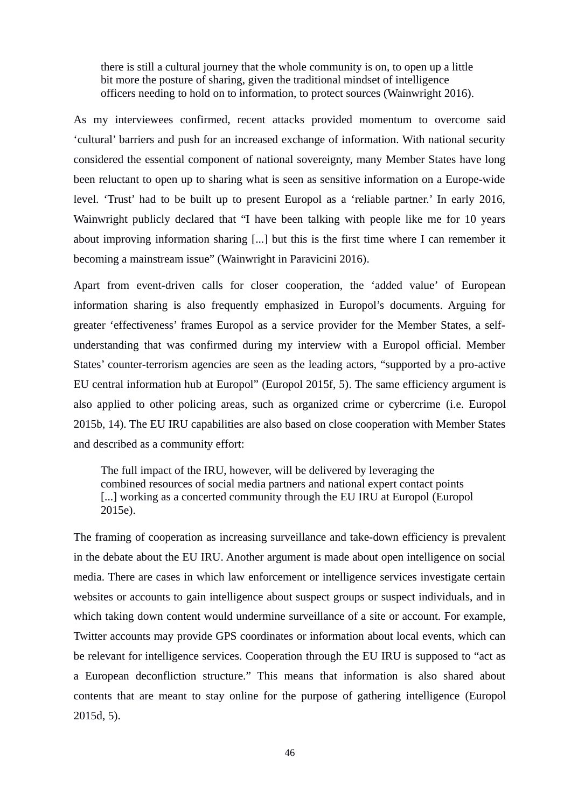there is still a cultural journey that the whole community is on, to open up a little bit more the posture of sharing, given the traditional mindset of intelligence officers needing to hold on to information, to protect sources (Wainwright 2016).

As my interviewees confirmed, recent attacks provided momentum to overcome said 'cultural' barriers and push for an increased exchange of information. With national security considered the essential component of national sovereignty, many Member States have long been reluctant to open up to sharing what is seen as sensitive information on a Europe-wide level. 'Trust' had to be built up to present Europol as a 'reliable partner.' In early 2016, Wainwright publicly declared that "I have been talking with people like me for 10 years about improving information sharing [...] but this is the first time where I can remember it becoming a mainstream issue" (Wainwright in Paravicini 2016).

Apart from event-driven calls for closer cooperation, the 'added value' of European information sharing is also frequently emphasized in Europol's documents. Arguing for greater 'effectiveness' frames Europol as a service provider for the Member States, a selfunderstanding that was confirmed during my interview with a Europol official. Member States' counter-terrorism agencies are seen as the leading actors, "supported by a pro-active EU central information hub at Europol" (Europol 2015f, 5). The same efficiency argument is also applied to other policing areas, such as organized crime or cybercrime (i.e. Europol 2015b, 14). The EU IRU capabilities are also based on close cooperation with Member States and described as a community effort:

The full impact of the IRU, however, will be delivered by leveraging the combined resources of social media partners and national expert contact points [...] working as a concerted community through the EU IRU at Europol (Europol) 2015e).

The framing of cooperation as increasing surveillance and take-down efficiency is prevalent in the debate about the EU IRU. Another argument is made about open intelligence on social media. There are cases in which law enforcement or intelligence services investigate certain websites or accounts to gain intelligence about suspect groups or suspect individuals, and in which taking down content would undermine surveillance of a site or account. For example, Twitter accounts may provide GPS coordinates or information about local events, which can be relevant for intelligence services. Cooperation through the EU IRU is supposed to "act as a European deconfliction structure." This means that information is also shared about contents that are meant to stay online for the purpose of gathering intelligence (Europol 2015d, 5).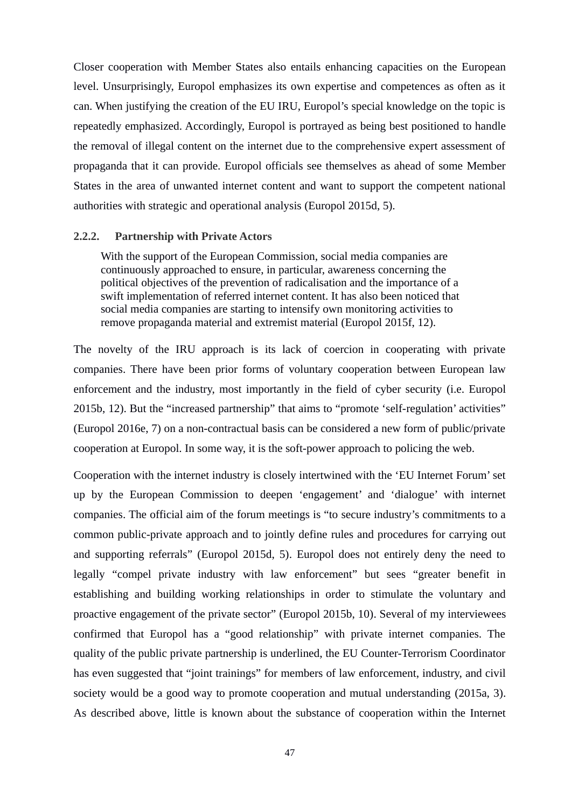Closer cooperation with Member States also entails enhancing capacities on the European level. Unsurprisingly, Europol emphasizes its own expertise and competences as often as it can. When justifying the creation of the EU IRU, Europol's special knowledge on the topic is repeatedly emphasized. Accordingly, Europol is portrayed as being best positioned to handle the removal of illegal content on the internet due to the comprehensive expert assessment of propaganda that it can provide. Europol officials see themselves as ahead of some Member States in the area of unwanted internet content and want to support the competent national authorities with strategic and operational analysis (Europol 2015d, 5).

#### **2.2.2. Partnership with Private Actors**

With the support of the European Commission, social media companies are continuously approached to ensure, in particular, awareness concerning the political objectives of the prevention of radicalisation and the importance of a swift implementation of referred internet content. It has also been noticed that social media companies are starting to intensify own monitoring activities to remove propaganda material and extremist material (Europol 2015f, 12).

The novelty of the IRU approach is its lack of coercion in cooperating with private companies. There have been prior forms of voluntary cooperation between European law enforcement and the industry, most importantly in the field of cyber security (i.e. Europol 2015b, 12). But the "increased partnership" that aims to "promote 'self-regulation' activities" (Europol 2016e, 7) on a non-contractual basis can be considered a new form of public/private cooperation at Europol. In some way, it is the soft-power approach to policing the web.

Cooperation with the internet industry is closely intertwined with the 'EU Internet Forum' set up by the European Commission to deepen 'engagement' and 'dialogue' with internet companies. The official aim of the forum meetings is "to secure industry's commitments to a common public-private approach and to jointly define rules and procedures for carrying out and supporting referrals" (Europol 2015d, 5). Europol does not entirely deny the need to legally "compel private industry with law enforcement" but sees "greater benefit in establishing and building working relationships in order to stimulate the voluntary and proactive engagement of the private sector" (Europol 2015b, 10). Several of my interviewees confirmed that Europol has a "good relationship" with private internet companies. The quality of the public private partnership is underlined, the EU Counter-Terrorism Coordinator has even suggested that "joint trainings" for members of law enforcement, industry, and civil society would be a good way to promote cooperation and mutual understanding (2015a, 3). As described above, little is known about the substance of cooperation within the Internet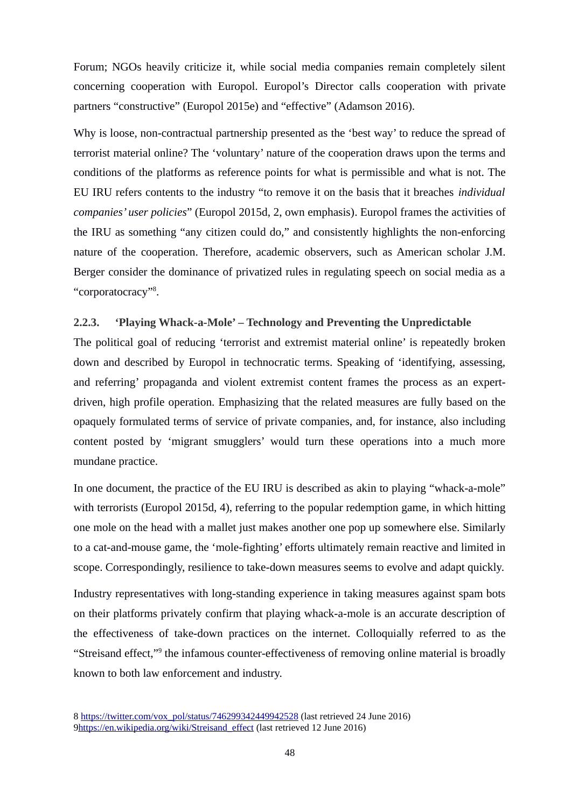Forum; NGOs heavily criticize it, while social media companies remain completely silent concerning cooperation with Europol. Europol's Director calls cooperation with private partners "constructive" (Europol 2015e) and "effective" (Adamson 2016).

Why is loose, non-contractual partnership presented as the 'best way' to reduce the spread of terrorist material online? The 'voluntary' nature of the cooperation draws upon the terms and conditions of the platforms as reference points for what is permissible and what is not. The EU IRU refers contents to the industry "to remove it on the basis that it breaches *individual companies' user policies*" (Europol 2015d, 2, own emphasis). Europol frames the activities of the IRU as something "any citizen could do," and consistently highlights the non-enforcing nature of the cooperation. Therefore, academic observers, such as American scholar J.M. Berger consider the dominance of privatized rules in regulating speech on social media as a "corporatocracy"<sup>[8](#page-50-0)</sup>.

### **2.2.3. 'Playing Whack-a-Mole' – Technology and Preventing the Unpredictable**

The political goal of reducing 'terrorist and extremist material online' is repeatedly broken down and described by Europol in technocratic terms. Speaking of 'identifying, assessing, and referring' propaganda and violent extremist content frames the process as an expertdriven, high profile operation. Emphasizing that the related measures are fully based on the opaquely formulated terms of service of private companies, and, for instance, also including content posted by 'migrant smugglers' would turn these operations into a much more mundane practice.

In one document, the practice of the EU IRU is described as akin to playing "whack-a-mole" with terrorists (Europol 2015d, 4), referring to the popular redemption game, in which hitting one mole on the head with a mallet just makes another one pop up somewhere else. Similarly to a cat-and-mouse game, the 'mole-fighting' efforts ultimately remain reactive and limited in scope. Correspondingly, resilience to take-down measures seems to evolve and adapt quickly.

Industry representatives with long-standing experience in taking measures against spam bots on their platforms privately confirm that playing whack-a-mole is an accurate description of the effectiveness of take-down practices on the internet. Colloquially referred to as the "Streisand effect,"<sup>[9](#page-50-1)</sup> the infamous counter-effectiveness of removing online material is broadly known to both law enforcement and industry.

<span id="page-50-1"></span><span id="page-50-0"></span><sup>8</sup> [https://twitter.com/vox\\_pol/status/746299342449942528](https://twitter.com/vox_pol/status/746299342449942528) (last retrieved 24 June 2016) 9https://en.wikipedia.org/wiki/Streisand\_effect (last retrieved 12 June 2016)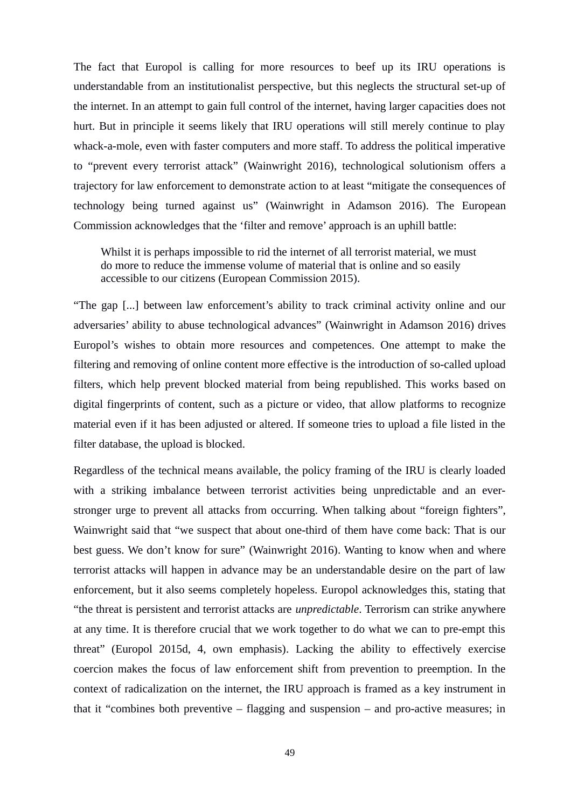The fact that Europol is calling for more resources to beef up its IRU operations is understandable from an institutionalist perspective, but this neglects the structural set-up of the internet. In an attempt to gain full control of the internet, having larger capacities does not hurt. But in principle it seems likely that IRU operations will still merely continue to play whack-a-mole, even with faster computers and more staff. To address the political imperative to "prevent every terrorist attack" (Wainwright 2016), technological solutionism offers a trajectory for law enforcement to demonstrate action to at least "mitigate the consequences of technology being turned against us" (Wainwright in Adamson 2016). The European Commission acknowledges that the 'filter and remove' approach is an uphill battle:

Whilst it is perhaps impossible to rid the internet of all terrorist material, we must do more to reduce the immense volume of material that is online and so easily accessible to our citizens (European Commission 2015).

"The gap [...] between law enforcement's ability to track criminal activity online and our adversaries' ability to abuse technological advances" (Wainwright in Adamson 2016) drives Europol's wishes to obtain more resources and competences. One attempt to make the filtering and removing of online content more effective is the introduction of so-called upload filters, which help prevent blocked material from being republished. This works based on digital fingerprints of content, such as a picture or video, that allow platforms to recognize material even if it has been adjusted or altered. If someone tries to upload a file listed in the filter database, the upload is blocked.

Regardless of the technical means available, the policy framing of the IRU is clearly loaded with a striking imbalance between terrorist activities being unpredictable and an everstronger urge to prevent all attacks from occurring. When talking about "foreign fighters", Wainwright said that "we suspect that about one-third of them have come back: That is our best guess. We don't know for sure" (Wainwright 2016). Wanting to know when and where terrorist attacks will happen in advance may be an understandable desire on the part of law enforcement, but it also seems completely hopeless. Europol acknowledges this, stating that "the threat is persistent and terrorist attacks are *unpredictable*. Terrorism can strike anywhere at any time. It is therefore crucial that we work together to do what we can to pre-empt this threat" (Europol 2015d, 4, own emphasis). Lacking the ability to effectively exercise coercion makes the focus of law enforcement shift from prevention to preemption. In the context of radicalization on the internet, the IRU approach is framed as a key instrument in that it "combines both preventive – flagging and suspension – and pro-active measures; in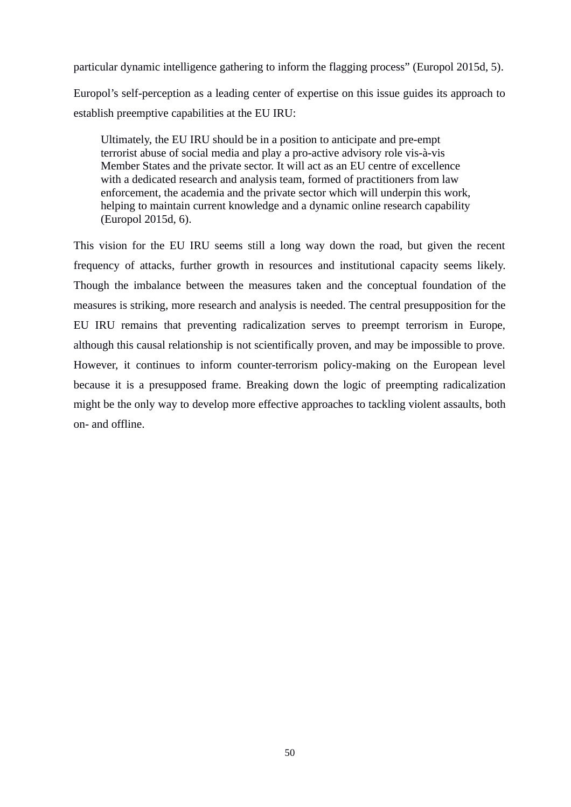particular dynamic intelligence gathering to inform the flagging process" (Europol 2015d, 5). Europol's self-perception as a leading center of expertise on this issue guides its approach to establish preemptive capabilities at the EU IRU:

Ultimately, the EU IRU should be in a position to anticipate and pre-empt terrorist abuse of social media and play a pro-active advisory role vis-à-vis Member States and the private sector. It will act as an EU centre of excellence with a dedicated research and analysis team, formed of practitioners from law enforcement, the academia and the private sector which will underpin this work, helping to maintain current knowledge and a dynamic online research capability (Europol 2015d, 6).

This vision for the EU IRU seems still a long way down the road, but given the recent frequency of attacks, further growth in resources and institutional capacity seems likely. Though the imbalance between the measures taken and the conceptual foundation of the measures is striking, more research and analysis is needed. The central presupposition for the EU IRU remains that preventing radicalization serves to preempt terrorism in Europe, although this causal relationship is not scientifically proven, and may be impossible to prove. However, it continues to inform counter-terrorism policy-making on the European level because it is a presupposed frame. Breaking down the logic of preempting radicalization might be the only way to develop more effective approaches to tackling violent assaults, both on- and offline.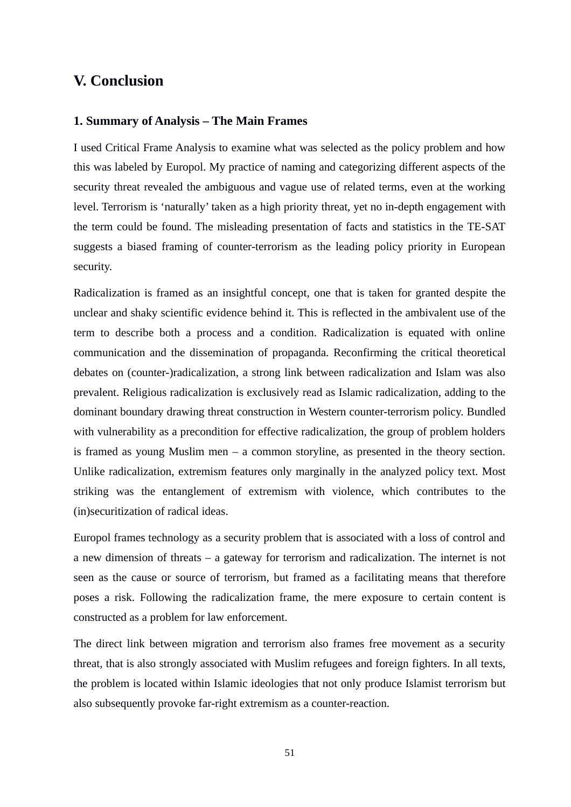# **V. Conclusion**

### **1. Summary of Analysis – The Main Frames**

I used Critical Frame Analysis to examine what was selected as the policy problem and how this was labeled by Europol. My practice of naming and categorizing different aspects of the security threat revealed the ambiguous and vague use of related terms, even at the working level. Terrorism is 'naturally' taken as a high priority threat, yet no in-depth engagement with the term could be found. The misleading presentation of facts and statistics in the TE-SAT suggests a biased framing of counter-terrorism as the leading policy priority in European security.

Radicalization is framed as an insightful concept, one that is taken for granted despite the unclear and shaky scientific evidence behind it. This is reflected in the ambivalent use of the term to describe both a process and a condition. Radicalization is equated with online communication and the dissemination of propaganda. Reconfirming the critical theoretical debates on (counter-)radicalization, a strong link between radicalization and Islam was also prevalent. Religious radicalization is exclusively read as Islamic radicalization, adding to the dominant boundary drawing threat construction in Western counter-terrorism policy. Bundled with vulnerability as a precondition for effective radicalization, the group of problem holders is framed as young Muslim men – a common storyline, as presented in the theory section. Unlike radicalization, extremism features only marginally in the analyzed policy text. Most striking was the entanglement of extremism with violence, which contributes to the (in)securitization of radical ideas.

Europol frames technology as a security problem that is associated with a loss of control and a new dimension of threats – a gateway for terrorism and radicalization. The internet is not seen as the cause or source of terrorism, but framed as a facilitating means that therefore poses a risk. Following the radicalization frame, the mere exposure to certain content is constructed as a problem for law enforcement.

The direct link between migration and terrorism also frames free movement as a security threat, that is also strongly associated with Muslim refugees and foreign fighters. In all texts, the problem is located within Islamic ideologies that not only produce Islamist terrorism but also subsequently provoke far-right extremism as a counter-reaction.

51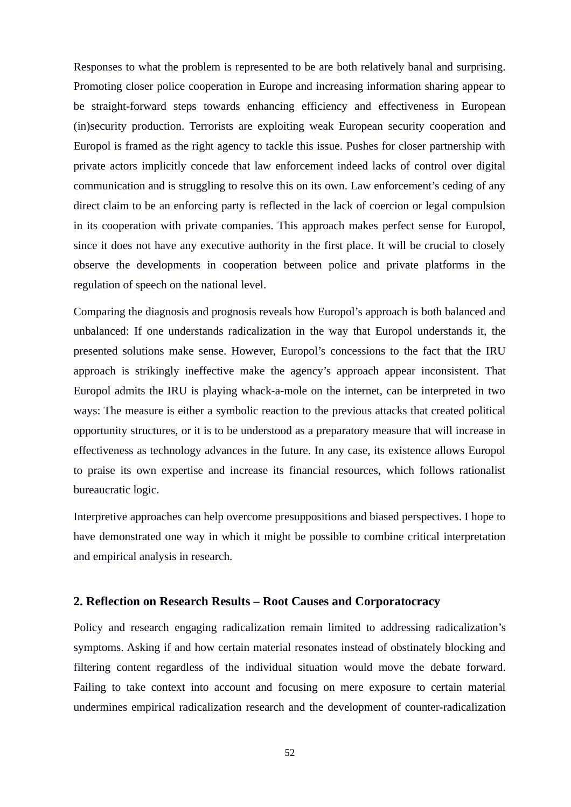Responses to what the problem is represented to be are both relatively banal and surprising. Promoting closer police cooperation in Europe and increasing information sharing appear to be straight-forward steps towards enhancing efficiency and effectiveness in European (in)security production. Terrorists are exploiting weak European security cooperation and Europol is framed as the right agency to tackle this issue. Pushes for closer partnership with private actors implicitly concede that law enforcement indeed lacks of control over digital communication and is struggling to resolve this on its own. Law enforcement's ceding of any direct claim to be an enforcing party is reflected in the lack of coercion or legal compulsion in its cooperation with private companies. This approach makes perfect sense for Europol, since it does not have any executive authority in the first place. It will be crucial to closely observe the developments in cooperation between police and private platforms in the regulation of speech on the national level.

Comparing the diagnosis and prognosis reveals how Europol's approach is both balanced and unbalanced: If one understands radicalization in the way that Europol understands it, the presented solutions make sense. However, Europol's concessions to the fact that the IRU approach is strikingly ineffective make the agency's approach appear inconsistent. That Europol admits the IRU is playing whack-a-mole on the internet, can be interpreted in two ways: The measure is either a symbolic reaction to the previous attacks that created political opportunity structures, or it is to be understood as a preparatory measure that will increase in effectiveness as technology advances in the future. In any case, its existence allows Europol to praise its own expertise and increase its financial resources, which follows rationalist bureaucratic logic.

Interpretive approaches can help overcome presuppositions and biased perspectives. I hope to have demonstrated one way in which it might be possible to combine critical interpretation and empirical analysis in research.

#### **2. Reflection on Research Results – Root Causes and Corporatocracy**

Policy and research engaging radicalization remain limited to addressing radicalization's symptoms. Asking if and how certain material resonates instead of obstinately blocking and filtering content regardless of the individual situation would move the debate forward. Failing to take context into account and focusing on mere exposure to certain material undermines empirical radicalization research and the development of counter-radicalization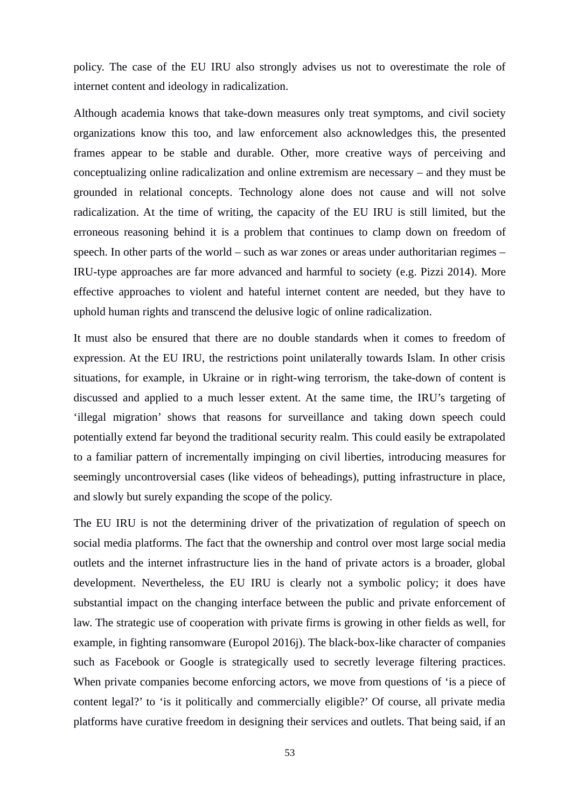policy. The case of the EU IRU also strongly advises us not to overestimate the role of internet content and ideology in radicalization.

Although academia knows that take-down measures only treat symptoms, and civil society organizations know this too, and law enforcement also acknowledges this, the presented frames appear to be stable and durable. Other, more creative ways of perceiving and conceptualizing online radicalization and online extremism are necessary – and they must be grounded in relational concepts. Technology alone does not cause and will not solve radicalization. At the time of writing, the capacity of the EU IRU is still limited, but the erroneous reasoning behind it is a problem that continues to clamp down on freedom of speech. In other parts of the world – such as war zones or areas under authoritarian regimes – IRU-type approaches are far more advanced and harmful to society (e.g. Pizzi 2014). More effective approaches to violent and hateful internet content are needed, but they have to uphold human rights and transcend the delusive logic of online radicalization.

It must also be ensured that there are no double standards when it comes to freedom of expression. At the EU IRU, the restrictions point unilaterally towards Islam. In other crisis situations, for example, in Ukraine or in right-wing terrorism, the take-down of content is discussed and applied to a much lesser extent. At the same time, the IRU's targeting of 'illegal migration' shows that reasons for surveillance and taking down speech could potentially extend far beyond the traditional security realm. This could easily be extrapolated to a familiar pattern of incrementally impinging on civil liberties, introducing measures for seemingly uncontroversial cases (like videos of beheadings), putting infrastructure in place, and slowly but surely expanding the scope of the policy.

The EU IRU is not the determining driver of the privatization of regulation of speech on social media platforms. The fact that the ownership and control over most large social media outlets and the internet infrastructure lies in the hand of private actors is a broader, global development. Nevertheless, the EU IRU is clearly not a symbolic policy; it does have substantial impact on the changing interface between the public and private enforcement of law. The strategic use of cooperation with private firms is growing in other fields as well, for example, in fighting ransomware (Europol 2016j). The black-box-like character of companies such as Facebook or Google is strategically used to secretly leverage filtering practices. When private companies become enforcing actors, we move from questions of 'is a piece of content legal?' to 'is it politically and commercially eligible?' Of course, all private media platforms have curative freedom in designing their services and outlets. That being said, if an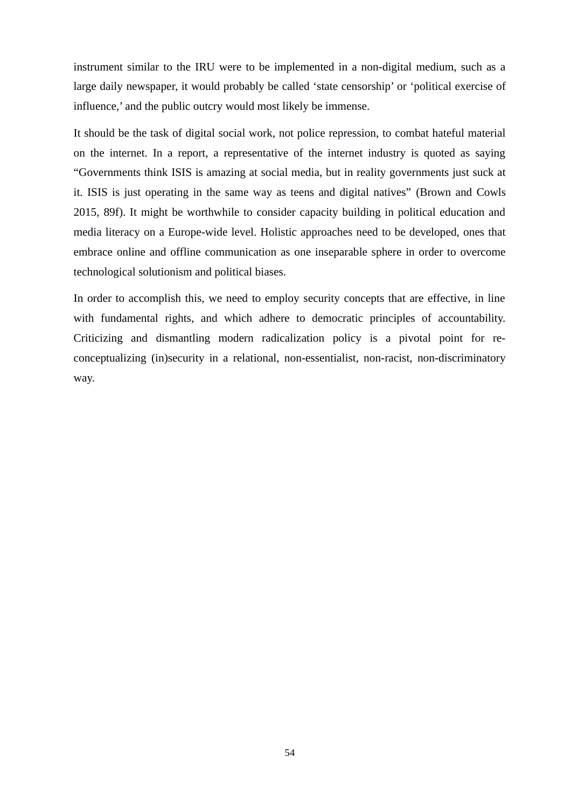instrument similar to the IRU were to be implemented in a non-digital medium, such as a large daily newspaper, it would probably be called 'state censorship' or 'political exercise of influence,' and the public outcry would most likely be immense.

It should be the task of digital social work, not police repression, to combat hateful material on the internet. In a report, a representative of the internet industry is quoted as saying "Governments think ISIS is amazing at social media, but in reality governments just suck at it. ISIS is just operating in the same way as teens and digital natives" (Brown and Cowls 2015, 89f). It might be worthwhile to consider capacity building in political education and media literacy on a Europe-wide level. Holistic approaches need to be developed, ones that embrace online and offline communication as one inseparable sphere in order to overcome technological solutionism and political biases.

In order to accomplish this, we need to employ security concepts that are effective, in line with fundamental rights, and which adhere to democratic principles of accountability. Criticizing and dismantling modern radicalization policy is a pivotal point for reconceptualizing (in)security in a relational, non-essentialist, non-racist, non-discriminatory way.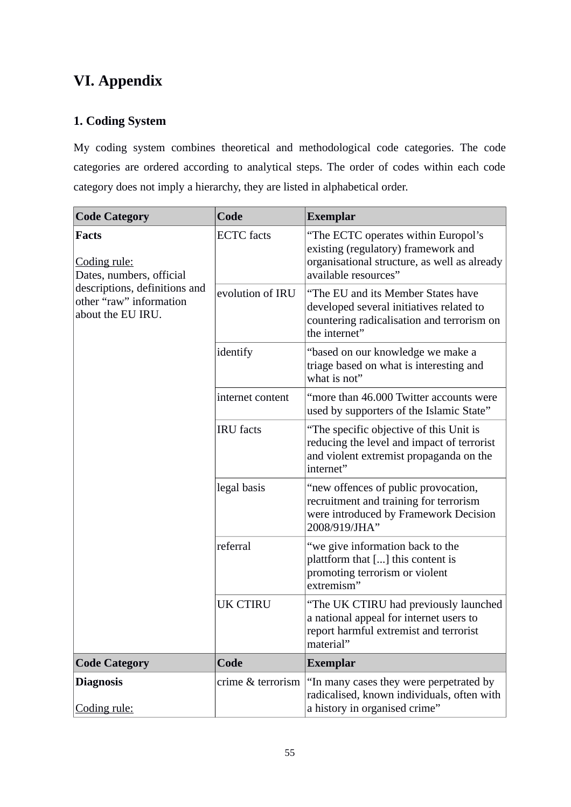# **VI. Appendix**

# **1. Coding System**

My coding system combines theoretical and methodological code categories. The code categories are ordered according to analytical steps. The order of codes within each code category does not imply a hierarchy, they are listed in alphabetical order.

| <b>Code Category</b>                                                                                                                      | Code              | <b>Exemplar</b>                                                                                                                                    |  |  |  |
|-------------------------------------------------------------------------------------------------------------------------------------------|-------------------|----------------------------------------------------------------------------------------------------------------------------------------------------|--|--|--|
| <b>Facts</b><br>Coding rule:<br>Dates, numbers, official<br>descriptions, definitions and<br>other "raw" information<br>about the EU IRU. | <b>ECTC</b> facts | "The ECTC operates within Europol's<br>existing (regulatory) framework and<br>organisational structure, as well as already<br>available resources" |  |  |  |
|                                                                                                                                           | evolution of IRU  | "The EU and its Member States have<br>developed several initiatives related to<br>countering radicalisation and terrorism on<br>the internet"      |  |  |  |
|                                                                                                                                           | identify          | "based on our knowledge we make a<br>triage based on what is interesting and<br>what is not"                                                       |  |  |  |
|                                                                                                                                           | internet content  | "more than 46.000 Twitter accounts were<br>used by supporters of the Islamic State"                                                                |  |  |  |
|                                                                                                                                           | <b>IRU</b> facts  | "The specific objective of this Unit is<br>reducing the level and impact of terrorist<br>and violent extremist propaganda on the<br>internet"      |  |  |  |
|                                                                                                                                           | legal basis       | "new offences of public provocation,<br>recruitment and training for terrorism<br>were introduced by Framework Decision<br>2008/919/JHA"           |  |  |  |
|                                                                                                                                           | referral          | "we give information back to the<br>plattform that [] this content is<br>promoting terrorism or violent<br>extremism"                              |  |  |  |
|                                                                                                                                           | UK CTIRU          | "The UK CTIRU had previously launched<br>a national appeal for internet users to<br>report harmful extremist and terrorist<br>material"            |  |  |  |
| <b>Code Category</b>                                                                                                                      | Code              | <b>Exemplar</b>                                                                                                                                    |  |  |  |
| <b>Diagnosis</b><br>Coding rule:                                                                                                          | crime & terrorism | "In many cases they were perpetrated by<br>radicalised, known individuals, often with<br>a history in organised crime"                             |  |  |  |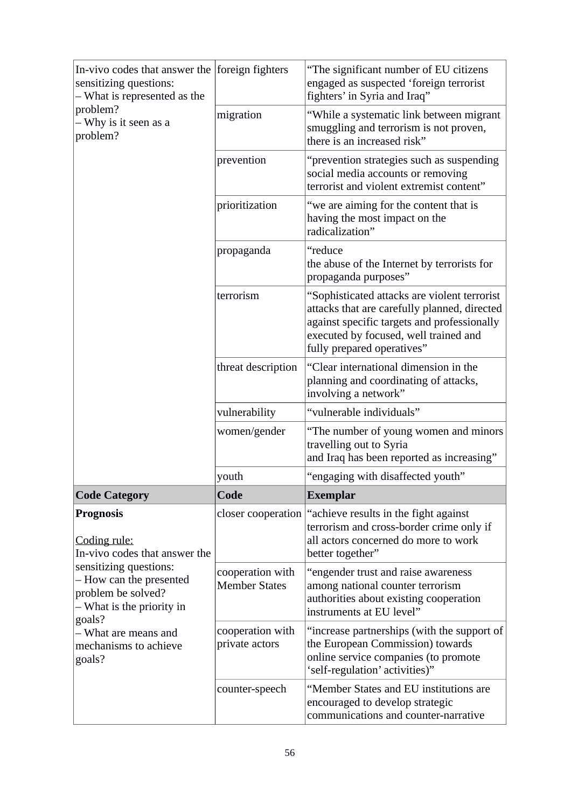| In-vivo codes that answer the foreign fighters<br>sensitizing questions:<br>– What is represented as the<br>problem?<br>– Why is it seen as a<br>problem?                                                                                      |                                          | "The significant number of EU citizens<br>engaged as suspected 'foreign terrorist<br>fighters' in Syria and Iraq"                                                                                                  |  |  |  |
|------------------------------------------------------------------------------------------------------------------------------------------------------------------------------------------------------------------------------------------------|------------------------------------------|--------------------------------------------------------------------------------------------------------------------------------------------------------------------------------------------------------------------|--|--|--|
|                                                                                                                                                                                                                                                | migration                                | "While a systematic link between migrant<br>smuggling and terrorism is not proven,<br>there is an increased risk"                                                                                                  |  |  |  |
|                                                                                                                                                                                                                                                | prevention                               | "prevention strategies such as suspending<br>social media accounts or removing<br>terrorist and violent extremist content"                                                                                         |  |  |  |
|                                                                                                                                                                                                                                                | prioritization                           | "we are aiming for the content that is<br>having the most impact on the<br>radicalization"                                                                                                                         |  |  |  |
|                                                                                                                                                                                                                                                | propaganda                               | "reduce<br>the abuse of the Internet by terrorists for<br>propaganda purposes"                                                                                                                                     |  |  |  |
|                                                                                                                                                                                                                                                | terrorism                                | "Sophisticated attacks are violent terrorist<br>attacks that are carefully planned, directed<br>against specific targets and professionally<br>executed by focused, well trained and<br>fully prepared operatives" |  |  |  |
|                                                                                                                                                                                                                                                | threat description                       | "Clear international dimension in the<br>planning and coordinating of attacks,<br>involving a network"                                                                                                             |  |  |  |
|                                                                                                                                                                                                                                                | vulnerability                            | "vulnerable individuals"                                                                                                                                                                                           |  |  |  |
|                                                                                                                                                                                                                                                | women/gender                             | "The number of young women and minors<br>travelling out to Syria<br>and Iraq has been reported as increasing"                                                                                                      |  |  |  |
|                                                                                                                                                                                                                                                | youth                                    | "engaging with disaffected youth"                                                                                                                                                                                  |  |  |  |
| <b>Code Category</b>                                                                                                                                                                                                                           | Code                                     | <b>Exemplar</b>                                                                                                                                                                                                    |  |  |  |
| <b>Prognosis</b><br>Coding rule:<br>In-vivo codes that answer the<br>sensitizing questions:<br>- How can the presented<br>problem be solved?<br>– What is the priority in<br>goals?<br>– What are means and<br>mechanisms to achieve<br>goals? |                                          | closer cooperation   "achieve results in the fight against<br>terrorism and cross-border crime only if<br>all actors concerned do more to work<br>better together"                                                 |  |  |  |
|                                                                                                                                                                                                                                                | cooperation with<br><b>Member States</b> | "engender trust and raise awareness<br>among national counter terrorism<br>authorities about existing cooperation<br>instruments at EU level"                                                                      |  |  |  |
|                                                                                                                                                                                                                                                | cooperation with<br>private actors       | "increase partnerships (with the support of<br>the European Commission) towards<br>online service companies (to promote<br>'self-regulation' activities)"                                                          |  |  |  |
|                                                                                                                                                                                                                                                | counter-speech                           | "Member States and EU institutions are<br>encouraged to develop strategic<br>communications and counter-narrative                                                                                                  |  |  |  |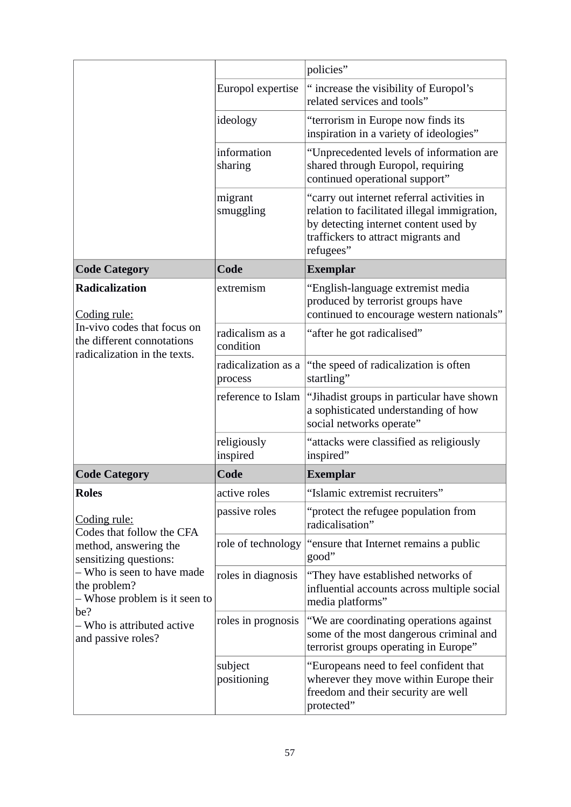|                                                                                                                                                                                                                                        |                                | policies"                                                                                                                                                                               |
|----------------------------------------------------------------------------------------------------------------------------------------------------------------------------------------------------------------------------------------|--------------------------------|-----------------------------------------------------------------------------------------------------------------------------------------------------------------------------------------|
|                                                                                                                                                                                                                                        | Europol expertise              | " increase the visibility of Europol's<br>related services and tools"                                                                                                                   |
|                                                                                                                                                                                                                                        | ideology                       | "terrorism in Europe now finds its<br>inspiration in a variety of ideologies"                                                                                                           |
|                                                                                                                                                                                                                                        | information<br>sharing         | "Unprecedented levels of information are<br>shared through Europol, requiring<br>continued operational support"                                                                         |
|                                                                                                                                                                                                                                        | migrant<br>smuggling           | "carry out internet referral activities in<br>relation to facilitated illegal immigration,<br>by detecting internet content used by<br>traffickers to attract migrants and<br>refugees" |
| <b>Code Category</b>                                                                                                                                                                                                                   | Code                           | <b>Exemplar</b>                                                                                                                                                                         |
| <b>Radicalization</b><br>Coding rule:<br>In-vivo codes that focus on<br>the different connotations<br>radicalization in the texts.                                                                                                     | extremism                      | "English-language extremist media<br>produced by terrorist groups have<br>continued to encourage western nationals"                                                                     |
|                                                                                                                                                                                                                                        | radicalism as a<br>condition   | "after he got radicalised"                                                                                                                                                              |
|                                                                                                                                                                                                                                        | radicalization as a<br>process | "the speed of radicalization is often<br>startling"                                                                                                                                     |
|                                                                                                                                                                                                                                        | reference to Islam             | "Jihadist groups in particular have shown<br>a sophisticated understanding of how<br>social networks operate"                                                                           |
|                                                                                                                                                                                                                                        | religiously<br>inspired        | "attacks were classified as religiously<br>inspired"                                                                                                                                    |
| <b>Code Category</b>                                                                                                                                                                                                                   | Code                           | <b>Exemplar</b>                                                                                                                                                                         |
| <b>Roles</b>                                                                                                                                                                                                                           | active roles                   | "Islamic extremist recruiters"                                                                                                                                                          |
| Coding rule:<br>Codes that follow the CFA<br>method, answering the<br>sensitizing questions:<br>- Who is seen to have made<br>the problem?<br>– Whose problem is it seen to<br>be?<br>– Who is attributed active<br>and passive roles? | passive roles                  | "protect the refugee population from<br>radicalisation"                                                                                                                                 |
|                                                                                                                                                                                                                                        | role of technology             | "ensure that Internet remains a public<br>good"                                                                                                                                         |
|                                                                                                                                                                                                                                        | roles in diagnosis             | "They have established networks of<br>influential accounts across multiple social<br>media platforms"                                                                                   |
|                                                                                                                                                                                                                                        | roles in prognosis             | "We are coordinating operations against<br>some of the most dangerous criminal and<br>terrorist groups operating in Europe"                                                             |
|                                                                                                                                                                                                                                        | subject<br>positioning         | "Europeans need to feel confident that<br>wherever they move within Europe their<br>freedom and their security are well<br>protected"                                                   |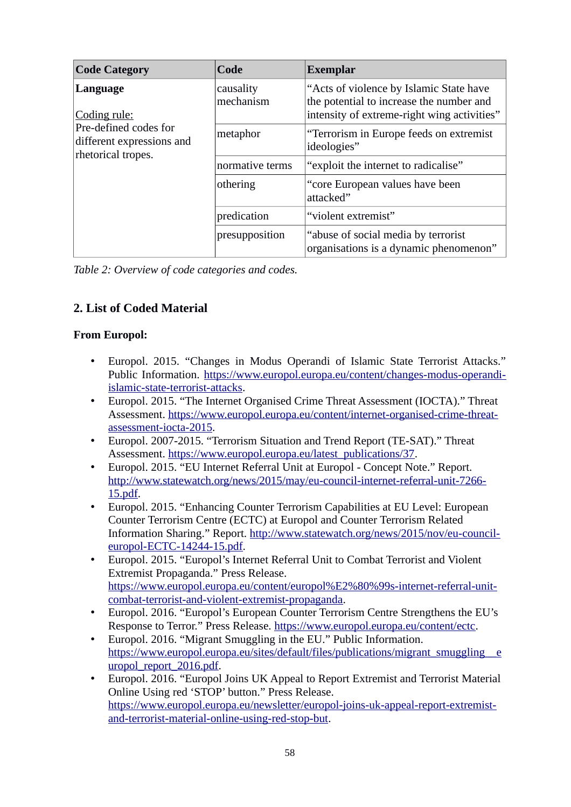| <b>Code Category</b>                                                                                 | Code                   | <b>Exemplar</b>                                                                                                                    |  |  |
|------------------------------------------------------------------------------------------------------|------------------------|------------------------------------------------------------------------------------------------------------------------------------|--|--|
| Language<br>Coding rule:<br>Pre-defined codes for<br>different expressions and<br>rhetorical tropes. | causality<br>mechanism | "Acts of violence by Islamic State have<br>the potential to increase the number and<br>intensity of extreme-right wing activities" |  |  |
|                                                                                                      | metaphor               | "Terrorism in Europe feeds on extremist<br>ideologies"                                                                             |  |  |
|                                                                                                      | normative terms        | "exploit the internet to radicalise"                                                                                               |  |  |
|                                                                                                      | othering               | "core European values have been<br>attacked"                                                                                       |  |  |
|                                                                                                      | predication            | "violent extremist"                                                                                                                |  |  |
|                                                                                                      | presupposition         | "abuse of social media by terrorist<br>organisations is a dynamic phenomenon"                                                      |  |  |

# **2. List of Coded Material**

### **From Europol:**

- Europol. 2015. "Changes in Modus Operandi of Islamic State Terrorist Attacks." Public Information. [https://www.europol.europa.eu/content/changes-modus-operandi](https://www.europol.europa.eu/content/changes-modus-operandi-islamic-state-terrorist-attacks)[islamic-state-terrorist-attacks.](https://www.europol.europa.eu/content/changes-modus-operandi-islamic-state-terrorist-attacks)
- Europol. 2015. "The Internet Organised Crime Threat Assessment (IOCTA)." Threat Assessment. [https://www.europol.europa.eu/content/internet-organised-crime-threat](https://www.europol.europa.eu/content/internet-organised-crime-threat-assessment-iocta-2015)[assessment-iocta-2015.](https://www.europol.europa.eu/content/internet-organised-crime-threat-assessment-iocta-2015)
- Europol. 2007-2015. "Terrorism Situation and Trend Report (TE-SAT)." Threat Assessment. [https://www.europol.europa.eu/latest\\_publications/37.](https://www.europol.europa.eu/latest_publications/37)
- Europol. 2015. "EU Internet Referral Unit at Europol Concept Note." Report. [http://www.statewatch.org/news/2015/may/eu-council-internet-referral-unit-7266-](http://www.statewatch.org/news/2015/may/eu-council-internet-referral-unit-7266-15.pdf) [15.pdf.](http://www.statewatch.org/news/2015/may/eu-council-internet-referral-unit-7266-15.pdf)
- Europol. 2015. "Enhancing Counter Terrorism Capabilities at EU Level: European Counter Terrorism Centre (ECTC) at Europol and Counter Terrorism Related Information Sharing." Report. [http://www.statewatch.org/news/2015/nov/eu-council](http://www.statewatch.org/news/2015/nov/eu-council-europol-ECTC-14244-15.pdf)[europol-ECTC-14244-15.pdf.](http://www.statewatch.org/news/2015/nov/eu-council-europol-ECTC-14244-15.pdf)
- Europol. 2015. "Europol's Internet Referral Unit to Combat Terrorist and Violent Extremist Propaganda." Press Release. [https://www.europol.europa.eu/content/europol%E2%80%99s-internet-referral-unit](https://www.europol.europa.eu/content/europol%E2%80%99s-internet-referral-unit-combat-terrorist-and-violent-extremist-propaganda)[combat-terrorist-and-violent-extremist-propaganda.](https://www.europol.europa.eu/content/europol%E2%80%99s-internet-referral-unit-combat-terrorist-and-violent-extremist-propaganda)
- Europol. 2016. "Europol's European Counter Terrorism Centre Strengthens the EU's Response to Terror." Press Release. [https://www.europol.europa.eu/content/ectc.](https://www.europol.europa.eu/content/ectc)
- Europol. 2016. "Migrant Smuggling in the EU." Public Information. [https://www.europol.europa.eu/sites/default/files/publications/migrant\\_smuggling\\_\\_e](https://www.europol.europa.eu/sites/default/files/publications/migrant_smuggling__europol_report_2016.pdf) [uropol\\_report\\_2016.pdf.](https://www.europol.europa.eu/sites/default/files/publications/migrant_smuggling__europol_report_2016.pdf)
- Europol. 2016. "Europol Joins UK Appeal to Report Extremist and Terrorist Material Online Using red 'STOP' button." Press Release. [https://www.europol.europa.eu/newsletter/europol-joins-uk-appeal-report-extremist](https://www.europol.europa.eu/newsletter/europol-joins-uk-appeal-report-extremist-and-terrorist-material-online-using-red-stop-but)[and-terrorist-material-online-using-red-stop-but.](https://www.europol.europa.eu/newsletter/europol-joins-uk-appeal-report-extremist-and-terrorist-material-online-using-red-stop-but)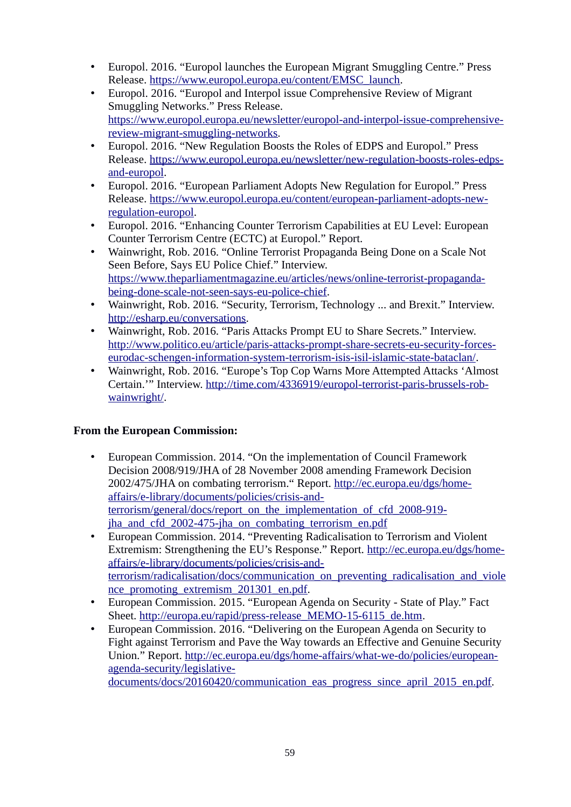- Europol. 2016. "Europol launches the European Migrant Smuggling Centre." Press Release. [https://www.europol.europa.eu/content/EMSC\\_launch.](https://www.europol.europa.eu/content/EMSC_launch)
- Europol. 2016. "Europol and Interpol issue Comprehensive Review of Migrant Smuggling Networks." Press Release. [https://www.europol.europa.eu/newsletter/europol-and-interpol-issue-comprehensive](https://www.europol.europa.eu/newsletter/europol-and-interpol-issue-comprehensive-review-migrant-smuggling-networks)[review-migrant-smuggling-networks.](https://www.europol.europa.eu/newsletter/europol-and-interpol-issue-comprehensive-review-migrant-smuggling-networks)
- Europol. 2016. "New Regulation Boosts the Roles of EDPS and Europol." Press Release. [https://www.europol.europa.eu/newsletter/new-regulation-boosts-roles-edps](https://www.europol.europa.eu/newsletter/new-regulation-boosts-roles-edps-and-europol)[and-europol.](https://www.europol.europa.eu/newsletter/new-regulation-boosts-roles-edps-and-europol)
- Europol. 2016. "European Parliament Adopts New Regulation for Europol." Press Release. [https://www.europol.europa.eu/content/european-parliament-adopts-new](https://www.europol.europa.eu/content/european-parliament-adopts-new-regulation-europol)[regulation-europol.](https://www.europol.europa.eu/content/european-parliament-adopts-new-regulation-europol)
- Europol. 2016. "Enhancing Counter Terrorism Capabilities at EU Level: European Counter Terrorism Centre (ECTC) at Europol." Report.
- Wainwright, Rob. 2016. "Online Terrorist Propaganda Being Done on a Scale Not Seen Before, Says EU Police Chief." Interview. [https://www.theparliamentmagazine.eu/articles/news/online-terrorist-propaganda](https://www.theparliamentmagazine.eu/articles/news/online-terrorist-propaganda-being-done-scale-not-seen-says-eu-police-chief)[being-done-scale-not-seen-says-eu-police-chief.](https://www.theparliamentmagazine.eu/articles/news/online-terrorist-propaganda-being-done-scale-not-seen-says-eu-police-chief)
- Wainwright, Rob. 2016. "Security, Terrorism, Technology ... and Brexit." Interview. [http://esharp.eu/conversations.](http://esharp.eu/conversations)
- Wainwright, Rob. 2016. "Paris Attacks Prompt EU to Share Secrets." Interview. [http://www.politico.eu/article/paris-attacks-prompt-share-secrets-eu-security-forces](http://www.politico.eu/article/paris-attacks-prompt-share-secrets-eu-security-forces-eurodac-schengen-information-system-terrorism-isis-isil-islamic-state-bataclan/)[eurodac-schengen-information-system-terrorism-isis-isil-islamic-state-bataclan/.](http://www.politico.eu/article/paris-attacks-prompt-share-secrets-eu-security-forces-eurodac-schengen-information-system-terrorism-isis-isil-islamic-state-bataclan/)
- Wainwright, Rob. 2016. "Europe's Top Cop Warns More Attempted Attacks 'Almost Certain.'" Interview. [http://time.com/4336919/europol-terrorist-paris-brussels-rob](http://time.com/4336919/europol-terrorist-paris-brussels-rob-wainwright/)[wainwright/.](http://time.com/4336919/europol-terrorist-paris-brussels-rob-wainwright/)

# **From the European Commission:**

- European Commission. 2014. "On the implementation of Council Framework Decision 2008/919/JHA of 28 November 2008 amending Framework Decision 2002/475/JHA on combating terrorism." Report. [http://ec.europa.eu/dgs/home](http://ec.europa.eu/dgs/home-affairs/e-library/documents/policies/crisis-and-terrorism/general/docs/report_on_the_implementation_of_cfd_2008-919-jha_and_cfd_2002-475-jha_on_combating_terrorism_en.pdf)affairs/e-library/documents/policies/crisis-and[terrorism/general/docs/report\\_on\\_the\\_implementation\\_of\\_cfd\\_2008-919](http://ec.europa.eu/dgs/home-affairs/e-library/documents/policies/crisis-and-terrorism/general/docs/report_on_the_implementation_of_cfd_2008-919-jha_and_cfd_2002-475-jha_on_combating_terrorism_en.pdf) jha and cfd 2002-475-jha on combating terrorism en.pdf
- European Commission. 2014. "Preventing Radicalisation to Terrorism and Violent Extremism: Strengthening the EU's Response." Report. [http://ec.europa.eu/dgs/home](http://ec.europa.eu/dgs/home-affairs/e-library/documents/policies/crisis-and-terrorism/radicalisation/docs/communication_on_preventing_radicalisation_and_violence_promoting_extremism_201301_en.pdf)affairs/e-library/documents/policies/crisis-and[terrorism/radicalisation/docs/communication\\_on\\_preventing\\_radicalisation\\_and\\_viole](http://ec.europa.eu/dgs/home-affairs/e-library/documents/policies/crisis-and-terrorism/radicalisation/docs/communication_on_preventing_radicalisation_and_violence_promoting_extremism_201301_en.pdf) [nce\\_promoting\\_extremism\\_201301\\_en.pdf.](http://ec.europa.eu/dgs/home-affairs/e-library/documents/policies/crisis-and-terrorism/radicalisation/docs/communication_on_preventing_radicalisation_and_violence_promoting_extremism_201301_en.pdf)
- European Commission. 2015. "European Agenda on Security State of Play." Fact Sheet. [http://europa.eu/rapid/press-release\\_MEMO-15-6115\\_de.htm.](http://europa.eu/rapid/press-release_MEMO-15-6115_de.htm)
- European Commission. 2016. "Delivering on the European Agenda on Security to Fight against Terrorism and Pave the Way towards an Effective and Genuine Security Union." Report. [http://ec.europa.eu/dgs/home-affairs/what-we-do/policies/european](http://ec.europa.eu/dgs/home-affairs/what-we-do/policies/european-agenda-security/legislative-documents/docs/20160420/communication_eas_progress_since_april_2015_en.pdf)[agenda-security/legislative-](http://ec.europa.eu/dgs/home-affairs/what-we-do/policies/european-agenda-security/legislative-documents/docs/20160420/communication_eas_progress_since_april_2015_en.pdf)

[documents/docs/20160420/communication\\_eas\\_progress\\_since\\_april\\_2015\\_en.pdf.](http://ec.europa.eu/dgs/home-affairs/what-we-do/policies/european-agenda-security/legislative-documents/docs/20160420/communication_eas_progress_since_april_2015_en.pdf)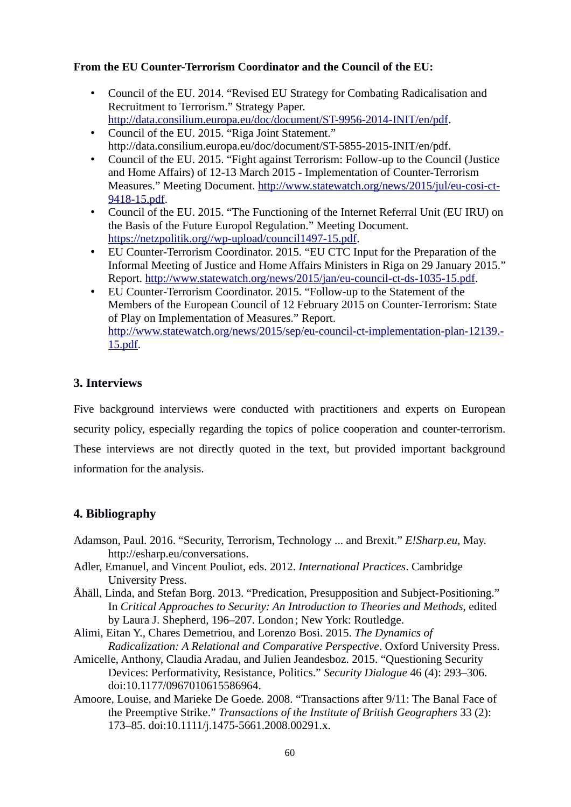### **From the EU Counter-Terrorism Coordinator and the Council of the EU:**

- Council of the EU. 2014. "Revised EU Strategy for Combating Radicalisation and Recruitment to Terrorism." Strategy Paper. [http://data.consilium.europa.eu/doc/document/ST-9956-2014-INIT/en/pdf.](http://data.consilium.europa.eu/doc/document/ST-9956-2014-INIT/en/pdf)
- Council of the EU. 2015. "Riga Joint Statement." http://data.consilium.europa.eu/doc/document/ST-5855-2015-INIT/en/pdf.
- Council of the EU. 2015. "Fight against Terrorism: Follow-up to the Council (Justice and Home Affairs) of 12-13 March 2015 - Implementation of Counter-Terrorism Measures." Meeting Document. [http://www.statewatch.org/news/2015/jul/eu-cosi-ct-](http://www.statewatch.org/news/2015/jul/eu-cosi-ct-9418-15.pdf)[9418-15.pdf.](http://www.statewatch.org/news/2015/jul/eu-cosi-ct-9418-15.pdf)
- Council of the EU. 2015. "The Functioning of the Internet Referral Unit (EU IRU) on the Basis of the Future Europol Regulation." Meeting Document. [https://netzpolitik.org//wp-upload/council1497-15.pdf.](https://netzpolitik.org//wp-upload/council1497-15.pdf)
- EU Counter-Terrorism Coordinator. 2015. "EU CTC Input for the Preparation of the Informal Meeting of Justice and Home Affairs Ministers in Riga on 29 January 2015." Report. [http://www.statewatch.org/news/2015/jan/eu-council-ct-ds-1035-15.pdf.](http://www.statewatch.org/news/2015/jan/eu-council-ct-ds-1035-15.pdf)
- EU Counter-Terrorism Coordinator. 2015. "Follow-up to the Statement of the Members of the European Council of 12 February 2015 on Counter-Terrorism: State of Play on Implementation of Measures." Report. [http://www.statewatch.org/news/2015/sep/eu-council-ct-implementation-plan-12139.-](http://www.statewatch.org/news/2015/sep/eu-council-ct-implementation-plan-12139.-15.pdf) [15.pdf.](http://www.statewatch.org/news/2015/sep/eu-council-ct-implementation-plan-12139.-15.pdf)

# **3. Interviews**

Five background interviews were conducted with practitioners and experts on European security policy, especially regarding the topics of police cooperation and counter-terrorism. These interviews are not directly quoted in the text, but provided important background information for the analysis.

# **4. Bibliography**

- Adamson, Paul. 2016. "Security, Terrorism, Technology ... and Brexit." *E!Sharp.eu*, May. http://esharp.eu/conversations.
- Adler, Emanuel, and Vincent Pouliot, eds. 2012. *International Practices*. Cambridge University Press.
- Åhäll, Linda, and Stefan Borg. 2013. "Predication, Presupposition and Subject-Positioning." In *Critical Approaches to Security: An Introduction to Theories and Methods*, edited by Laura J. Shepherd, 196–207. London ; New York: Routledge.
- Alimi, Eitan Y., Chares Demetriou, and Lorenzo Bosi. 2015. *The Dynamics of Radicalization: A Relational and Comparative Perspective*. Oxford University Press.
- Amicelle, Anthony, Claudia Aradau, and Julien Jeandesboz. 2015. "Questioning Security Devices: Performativity, Resistance, Politics." *Security Dialogue* 46 (4): 293–306. doi:10.1177/0967010615586964.
- Amoore, Louise, and Marieke De Goede. 2008. "Transactions after 9/11: The Banal Face of the Preemptive Strike." *Transactions of the Institute of British Geographers* 33 (2): 173–85. doi:10.1111/j.1475-5661.2008.00291.x.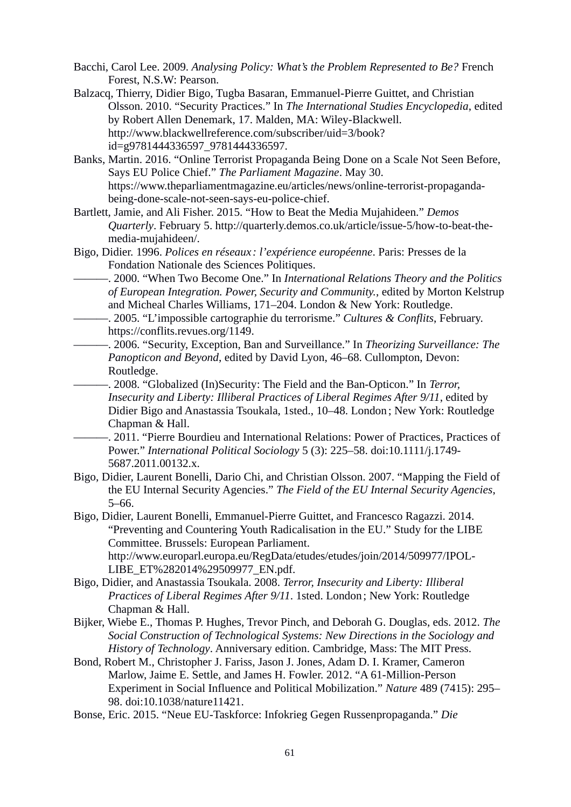- Bacchi, Carol Lee. 2009. *Analysing Policy: What's the Problem Represented to Be?* French Forest, N.S.W: Pearson.
- Balzacq, Thierry, Didier Bigo, Tugba Basaran, Emmanuel-Pierre Guittet, and Christian Olsson. 2010. "Security Practices." In *The International Studies Encyclopedia*, edited by Robert Allen Denemark, 17. Malden, MA: Wiley-Blackwell. http://www.blackwellreference.com/subscriber/uid=3/book? id=g9781444336597\_9781444336597.
- Banks, Martin. 2016. "Online Terrorist Propaganda Being Done on a Scale Not Seen Before, Says EU Police Chief." *The Parliament Magazine*. May 30. https://www.theparliamentmagazine.eu/articles/news/online-terrorist-propagandabeing-done-scale-not-seen-says-eu-police-chief.
- Bartlett, Jamie, and Ali Fisher. 2015. "How to Beat the Media Mujahideen." *Demos Quarterly*. February 5. http://quarterly.demos.co.uk/article/issue-5/how-to-beat-themedia-mujahideen/.
- Bigo, Didier. 1996. *Polices en réseaux : l'expérience européenne*. Paris: Presses de la Fondation Nationale des Sciences Politiques.
	- ———. 2000. "When Two Become One." In *International Relations Theory and the Politics of European Integration. Power, Security and Community.*, edited by Morton Kelstrup and Micheal Charles Williams, 171–204. London & New York: Routledge.
- ———. 2005. "L'impossible cartographie du terrorisme." *Cultures & Conflits*, February. https://conflits.revues.org/1149.
- ———. 2006. "Security, Exception, Ban and Surveillance." In *Theorizing Surveillance: The Panopticon and Beyond*, edited by David Lyon, 46–68. Cullompton, Devon: Routledge.

———. 2008. "Globalized (In)Security: The Field and the Ban-Opticon." In *Terror, Insecurity and Liberty: Illiberal Practices of Liberal Regimes After 9/11*, edited by Didier Bigo and Anastassia Tsoukala, 1sted., 10–48. London ; New York: Routledge Chapman & Hall.

- ———. 2011. "Pierre Bourdieu and International Relations: Power of Practices, Practices of Power." *International Political Sociology* 5 (3): 225–58. doi:10.1111/j.1749- 5687.2011.00132.x.
- Bigo, Didier, Laurent Bonelli, Dario Chi, and Christian Olsson. 2007. "Mapping the Field of the EU Internal Security Agencies." *The Field of the EU Internal Security Agencies*, 5–66.
- Bigo, Didier, Laurent Bonelli, Emmanuel-Pierre Guittet, and Francesco Ragazzi. 2014. "Preventing and Countering Youth Radicalisation in the EU." Study for the LIBE Committee. Brussels: European Parliament. http://www.europarl.europa.eu/RegData/etudes/etudes/join/2014/509977/IPOL-LIBE\_ET%282014%29509977\_EN.pdf.
- Bigo, Didier, and Anastassia Tsoukala. 2008. *Terror, Insecurity and Liberty: Illiberal Practices of Liberal Regimes After 9/11*. 1sted. London ; New York: Routledge Chapman & Hall.
- Bijker, Wiebe E., Thomas P. Hughes, Trevor Pinch, and Deborah G. Douglas, eds. 2012. *The Social Construction of Technological Systems: New Directions in the Sociology and History of Technology*. Anniversary edition. Cambridge, Mass: The MIT Press.
- Bond, Robert M., Christopher J. Fariss, Jason J. Jones, Adam D. I. Kramer, Cameron Marlow, Jaime E. Settle, and James H. Fowler. 2012. "A 61-Million-Person Experiment in Social Influence and Political Mobilization." *Nature* 489 (7415): 295– 98. doi:10.1038/nature11421.
- Bonse, Eric. 2015. "Neue EU-Taskforce: Infokrieg Gegen Russenpropaganda." *Die*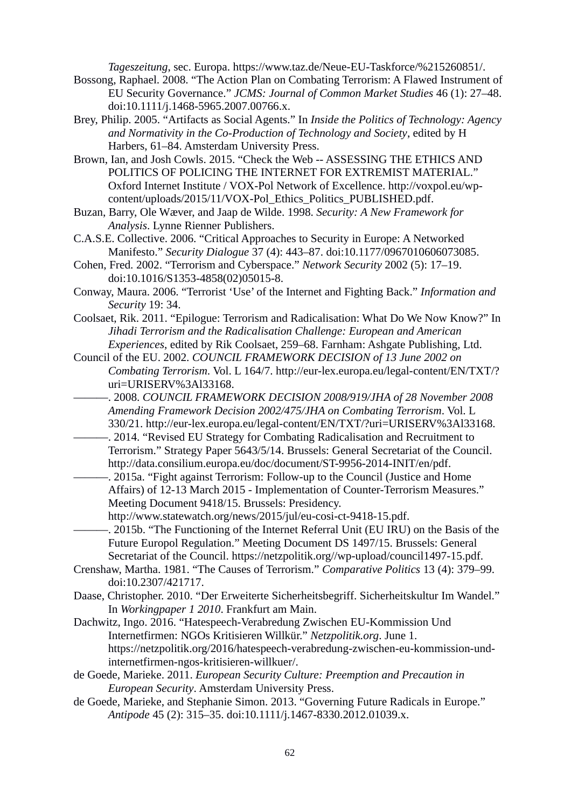*Tageszeitung*, sec. Europa. https://www.taz.de/Neue-EU-Taskforce/%215260851/.

- Bossong, Raphael. 2008. "The Action Plan on Combating Terrorism: A Flawed Instrument of EU Security Governance." *JCMS: Journal of Common Market Studies* 46 (1): 27–48. doi:10.1111/j.1468-5965.2007.00766.x.
- Brey, Philip. 2005. "Artifacts as Social Agents." In *Inside the Politics of Technology: Agency and Normativity in the Co-Production of Technology and Society*, edited by H Harbers, 61–84. Amsterdam University Press.
- Brown, Ian, and Josh Cowls. 2015. "Check the Web -- ASSESSING THE ETHICS AND POLITICS OF POLICING THE INTERNET FOR EXTREMIST MATERIAL." Oxford Internet Institute / VOX-Pol Network of Excellence. http://voxpol.eu/wpcontent/uploads/2015/11/VOX-Pol\_Ethics\_Politics\_PUBLISHED.pdf.
- Buzan, Barry, Ole Wæver, and Jaap de Wilde. 1998. *Security: A New Framework for Analysis*. Lynne Rienner Publishers.
- C.A.S.E. Collective. 2006. "Critical Approaches to Security in Europe: A Networked Manifesto." *Security Dialogue* 37 (4): 443–87. doi:10.1177/0967010606073085.
- Cohen, Fred. 2002. "Terrorism and Cyberspace." *Network Security* 2002 (5): 17–19. doi:10.1016/S1353-4858(02)05015-8.
- Conway, Maura. 2006. "Terrorist 'Use' of the Internet and Fighting Back." *Information and Security* 19: 34.
- Coolsaet, Rik. 2011. "Epilogue: Terrorism and Radicalisation: What Do We Now Know?" In *Jihadi Terrorism and the Radicalisation Challenge: European and American Experiences*, edited by Rik Coolsaet, 259–68. Farnham: Ashgate Publishing, Ltd.
- Council of the EU. 2002. *COUNCIL FRAMEWORK DECISION of 13 June 2002 on Combating Terrorism*. Vol. L 164/7. http://eur-lex.europa.eu/legal-content/EN/TXT/? uri=URISERV%3Al33168.
- ———. 2008. *COUNCIL FRAMEWORK DECISION 2008/919/JHA of 28 November 2008 Amending Framework Decision 2002/475/JHA on Combating Terrorism*. Vol. L 330/21. http://eur-lex.europa.eu/legal-content/EN/TXT/?uri=URISERV%3Al33168.
- ———. 2014. "Revised EU Strategy for Combating Radicalisation and Recruitment to Terrorism." Strategy Paper 5643/5/14. Brussels: General Secretariat of the Council. http://data.consilium.europa.eu/doc/document/ST-9956-2014-INIT/en/pdf.
	- -. 2015a. "Fight against Terrorism: Follow-up to the Council (Justice and Home Affairs) of 12-13 March 2015 - Implementation of Counter-Terrorism Measures." Meeting Document 9418/15. Brussels: Presidency.
		- http://www.statewatch.org/news/2015/jul/eu-cosi-ct-9418-15.pdf.
- ———. 2015b. "The Functioning of the Internet Referral Unit (EU IRU) on the Basis of the Future Europol Regulation." Meeting Document DS 1497/15. Brussels: General Secretariat of the Council. https://netzpolitik.org//wp-upload/council1497-15.pdf.
- Crenshaw, Martha. 1981. "The Causes of Terrorism." *Comparative Politics* 13 (4): 379–99. doi:10.2307/421717.
- Daase, Christopher. 2010. "Der Erweiterte Sicherheitsbegriff. Sicherheitskultur Im Wandel." In *Workingpaper 1 2010*. Frankfurt am Main.
- Dachwitz, Ingo. 2016. "Hatespeech-Verabredung Zwischen EU-Kommission Und Internetfirmen: NGOs Kritisieren Willkür." *Netzpolitik.org*. June 1. https://netzpolitik.org/2016/hatespeech-verabredung-zwischen-eu-kommission-undinternetfirmen-ngos-kritisieren-willkuer/.
- de Goede, Marieke. 2011. *European Security Culture: Preemption and Precaution in European Security*. Amsterdam University Press.
- de Goede, Marieke, and Stephanie Simon. 2013. "Governing Future Radicals in Europe." *Antipode* 45 (2): 315–35. doi:10.1111/j.1467-8330.2012.01039.x.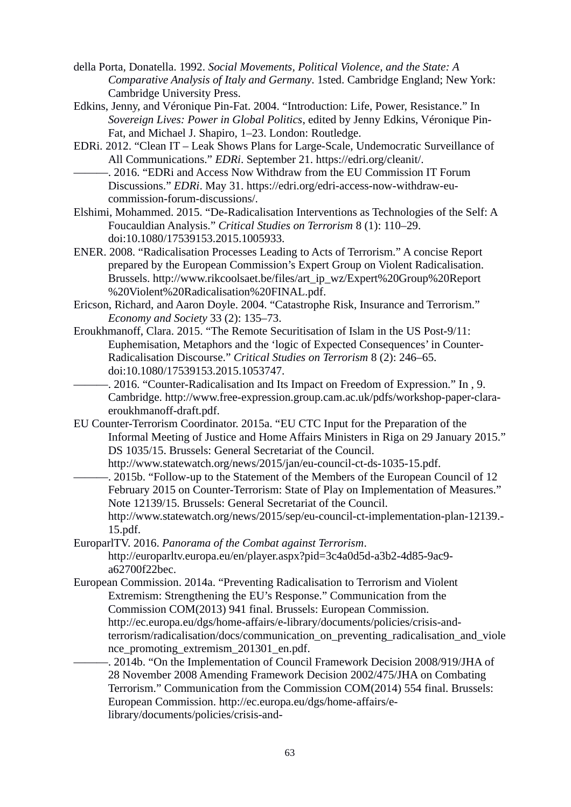- della Porta, Donatella. 1992. *Social Movements, Political Violence, and the State: A Comparative Analysis of Italy and Germany*. 1sted. Cambridge England; New York: Cambridge University Press.
- Edkins, Jenny, and Véronique Pin-Fat. 2004. "Introduction: Life, Power, Resistance." In *Sovereign Lives: Power in Global Politics*, edited by Jenny Edkins, Véronique Pin-Fat, and Michael J. Shapiro, 1–23. London: Routledge.
- EDRi. 2012. "Clean IT Leak Shows Plans for Large-Scale, Undemocratic Surveillance of All Communications." *EDRi*. September 21. https://edri.org/cleanit/.
- -. 2016. "EDRi and Access Now Withdraw from the EU Commission IT Forum Discussions." *EDRi*. May 31. https://edri.org/edri-access-now-withdraw-eucommission-forum-discussions/.
- Elshimi, Mohammed. 2015. "De-Radicalisation Interventions as Technologies of the Self: A Foucauldian Analysis." *Critical Studies on Terrorism* 8 (1): 110–29. doi:10.1080/17539153.2015.1005933.
- ENER. 2008. "Radicalisation Processes Leading to Acts of Terrorism." A concise Report prepared by the European Commission's Expert Group on Violent Radicalisation. Brussels. http://www.rikcoolsaet.be/files/art\_ip\_wz/Expert%20Group%20Report %20Violent%20Radicalisation%20FINAL.pdf.
- Ericson, Richard, and Aaron Doyle. 2004. "Catastrophe Risk, Insurance and Terrorism." *Economy and Society* 33 (2): 135–73.
- Eroukhmanoff, Clara. 2015. "The Remote Securitisation of Islam in the US Post-9/11: Euphemisation, Metaphors and the 'logic of Expected Consequences' in Counter-Radicalisation Discourse." *Critical Studies on Terrorism* 8 (2): 246–65. doi:10.1080/17539153.2015.1053747.
	- ———. 2016. "Counter-Radicalisation and Its Impact on Freedom of Expression." In , 9. Cambridge. http://www.free-expression.group.cam.ac.uk/pdfs/workshop-paper-claraeroukhmanoff-draft.pdf.
- EU Counter-Terrorism Coordinator. 2015a. "EU CTC Input for the Preparation of the Informal Meeting of Justice and Home Affairs Ministers in Riga on 29 January 2015." DS 1035/15. Brussels: General Secretariat of the Council. http://www.statewatch.org/news/2015/jan/eu-council-ct-ds-1035-15.pdf.
- -. 2015b. "Follow-up to the Statement of the Members of the European Council of 12 February 2015 on Counter-Terrorism: State of Play on Implementation of Measures." Note 12139/15. Brussels: General Secretariat of the Council. http://www.statewatch.org/news/2015/sep/eu-council-ct-implementation-plan-12139.- 15.pdf.
- EuroparlTV. 2016. *Panorama of the Combat against Terrorism*. http://europarltv.europa.eu/en/player.aspx?pid=3c4a0d5d-a3b2-4d85-9ac9 a62700f22bec.
- European Commission. 2014a. "Preventing Radicalisation to Terrorism and Violent Extremism: Strengthening the EU's Response." Communication from the Commission COM(2013) 941 final. Brussels: European Commission. http://ec.europa.eu/dgs/home-affairs/e-library/documents/policies/crisis-andterrorism/radicalisation/docs/communication\_on\_preventing\_radicalisation\_and\_viole nce\_promoting\_extremism\_201301\_en.pdf.
	- -, 2014b. "On the Implementation of Council Framework Decision 2008/919/JHA of 28 November 2008 Amending Framework Decision 2002/475/JHA on Combating Terrorism." Communication from the Commission COM(2014) 554 final. Brussels: European Commission. http://ec.europa.eu/dgs/home-affairs/elibrary/documents/policies/crisis-and-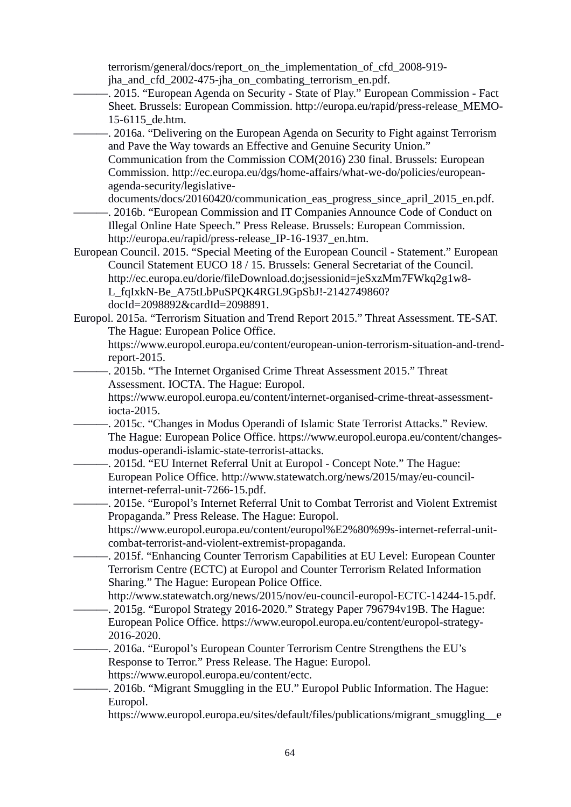terrorism/general/docs/report\_on\_the\_implementation\_of\_cfd\_2008-919 iha and cfd 2002-475-jha on combating terrorism en.pdf.

- ———. 2015. "European Agenda on Security State of Play." European Commission Fact Sheet. Brussels: European Commission. http://europa.eu/rapid/press-release\_MEMO-15-6115\_de.htm.
- -. 2016a. "Delivering on the European Agenda on Security to Fight against Terrorism and Pave the Way towards an Effective and Genuine Security Union."

Communication from the Commission COM(2016) 230 final. Brussels: European Commission. http://ec.europa.eu/dgs/home-affairs/what-we-do/policies/europeanagenda-security/legislative-

documents/docs/20160420/communication\_eas\_progress\_since\_april\_2015\_en.pdf. ———. 2016b. "European Commission and IT Companies Announce Code of Conduct on Illegal Online Hate Speech." Press Release. Brussels: European Commission. http://europa.eu/rapid/press-release\_IP-16-1937\_en.htm.

European Council. 2015. "Special Meeting of the European Council - Statement." European Council Statement EUCO 18 / 15. Brussels: General Secretariat of the Council. http://ec.europa.eu/dorie/fileDownload.do;jsessionid=jeSxzMm7FWkq2g1w8- L\_fqIxkN-Be\_A75tLbPuSPQK4RGL9GpSbJ!-2142749860? docId=2098892&cardId=2098891.

Europol. 2015a. "Terrorism Situation and Trend Report 2015." Threat Assessment. TE-SAT. The Hague: European Police Office.

https://www.europol.europa.eu/content/european-union-terrorism-situation-and-trendreport-2015.

-, 2015b. "The Internet Organised Crime Threat Assessment 2015." Threat Assessment. IOCTA. The Hague: Europol.

https://www.europol.europa.eu/content/internet-organised-crime-threat-assessmentiocta-2015.

- -. 2015c. "Changes in Modus Operandi of Islamic State Terrorist Attacks." Review. The Hague: European Police Office. https://www.europol.europa.eu/content/changesmodus-operandi-islamic-state-terrorist-attacks.
- -, 2015d. "EU Internet Referral Unit at Europol Concept Note." The Hague: European Police Office. http://www.statewatch.org/news/2015/may/eu-councilinternet-referral-unit-7266-15.pdf.
- -. 2015e. "Europol's Internet Referral Unit to Combat Terrorist and Violent Extremist Propaganda." Press Release. The Hague: Europol.

https://www.europol.europa.eu/content/europol%E2%80%99s-internet-referral-unitcombat-terrorist-and-violent-extremist-propaganda.

- -. 2015f. "Enhancing Counter Terrorism Capabilities at EU Level: European Counter Terrorism Centre (ECTC) at Europol and Counter Terrorism Related Information Sharing." The Hague: European Police Office.
	- http://www.statewatch.org/news/2015/nov/eu-council-europol-ECTC-14244-15.pdf.
- -. 2015g. "Europol Strategy 2016-2020." Strategy Paper 796794v19B. The Hague: European Police Office. https://www.europol.europa.eu/content/europol-strategy-2016-2020.
- -. 2016a. "Europol's European Counter Terrorism Centre Strengthens the EU's Response to Terror." Press Release. The Hague: Europol.

https://www.europol.europa.eu/content/ectc.

- -. 2016b. "Migrant Smuggling in the EU." Europol Public Information. The Hague: Europol.
	- https://www.europol.europa.eu/sites/default/files/publications/migrant\_smuggling\_\_e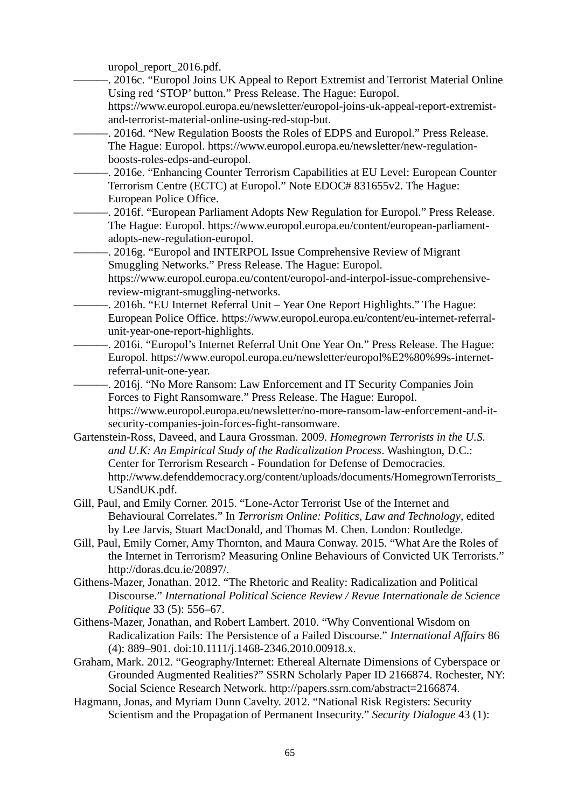uropol\_report\_2016.pdf.

- ———. 2016c. "Europol Joins UK Appeal to Report Extremist and Terrorist Material Online Using red 'STOP' button." Press Release. The Hague: Europol.
- https://www.europol.europa.eu/newsletter/europol-joins-uk-appeal-report-extremistand-terrorist-material-online-using-red-stop-but.
- –, 2016d. "New Regulation Boosts the Roles of EDPS and Europol." Press Release. The Hague: Europol. https://www.europol.europa.eu/newsletter/new-regulationboosts-roles-edps-and-europol.
- -. 2016e. "Enhancing Counter Terrorism Capabilities at EU Level: European Counter Terrorism Centre (ECTC) at Europol." Note EDOC# 831655v2. The Hague: European Police Office.
	- -. 2016f. "European Parliament Adopts New Regulation for Europol." Press Release. The Hague: Europol. https://www.europol.europa.eu/content/european-parliamentadopts-new-regulation-europol.

–, 2016g. "Europol and INTERPOL Issue Comprehensive Review of Migrant Smuggling Networks." Press Release. The Hague: Europol. https://www.europol.europa.eu/content/europol-and-interpol-issue-comprehensive-

- review-migrant-smuggling-networks.
- -, 2016h. "EU Internet Referral Unit Year One Report Highlights." The Hague: European Police Office. https://www.europol.europa.eu/content/eu-internet-referralunit-year-one-report-highlights.
- -. 2016i. "Europol's Internet Referral Unit One Year On." Press Release. The Hague: Europol. https://www.europol.europa.eu/newsletter/europol%E2%80%99s-internetreferral-unit-one-year.

———. 2016j. "No More Ransom: Law Enforcement and IT Security Companies Join Forces to Fight Ransomware." Press Release. The Hague: Europol.

https://www.europol.europa.eu/newsletter/no-more-ransom-law-enforcement-and-itsecurity-companies-join-forces-fight-ransomware.

- Gartenstein-Ross, Daveed, and Laura Grossman. 2009. *Homegrown Terrorists in the U.S. and U.K: An Empirical Study of the Radicalization Process*. Washington, D.C.: Center for Terrorism Research - Foundation for Defense of Democracies. http://www.defenddemocracy.org/content/uploads/documents/HomegrownTerrorists\_ USandUK.pdf.
- Gill, Paul, and Emily Corner. 2015. "Lone-Actor Terrorist Use of the Internet and Behavioural Correlates." In *Terrorism Online: Politics, Law and Technology*, edited by Lee Jarvis, Stuart MacDonald, and Thomas M. Chen. London: Routledge.
- Gill, Paul, Emily Corner, Amy Thornton, and Maura Conway. 2015. "What Are the Roles of the Internet in Terrorism? Measuring Online Behaviours of Convicted UK Terrorists." http://doras.dcu.ie/20897/.
- Githens-Mazer, Jonathan. 2012. "The Rhetoric and Reality: Radicalization and Political Discourse." *International Political Science Review / Revue Internationale de Science Politique* 33 (5): 556–67.
- Githens-Mazer, Jonathan, and Robert Lambert. 2010. "Why Conventional Wisdom on Radicalization Fails: The Persistence of a Failed Discourse." *International Affairs* 86 (4): 889–901. doi:10.1111/j.1468-2346.2010.00918.x.
- Graham, Mark. 2012. "Geography/Internet: Ethereal Alternate Dimensions of Cyberspace or Grounded Augmented Realities?" SSRN Scholarly Paper ID 2166874. Rochester, NY: Social Science Research Network. http://papers.ssrn.com/abstract=2166874.
- Hagmann, Jonas, and Myriam Dunn Cavelty. 2012. "National Risk Registers: Security Scientism and the Propagation of Permanent Insecurity." *Security Dialogue* 43 (1):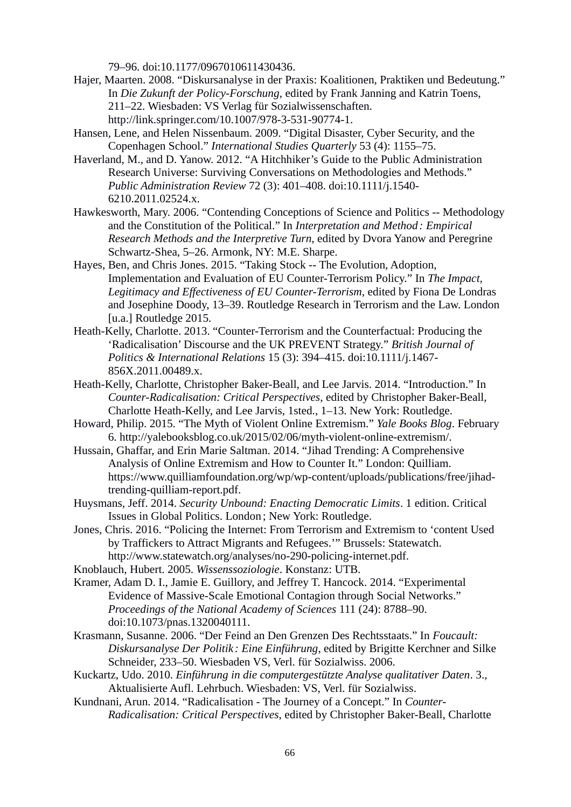79–96. doi:10.1177/0967010611430436.

- Hajer, Maarten. 2008. "Diskursanalyse in der Praxis: Koalitionen, Praktiken und Bedeutung." In *Die Zukunft der Policy-Forschung*, edited by Frank Janning and Katrin Toens, 211–22. Wiesbaden: VS Verlag für Sozialwissenschaften. http://link.springer.com/10.1007/978-3-531-90774-1.
- Hansen, Lene, and Helen Nissenbaum. 2009. "Digital Disaster, Cyber Security, and the Copenhagen School." *International Studies Quarterly* 53 (4): 1155–75.
- Haverland, M., and D. Yanow. 2012. "A Hitchhiker's Guide to the Public Administration Research Universe: Surviving Conversations on Methodologies and Methods." *Public Administration Review* 72 (3): 401–408. doi:10.1111/j.1540- 6210.2011.02524.x.
- Hawkesworth, Mary. 2006. "Contending Conceptions of Science and Politics -- Methodology and the Constitution of the Political." In *Interpretation and Method : Empirical Research Methods and the Interpretive Turn*, edited by Dvora Yanow and Peregrine Schwartz-Shea, 5–26. Armonk, NY: M.E. Sharpe.
- Hayes, Ben, and Chris Jones. 2015. "Taking Stock -- The Evolution, Adoption, Implementation and Evaluation of EU Counter-Terrorism Policy." In *The Impact, Legitimacy and Effectiveness of EU Counter-Terrorism*, edited by Fiona De Londras and Josephine Doody, 13–39. Routledge Research in Terrorism and the Law. London [u.a.] Routledge 2015.
- Heath-Kelly, Charlotte. 2013. "Counter-Terrorism and the Counterfactual: Producing the 'Radicalisation' Discourse and the UK PREVENT Strategy." *British Journal of Politics & International Relations* 15 (3): 394–415. doi:10.1111/j.1467- 856X.2011.00489.x.
- Heath-Kelly, Charlotte, Christopher Baker-Beall, and Lee Jarvis. 2014. "Introduction." In *Counter-Radicalisation: Critical Perspectives*, edited by Christopher Baker-Beall, Charlotte Heath-Kelly, and Lee Jarvis, 1sted., 1–13. New York: Routledge.
- Howard, Philip. 2015. "The Myth of Violent Online Extremism." *Yale Books Blog*. February 6. http://yalebooksblog.co.uk/2015/02/06/myth-violent-online-extremism/.
- Hussain, Ghaffar, and Erin Marie Saltman. 2014. "Jihad Trending: A Comprehensive Analysis of Online Extremism and How to Counter It." London: Quilliam. https://www.quilliamfoundation.org/wp/wp-content/uploads/publications/free/jihadtrending-quilliam-report.pdf.
- Huysmans, Jeff. 2014. *Security Unbound: Enacting Democratic Limits*. 1 edition. Critical Issues in Global Politics. London ; New York: Routledge.
- Jones, Chris. 2016. "Policing the Internet: From Terrorism and Extremism to 'content Used by Traffickers to Attract Migrants and Refugees.'" Brussels: Statewatch. http://www.statewatch.org/analyses/no-290-policing-internet.pdf.
- Knoblauch, Hubert. 2005. *Wissenssoziologie*. Konstanz: UTB.
- Kramer, Adam D. I., Jamie E. Guillory, and Jeffrey T. Hancock. 2014. "Experimental Evidence of Massive-Scale Emotional Contagion through Social Networks." *Proceedings of the National Academy of Sciences* 111 (24): 8788–90. doi:10.1073/pnas.1320040111.
- Krasmann, Susanne. 2006. "Der Feind an Den Grenzen Des Rechtsstaats." In *Foucault: Diskursanalyse Der Politik : Eine Einführung*, edited by Brigitte Kerchner and Silke Schneider, 233–50. Wiesbaden VS, Verl. für Sozialwiss. 2006.
- Kuckartz, Udo. 2010. *Einführung in die computergestützte Analyse qualitativer Daten*. 3., Aktualisierte Aufl. Lehrbuch. Wiesbaden: VS, Verl. für Sozialwiss.
- Kundnani, Arun. 2014. "Radicalisation The Journey of a Concept." In *Counter-Radicalisation: Critical Perspectives*, edited by Christopher Baker-Beall, Charlotte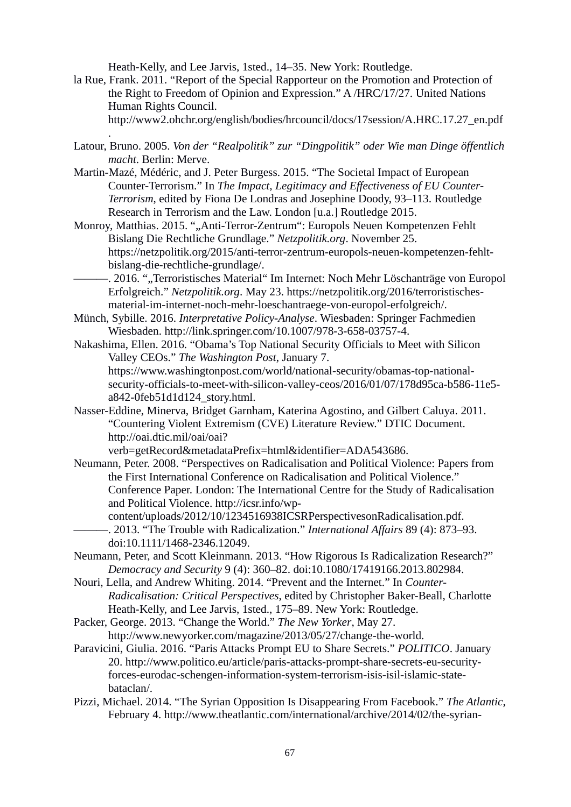Heath-Kelly, and Lee Jarvis, 1sted., 14–35. New York: Routledge.

.

- la Rue, Frank. 2011. "Report of the Special Rapporteur on the Promotion and Protection of the Right to Freedom of Opinion and Expression." A /HRC/17/27. United Nations Human Rights Council.
	- http://www2.ohchr.org/english/bodies/hrcouncil/docs/17session/A.HRC.17.27\_en.pdf
- Latour, Bruno. 2005. *Von der "Realpolitik" zur "Dingpolitik" oder Wie man Dinge öffentlich macht*. Berlin: Merve.
- Martin-Mazé, Médéric, and J. Peter Burgess. 2015. "The Societal Impact of European Counter-Terrorism." In *The Impact, Legitimacy and Effectiveness of EU Counter-Terrorism*, edited by Fiona De Londras and Josephine Doody, 93–113. Routledge Research in Terrorism and the Law. London [u.a.] Routledge 2015.
- Monroy, Matthias. 2015. ""Anti-Terror-Zentrum": Europols Neuen Kompetenzen Fehlt Bislang Die Rechtliche Grundlage." *Netzpolitik.org*. November 25. https://netzpolitik.org/2015/anti-terror-zentrum-europols-neuen-kompetenzen-fehltbislang-die-rechtliche-grundlage/.
	- ———. 2016. ""Terroristisches Material" Im Internet: Noch Mehr Löschanträge von Europol Erfolgreich." *Netzpolitik.org*. May 23. https://netzpolitik.org/2016/terroristischesmaterial-im-internet-noch-mehr-loeschantraege-von-europol-erfolgreich/.
- Münch, Sybille. 2016. *Interpretative Policy-Analyse*. Wiesbaden: Springer Fachmedien Wiesbaden. http://link.springer.com/10.1007/978-3-658-03757-4.
- Nakashima, Ellen. 2016. "Obama's Top National Security Officials to Meet with Silicon Valley CEOs." *The Washington Post*, January 7. https://www.washingtonpost.com/world/national-security/obamas-top-nationalsecurity-officials-to-meet-with-silicon-valley-ceos/2016/01/07/178d95ca-b586-11e5 a842-0feb51d1d124\_story.html.
- Nasser-Eddine, Minerva, Bridget Garnham, Katerina Agostino, and Gilbert Caluya. 2011. "Countering Violent Extremism (CVE) Literature Review." DTIC Document. http://oai.dtic.mil/oai/oai?

verb=getRecord&metadataPrefix=html&identifier=ADA543686.

- Neumann, Peter. 2008. "Perspectives on Radicalisation and Political Violence: Papers from the First International Conference on Radicalisation and Political Violence." Conference Paper. London: The International Centre for the Study of Radicalisation and Political Violence. http://icsr.info/wp-
- content/uploads/2012/10/1234516938ICSRPerspectivesonRadicalisation.pdf. ———. 2013. "The Trouble with Radicalization." *International Affairs* 89 (4): 873–93. doi:10.1111/1468-2346.12049.
- Neumann, Peter, and Scott Kleinmann. 2013. "How Rigorous Is Radicalization Research?" *Democracy and Security* 9 (4): 360–82. doi:10.1080/17419166.2013.802984.
- Nouri, Lella, and Andrew Whiting. 2014. "Prevent and the Internet." In *Counter-Radicalisation: Critical Perspectives*, edited by Christopher Baker-Beall, Charlotte Heath-Kelly, and Lee Jarvis, 1sted., 175–89. New York: Routledge.
- Packer, George. 2013. "Change the World." *The New Yorker*, May 27. http://www.newyorker.com/magazine/2013/05/27/change-the-world.
- Paravicini, Giulia. 2016. "Paris Attacks Prompt EU to Share Secrets." *POLITICO*. January 20. http://www.politico.eu/article/paris-attacks-prompt-share-secrets-eu-securityforces-eurodac-schengen-information-system-terrorism-isis-isil-islamic-statebataclan/.
- Pizzi, Michael. 2014. "The Syrian Opposition Is Disappearing From Facebook." *The Atlantic*, February 4. http://www.theatlantic.com/international/archive/2014/02/the-syrian-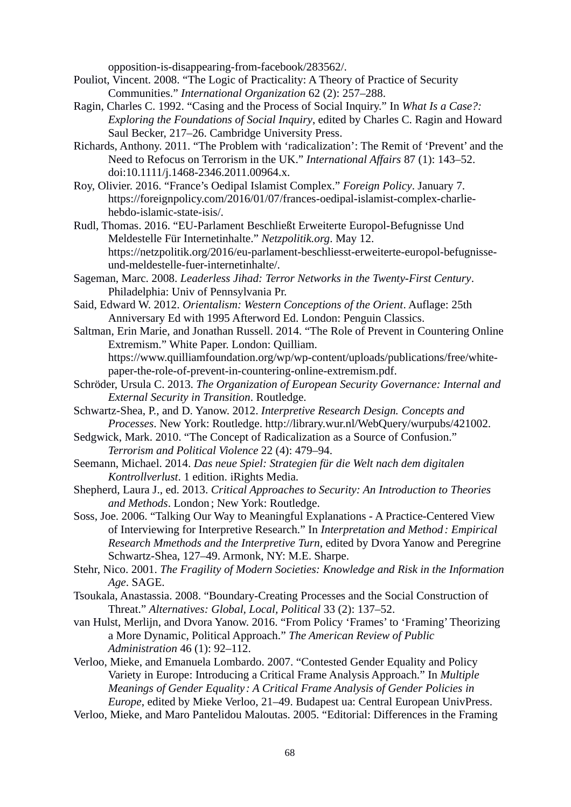opposition-is-disappearing-from-facebook/283562/.

- Pouliot, Vincent. 2008. "The Logic of Practicality: A Theory of Practice of Security Communities." *International Organization* 62 (2): 257–288.
- Ragin, Charles C. 1992. "Casing and the Process of Social Inquiry." In *What Is a Case?: Exploring the Foundations of Social Inquiry*, edited by Charles C. Ragin and Howard Saul Becker, 217–26. Cambridge University Press.
- Richards, Anthony. 2011. "The Problem with 'radicalization': The Remit of 'Prevent' and the Need to Refocus on Terrorism in the UK." *International Affairs* 87 (1): 143–52. doi:10.1111/j.1468-2346.2011.00964.x.
- Roy, Olivier. 2016. "France's Oedipal Islamist Complex." *Foreign Policy*. January 7. https://foreignpolicy.com/2016/01/07/frances-oedipal-islamist-complex-charliehebdo-islamic-state-isis/.
- Rudl, Thomas. 2016. "EU-Parlament Beschließt Erweiterte Europol-Befugnisse Und Meldestelle Für Internetinhalte." *Netzpolitik.org*. May 12. https://netzpolitik.org/2016/eu-parlament-beschliesst-erweiterte-europol-befugnisseund-meldestelle-fuer-internetinhalte/.
- Sageman, Marc. 2008. *Leaderless Jihad: Terror Networks in the Twenty-First Century*. Philadelphia: Univ of Pennsylvania Pr.
- Said, Edward W. 2012. *Orientalism: Western Conceptions of the Orient*. Auflage: 25th Anniversary Ed with 1995 Afterword Ed. London: Penguin Classics.
- Saltman, Erin Marie, and Jonathan Russell. 2014. "The Role of Prevent in Countering Online Extremism." White Paper. London: Quilliam. https://www.quilliamfoundation.org/wp/wp-content/uploads/publications/free/white-

paper-the-role-of-prevent-in-countering-online-extremism.pdf.

- Schröder, Ursula C. 2013. *The Organization of European Security Governance: Internal and External Security in Transition*. Routledge.
- Schwartz-Shea, P., and D. Yanow. 2012. *Interpretive Research Design. Concepts and Processes*. New York: Routledge. http://library.wur.nl/WebQuery/wurpubs/421002.
- Sedgwick, Mark. 2010. "The Concept of Radicalization as a Source of Confusion." *Terrorism and Political Violence* 22 (4): 479–94.
- Seemann, Michael. 2014. *Das neue Spiel: Strategien für die Welt nach dem digitalen Kontrollverlust*. 1 edition. iRights Media.
- Shepherd, Laura J., ed. 2013. *Critical Approaches to Security: An Introduction to Theories and Methods*. London ; New York: Routledge.
- Soss, Joe. 2006. "Talking Our Way to Meaningful Explanations A Practice-Centered View of Interviewing for Interpretive Research." In *Interpretation and Method : Empirical Research Mmethods and the Interpretive Turn*, edited by Dvora Yanow and Peregrine Schwartz-Shea, 127–49. Armonk, NY: M.E. Sharpe.
- Stehr, Nico. 2001. *The Fragility of Modern Societies: Knowledge and Risk in the Information Age*. SAGE.
- Tsoukala, Anastassia. 2008. "Boundary-Creating Processes and the Social Construction of Threat." *Alternatives: Global, Local, Political* 33 (2): 137–52.
- van Hulst, Merlijn, and Dvora Yanow. 2016. "From Policy 'Frames' to 'Framing' Theorizing a More Dynamic, Political Approach." *The American Review of Public Administration* 46 (1): 92–112.
- Verloo, Mieke, and Emanuela Lombardo. 2007. "Contested Gender Equality and Policy Variety in Europe: Introducing a Critical Frame Analysis Approach." In *Multiple Meanings of Gender Equality : A Critical Frame Analysis of Gender Policies in Europe*, edited by Mieke Verloo, 21–49. Budapest ua: Central European UnivPress.
- Verloo, Mieke, and Maro Pantelidou Maloutas. 2005. "Editorial: Differences in the Framing